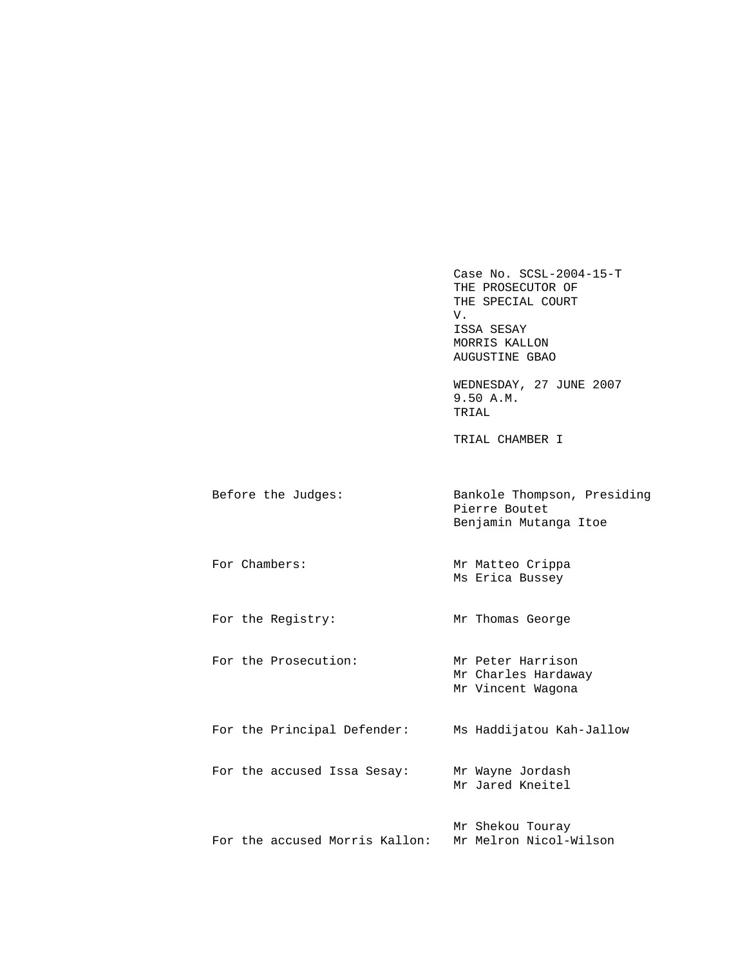Case No. SCSL-2004-15-T THE PROSECUTOR OF THE SPECIAL COURT V. ISSA SESAY MORRIS KALLON AUGUSTINE GBAO

 WEDNESDAY, 27 JUNE 2007 9.50 A.M. TRIAL

TRIAL CHAMBER I

| Before the Judges: | Bankole Thompson, Presiding |
|--------------------|-----------------------------|
|                    | Pierre Boutet               |
|                    | Benjamin Mutanga Itoe       |

For Chambers: Mr Matteo Crippa Ms Erica Bussey

For the Registry: Mr Thomas George

For the Prosecution: Mr Peter Harrison Mr Charles Hardaway Mr Vincent Wagona

 For the Principal Defender: Ms Haddijatou Kah-Jallow For the accused Issa Sesay: Mr Wayne Jordash Mr Jared Kneitel

 Mr Shekou Touray For the accused Morris Kallon: Mr Melron Nicol-Wilson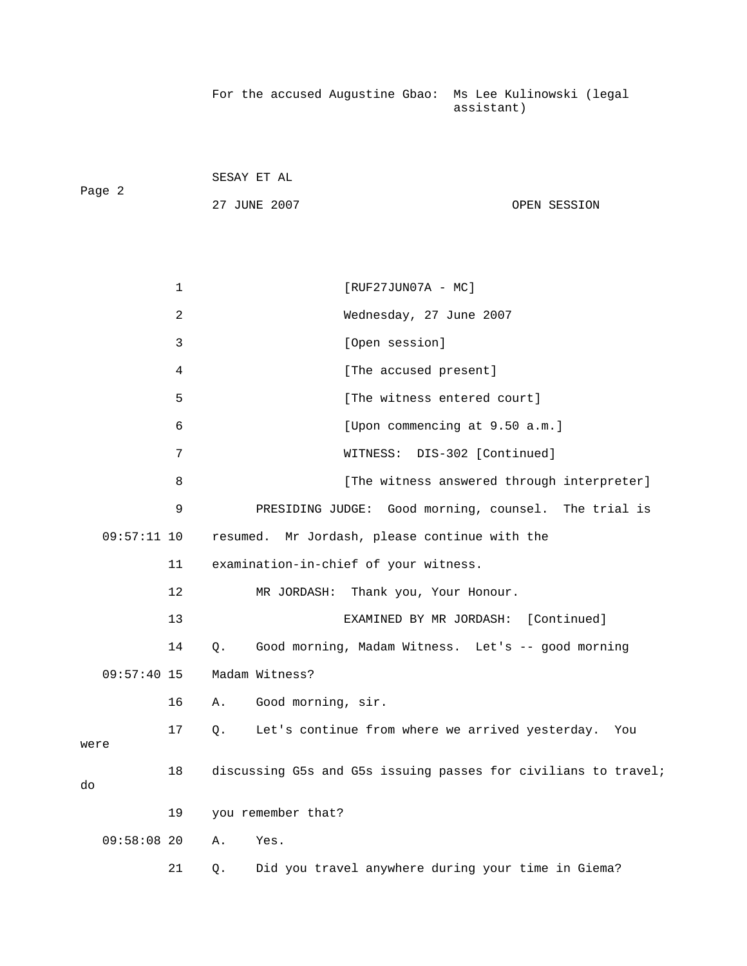For the accused Augustine Gbao: Ms Lee Kulinowski (legal assistant)

| Page 2 | SESAY ET AL  |              |
|--------|--------------|--------------|
|        | 27 JUNE 2007 | OPEN SESSION |

|      |               | $\mathbf 1$ | $[RUF27JUN07A - MC]$                                           |
|------|---------------|-------------|----------------------------------------------------------------|
|      |               | 2           | Wednesday, 27 June 2007                                        |
|      |               | 3           | [Open session]                                                 |
|      |               | 4           | [The accused present]                                          |
|      |               | 5           | [The witness entered court]                                    |
|      |               | 6           | [Upon commencing at 9.50 a.m.]                                 |
|      |               | 7           | DIS-302 [Continued]<br>WITNESS:                                |
|      |               | 8           | [The witness answered through interpreter]                     |
|      |               | 9           | PRESIDING JUDGE: Good morning, counsel. The trial is           |
|      | $09:57:11$ 10 |             | resumed. Mr Jordash, please continue with the                  |
|      |               | 11          | examination-in-chief of your witness.                          |
|      |               | 12          | MR JORDASH: Thank you, Your Honour.                            |
|      |               | 13          | [Continued]<br>EXAMINED BY MR JORDASH:                         |
|      |               | 14          | Good morning, Madam Witness. Let's -- good morning<br>О.       |
|      | $09:57:40$ 15 |             | Madam Witness?                                                 |
|      |               | 16          | Good morning, sir.<br>Α.                                       |
|      |               | 17          | Let's continue from where we arrived yesterday.<br>О.<br>You   |
| were |               |             |                                                                |
| do   |               | 18          | discussing G5s and G5s issuing passes for civilians to travel; |
|      |               | 19          | you remember that?                                             |
|      | $09:58:08$ 20 |             | Yes.<br>Α.                                                     |
|      |               | 21          | Did you travel anywhere during your time in Giema?<br>Q.       |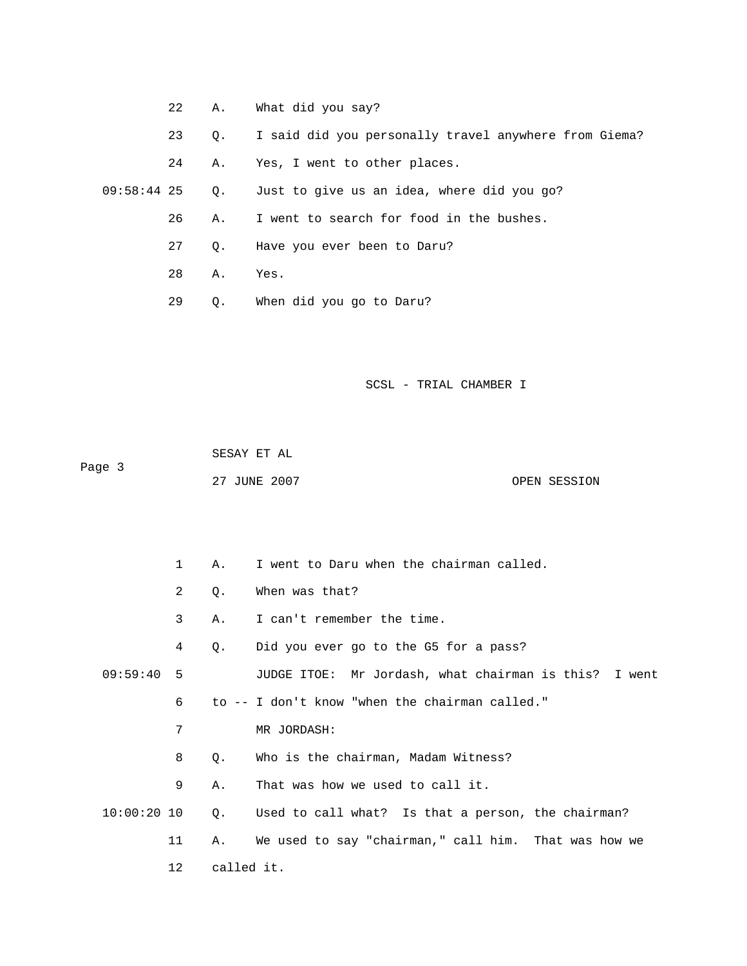- 22 A. What did you say?
- 23 Q. I said did you personally travel anywhere from Giema?
- 24 A. Yes, I went to other places.

09:58:44 25 Q. Just to give us an idea, where did you go?

26 A. I went to search for food in the bushes.

27 Q. Have you ever been to Daru?

28 A. Yes.

29 Q. When did you go to Daru?

SCSL - TRIAL CHAMBER I

 SESAY ET AL Page 3 27 JUNE 2007 CPEN SESSION

 1 A. I went to Daru when the chairman called. 2 Q. When was that? 3 A. I can't remember the time. 4 Q. Did you ever go to the G5 for a pass? 09:59:40 5 JUDGE ITOE: Mr Jordash, what chairman is this? I went 6 to -- I don't know "when the chairman called." 8 Q. Who is the chairman, Madam Witness? 9 A. That was how we used to call it.  $10:00:20$   $10$  Q. Used to call what? Is that a person, the chairman? 11 A. We used to say "chairman," call him. That was how we 12 called it. 7 MR JORDASH: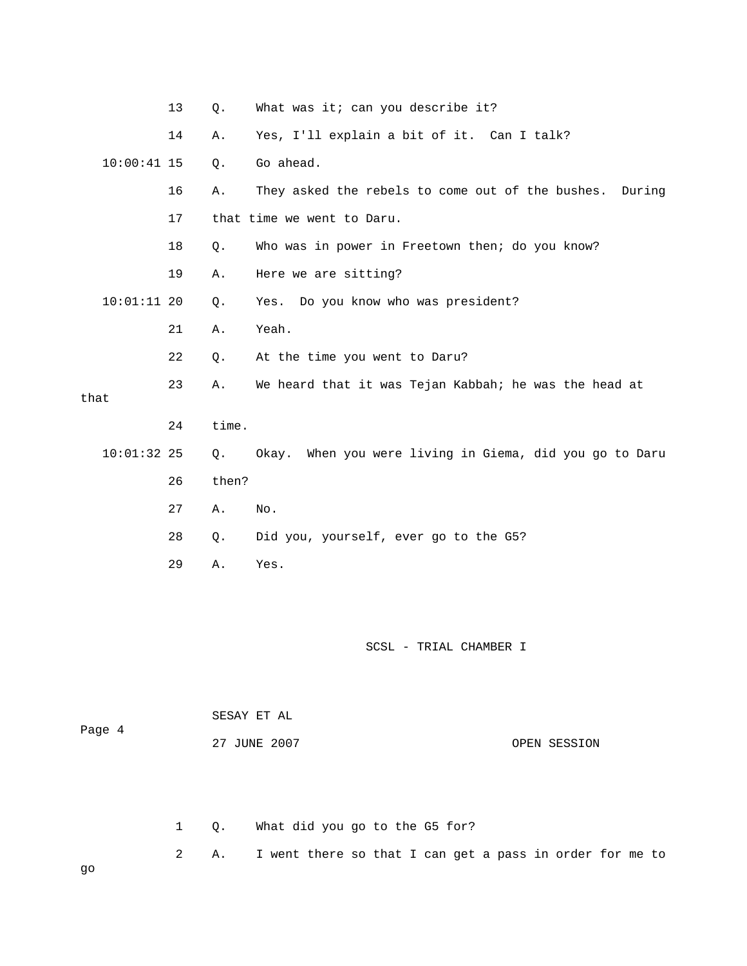|               | 13 | $Q$ . | What was it; can you describe it?                       |
|---------------|----|-------|---------------------------------------------------------|
|               | 14 | Α.    | Yes, I'll explain a bit of it. Can I talk?              |
| $10:00:41$ 15 |    | Q.    | Go ahead.                                               |
|               | 16 | Α.    | They asked the rebels to come out of the bushes. During |
|               | 17 |       | that time we went to Daru.                              |
|               | 18 | $Q$ . | Who was in power in Freetown then; do you know?         |
|               | 19 | Α.    | Here we are sitting?                                    |
| $10:01:11$ 20 |    | Q.    | Yes. Do you know who was president?                     |
|               | 21 | Α.    | Yeah.                                                   |
|               | 22 | Q.    | At the time you went to Daru?                           |
| that          | 23 | Α.    | We heard that it was Tejan Kabbah; he was the head at   |
|               |    |       |                                                         |
|               | 24 | time. |                                                         |
| $10:01:32$ 25 |    | Q.    | Okay. When you were living in Giema, did you go to Daru |
|               | 26 | then? |                                                         |
|               | 27 | Α.    | No.                                                     |
|               | 28 | $Q$ . | Did you, yourself, ever go to the G5?                   |
|               | 29 | Α.    | Yes.                                                    |

| Page 4 | SESAY ET AL  |              |
|--------|--------------|--------------|
|        | 27 JUNE 2007 | OPEN SESSION |

2 A. I went there so that I can get a pass in order for me to 1 Q. What did you go to the G5 for?

go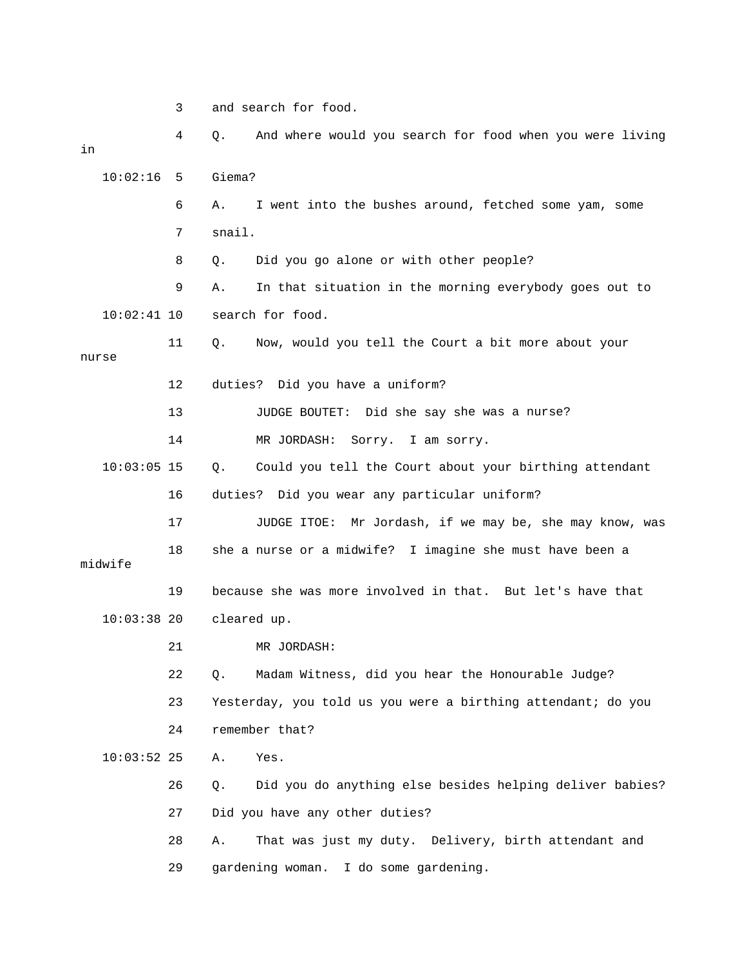3 and search for food.

4 Q. And where would you search for food when you were living 10:02:16 5 Giema? went into the bushes around, fetched some yam, some 6 A. I Did you go alone or with other people? 9 A. In that situation in the morning everybody goes out to 11 Q. Now, would you tell the Court a bit more about your 12 duties? Did you have a uniform? 13 JUDGE BOUTET: Did she say she was a nurse?  $10:03:05$  15 Q. Could you tell the Court about your birthing attendant 17 JUDGE ITOE: Mr Jordash, if we may be, she may know, was 19 because she was more involved in that. But let's have that 21 MR JORDASH: 22 Q. Madam Witness, did you hear the Honourable Judge? 23 Yesterday, you told us you were a birthing attendant; do you 10:03:52 25 A. Yes. 26 Q. Did you do anything else besides helping deliver babies? 27 Did you have any other duties? 28 A. That was just my duty. Delivery, birth attendant and 29 gardening woman. I do some gardening. in 7 snail. 8 Q. Di 10:02:41 10 search for food. nurse 14 MR JORDASH: Sorry. I am sorry. 16 duties? Did you wear any particular uniform? 18 she a nurse or a midwife? I imagine she must have been a midwife 10:03:38 20 cleared up. 24 remember that?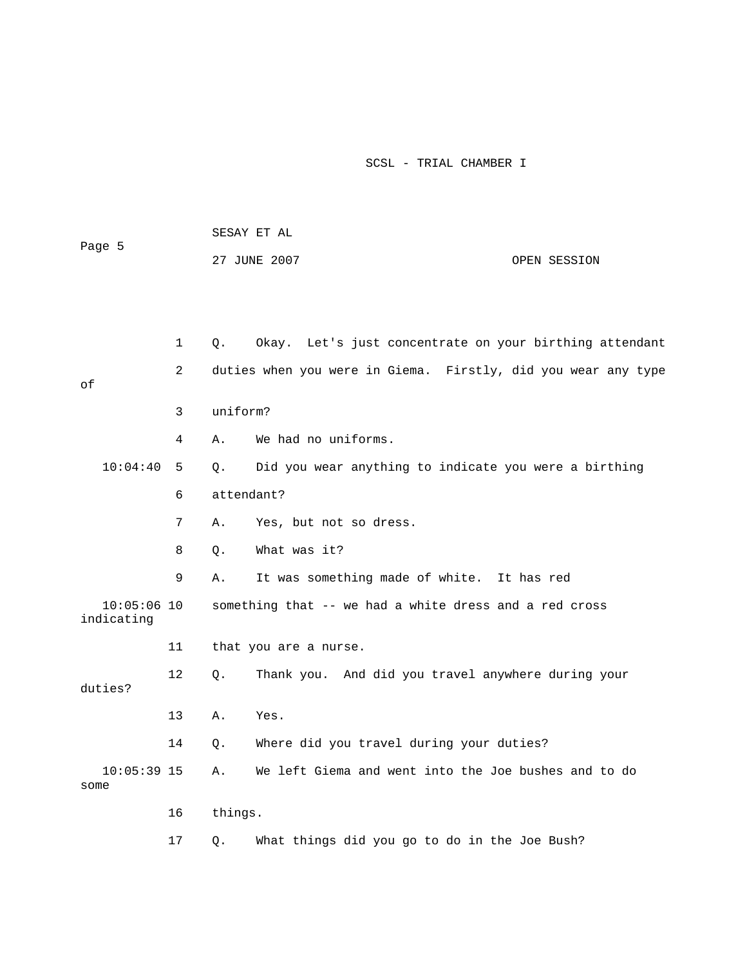| Page 5                      |         | SESAY ET AL |                                                               |              |
|-----------------------------|---------|-------------|---------------------------------------------------------------|--------------|
|                             |         |             | 27 JUNE 2007                                                  | OPEN SESSION |
|                             |         |             |                                                               |              |
|                             |         |             |                                                               |              |
|                             | 1       | Q.          | Okay. Let's just concentrate on your birthing attendant       |              |
| оf                          | 2       |             | duties when you were in Giema. Firstly, did you wear any type |              |
|                             | 3       | uniform?    |                                                               |              |
|                             | 4       | Α.          | We had no uniforms.                                           |              |
| 10:04:40                    | 5       | $\circ$ .   | Did you wear anything to indicate you were a birthing         |              |
|                             | 6       | attendant?  |                                                               |              |
|                             | 7       | Α.          | Yes, but not so dress.                                        |              |
|                             | 8       | О.          | What was it?                                                  |              |
|                             | 9       | Α.          | It was something made of white. It has red                    |              |
| $10:05:06$ 10<br>indicating |         |             | something that -- we had a white dress and a red cross        |              |
|                             | 11      |             | that you are a nurse.                                         |              |
| duties?                     | $12 \,$ | Q.          | Thank you. And did you travel anywhere during your            |              |
|                             | 13      | Α.          | Yes.                                                          |              |
|                             | 14      | Q.          | Where did you travel during your duties?                      |              |
| $10:05:39$ 15<br>some       |         | Α.          | We left Giema and went into the Joe bushes and to do          |              |
|                             | 16      | things.     |                                                               |              |
|                             | 17      | Q.          | What things did you go to do in the Joe Bush?                 |              |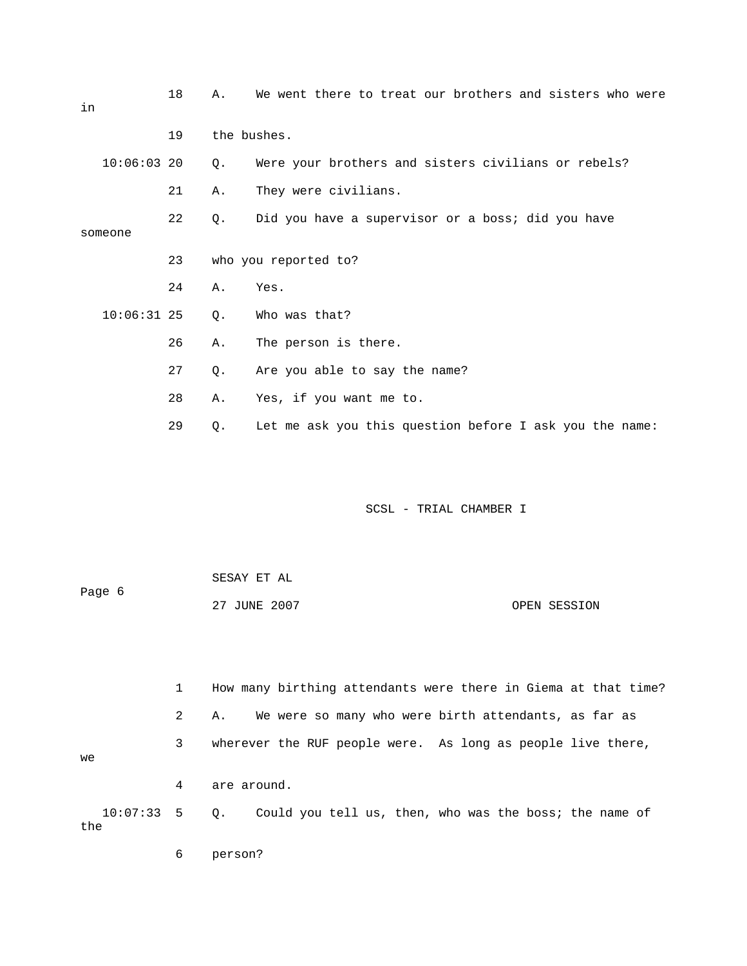| in            | 18 | Α.          | We went there to treat our brothers and sisters who were |
|---------------|----|-------------|----------------------------------------------------------|
|               | 19 | the bushes. |                                                          |
| $10:06:03$ 20 |    | Q.          | Were your brothers and sisters civilians or rebels?      |
|               | 21 | Α.          | They were civilians.                                     |
| someone       | 22 | Q.          | Did you have a supervisor or a boss; did you have        |
|               | 23 |             | who you reported to?                                     |
|               | 24 | Α.          | Yes.                                                     |
| $10:06:31$ 25 |    | Q.          | Who was that?                                            |
|               | 26 | Α.          | The person is there.                                     |
|               | 27 | $Q$ .       | Are you able to say the name?                            |
|               | 28 | Α.          | Yes, if you want me to.                                  |
|               | 29 | Q.          | Let me ask you this question before I ask you the name:  |

|        | SESAY ET AL  |              |
|--------|--------------|--------------|
| Page 6 |              |              |
|        | 27 JUNE 2007 | OPEN SESSION |

 1 How many birthing attendants were there in Giema at that time? 2 A. We were so many who were birth attendants, as far as 3 wherever the RUF people were. As long as people live there, 10:07:33 5 Q. Could you tell us, then, who was the boss; the name of we 4 are around. the

6 person?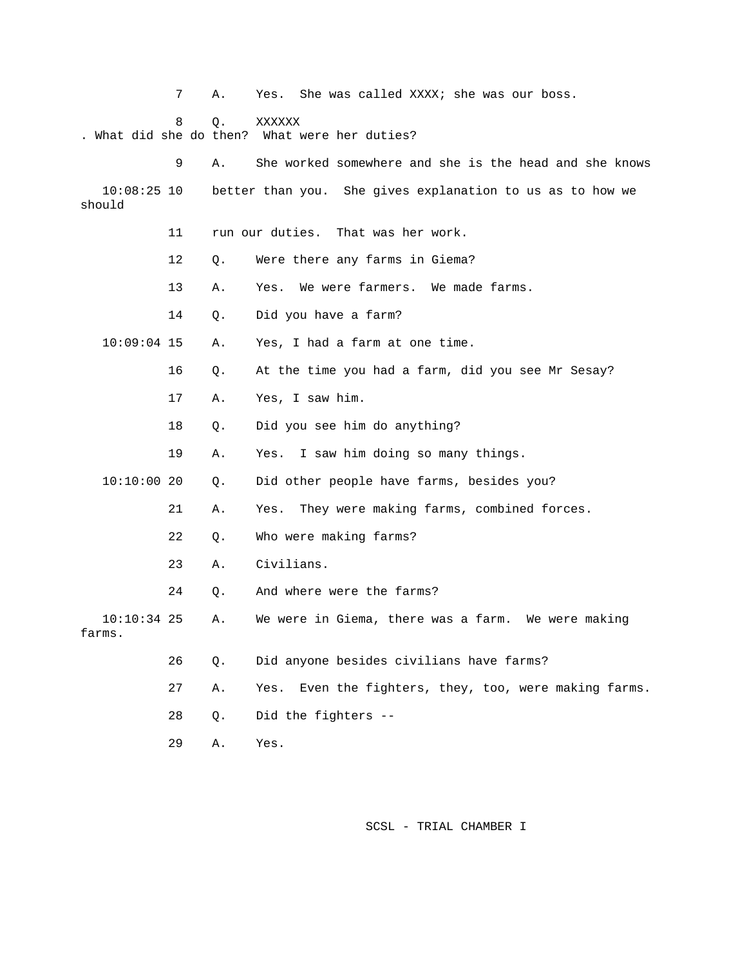|                         | 7  | Α.    | She was called XXXX; she was our boss.<br>Yes.            |
|-------------------------|----|-------|-----------------------------------------------------------|
|                         | 8  | $Q$ . | XXXXXX<br>. What did she do then? What were her duties?   |
|                         | 9  | Α.    | She worked somewhere and she is the head and she knows    |
| $10:08:25$ 10<br>should |    |       | better than you. She gives explanation to us as to how we |
|                         | 11 |       | run our duties. That was her work.                        |
|                         | 12 | Q.    | Were there any farms in Giema?                            |
|                         | 13 | Α.    | We were farmers. We made farms.<br>Yes.                   |
|                         | 14 | Q.    | Did you have a farm?                                      |
| $10:09:04$ 15           |    | Α.    | Yes, I had a farm at one time.                            |
|                         | 16 | Q.    | At the time you had a farm, did you see Mr Sesay?         |
|                         | 17 | Α.    | Yes, I saw him.                                           |
|                         | 18 | Q.    | Did you see him do anything?                              |
|                         | 19 | Α.    | I saw him doing so many things.<br>Yes.                   |
| 10:10:0020              |    | Q.    | Did other people have farms, besides you?                 |
|                         | 21 | Α.    | They were making farms, combined forces.<br>Yes.          |
|                         | 22 | Q.    | Who were making farms?                                    |
|                         | 23 | Α.    | Civilians.                                                |
|                         | 24 | О.    | And where were the farms?                                 |
| $10:10:34$ 25<br>farms. |    | Α.    | We were in Giema, there was a farm. We were making        |
|                         | 26 | Q.    | Did anyone besides civilians have farms?                  |
|                         | 27 | Α.    | Even the fighters, they, too, were making farms.<br>Yes.  |
|                         | 28 | Q.    | Did the fighters --                                       |
|                         | 29 | Α.    | Yes.                                                      |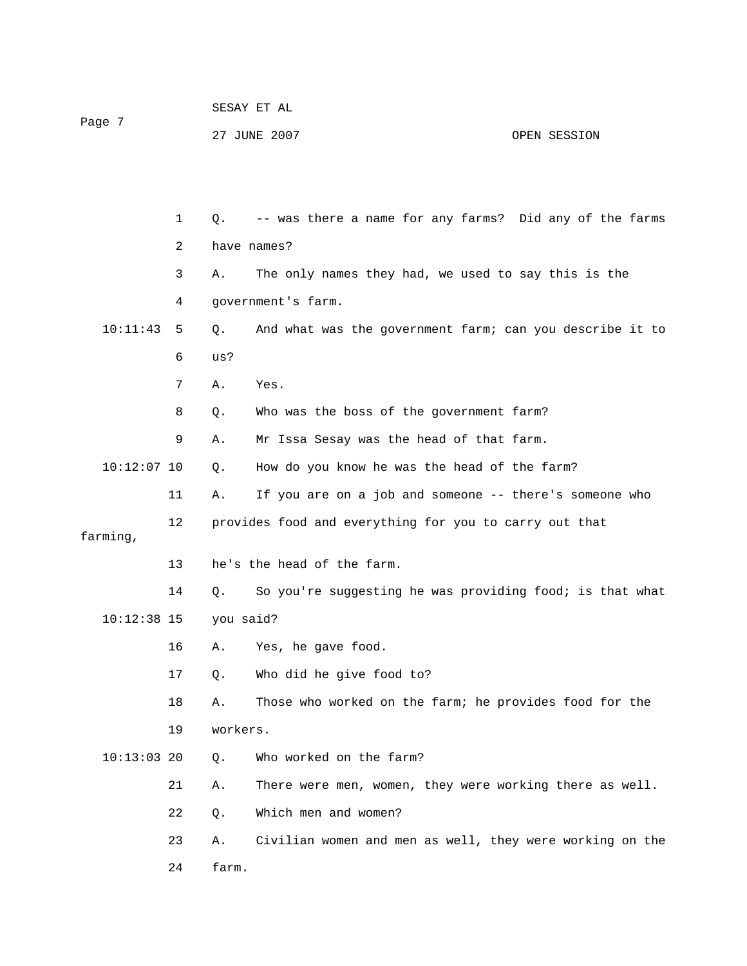| Page 7        |    |             | 27 JUNE 2007                                             | OPEN SESSION |
|---------------|----|-------------|----------------------------------------------------------|--------------|
|               |    |             |                                                          |              |
|               |    |             |                                                          |              |
|               | 1  | $Q_{\star}$ | -- was there a name for any farms? Did any of the farms  |              |
|               | 2  | have names? |                                                          |              |
|               | 3  | Α.          | The only names they had, we used to say this is the      |              |
|               | 4  |             | government's farm.                                       |              |
| 10:11:43      | 5  | Q.          | And what was the government farm; can you describe it to |              |
|               | 6  | us?         |                                                          |              |
|               | 7  | Α.          | Yes.                                                     |              |
|               | 8  | Q.          | Who was the boss of the government farm?                 |              |
|               | 9  | Α.          | Mr Issa Sesay was the head of that farm.                 |              |
| $10:12:07$ 10 |    | Q.          | How do you know he was the head of the farm?             |              |
|               | 11 | Α.          | If you are on a job and someone -- there's someone who   |              |
| farming,      | 12 |             | provides food and everything for you to carry out that   |              |
| 13            |    |             | he's the head of the farm.                               |              |
|               | 14 | $Q$ .       | So you're suggesting he was providing food; is that what |              |
| $10:12:38$ 15 |    | you said?   |                                                          |              |
|               | 16 | Α.          | Yes, he gave food.                                       |              |
|               | 17 | Q.          | Who did he give food to?                                 |              |
|               | 18 | Α.          | Those who worked on the farm; he provides food for the   |              |
|               | 19 | workers.    |                                                          |              |
| $10:13:03$ 20 |    | Q.          | Who worked on the farm?                                  |              |
|               | 21 | Α.          | There were men, women, they were working there as well.  |              |
|               | 22 | Q.          | Which men and women?                                     |              |
|               | 23 | Α.          | Civilian women and men as well, they were working on the |              |
|               | 24 | farm.       |                                                          |              |
|               |    |             |                                                          |              |
|               |    |             |                                                          |              |

SESAY ET AL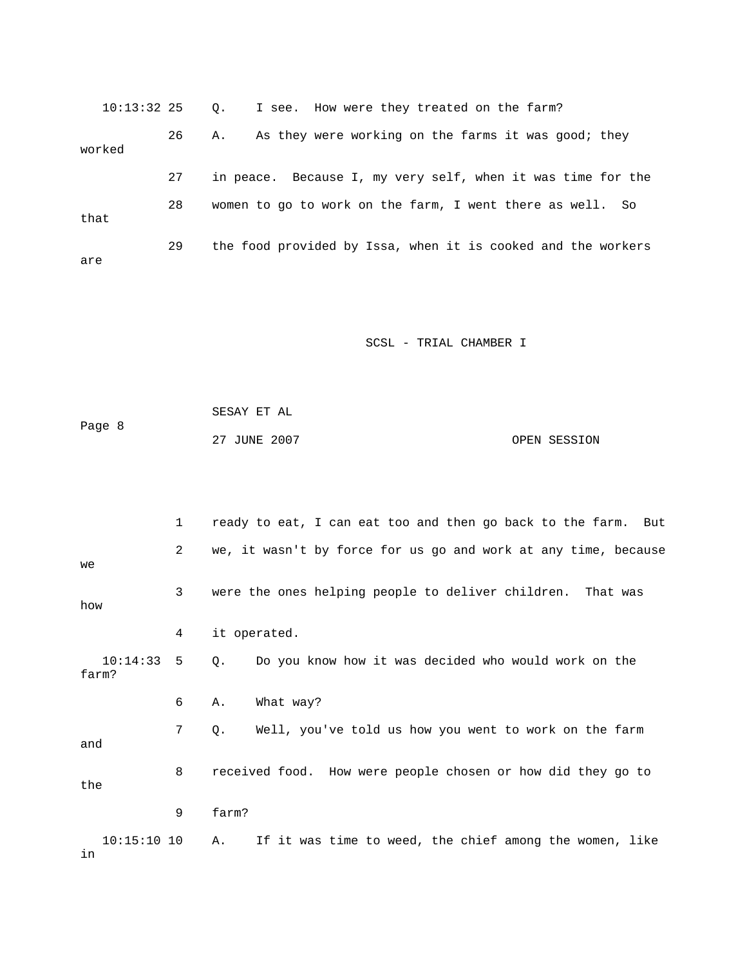10:13:32 25 Q. 26 A. I see. How were they treated on the farm? As they were working on the farms it was good; they e 27 in peace. Because I, my very self, when it was time for th 28 women to go to work on the farm, I went there as well. So worked that 29 the food provided by Issa, when it is cooked and the workers are

SCSL - TRIAL CHAMBER I

 SESAY ET AL Page 8 27 JUNE 2007 CPEN SESSION

 1 ready to eat, I can eat too and then go back to the farm. But 2 we, it wasn't by force for us go and work at any time, because 10:14:33 5 Q. Do you know how it was decided who would work on the 7 Q. Well, you've told us how you went to work on the farm 10:15:10 10 A. If it was time to weed, the chief among the women, like we 3 were the ones helping people to deliver children. That was how 4 it operated. farm? 6 A. What way? and 8 received food. How were people chosen or how did they go to the 9 farm? in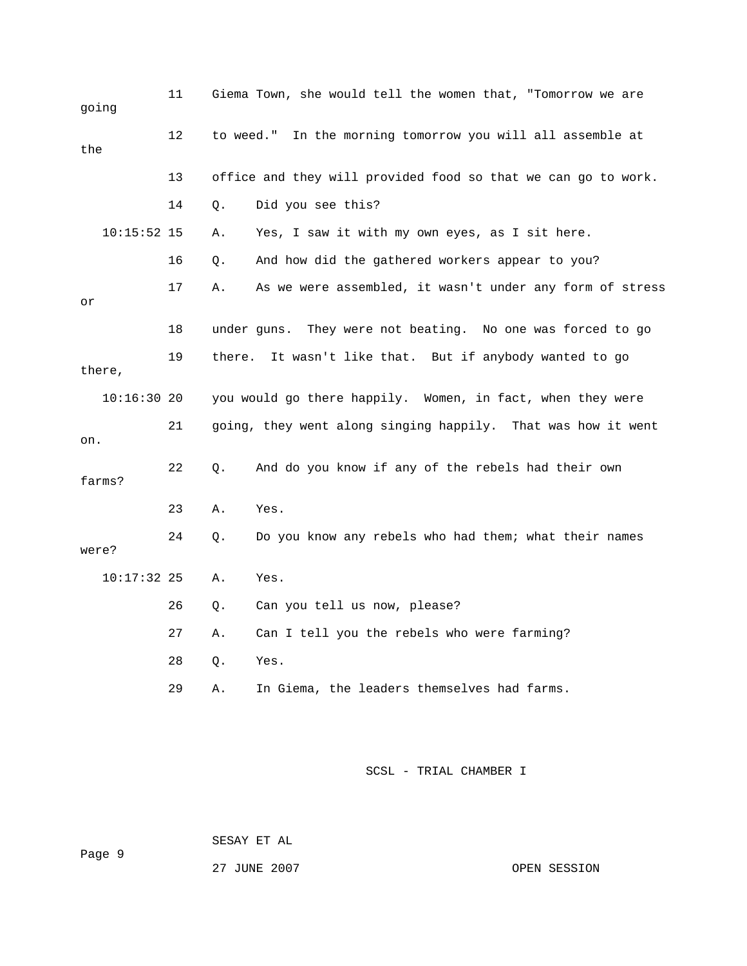| going         | 11 |        | Giema Town, she would tell the women that, "Tomorrow we are   |
|---------------|----|--------|---------------------------------------------------------------|
| the           | 12 |        | to weed." In the morning tomorrow you will all assemble at    |
|               | 13 |        | office and they will provided food so that we can go to work. |
|               | 14 | Q.     | Did you see this?                                             |
| $10:15:52$ 15 |    | Α.     | Yes, I saw it with my own eyes, as I sit here.                |
|               | 16 | О.     | And how did the gathered workers appear to you?               |
| or            | 17 | Α.     | As we were assembled, it wasn't under any form of stress      |
|               | 18 |        | under guns. They were not beating. No one was forced to go    |
| there,        | 19 | there. | It wasn't like that. But if anybody wanted to go              |
| $10:16:30$ 20 |    |        | you would go there happily. Women, in fact, when they were    |
| on.           | 21 |        | going, they went along singing happily. That was how it went  |
| farms?        | 22 | Q.     | And do you know if any of the rebels had their own            |
|               | 23 | Α.     | Yes.                                                          |
| were?         | 24 | Q.     | Do you know any rebels who had them; what their names         |
| 10:17:32 25   |    | Α.     | Yes.                                                          |
|               | 26 | Q.     | Can you tell us now, please?                                  |
|               | 27 | Α.     | Can I tell you the rebels who were farming?                   |
|               | 28 | Q.     | Yes.                                                          |
|               | 29 | Α.     | In Giema, the leaders themselves had farms.                   |

SESAY ET AL

27 JUNE 2007 OPEN SESSION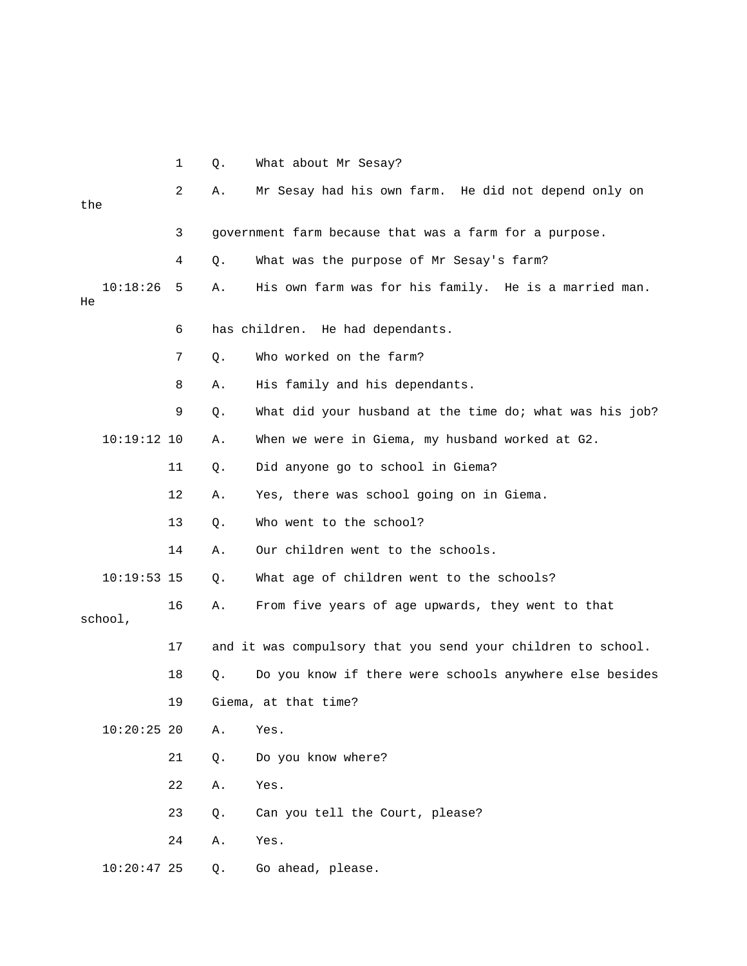|         |               | $\mathbf{1}$ | Q. | What about Mr Sesay?                                         |
|---------|---------------|--------------|----|--------------------------------------------------------------|
| the     |               | 2            | Α. | Mr Sesay had his own farm. He did not depend only on         |
|         |               |              |    |                                                              |
|         |               | 3            |    | government farm because that was a farm for a purpose.       |
|         |               | 4            | Q. | What was the purpose of Mr Sesay's farm?                     |
| He      | 10:18:26      | 5            | Α. | His own farm was for his family. He is a married man.        |
|         |               | 6            |    | has children. He had dependants.                             |
|         |               | 7            | Q. | Who worked on the farm?                                      |
|         |               | 8            | Α. | His family and his dependants.                               |
|         |               | 9            | Q. | What did your husband at the time do; what was his job?      |
|         | $10:19:12$ 10 |              | Α. | When we were in Giema, my husband worked at G2.              |
|         |               | 11           | Q. | Did anyone go to school in Giema?                            |
|         |               | 12           | Α. | Yes, there was school going on in Giema.                     |
|         |               | 13           | Q. | Who went to the school?                                      |
|         |               | 14           | Α. | Our children went to the schools.                            |
|         | $10:19:53$ 15 |              | Q. | What age of children went to the schools?                    |
| school, |               | 16           | Α. | From five years of age upwards, they went to that            |
|         |               | 17           |    | and it was compulsory that you send your children to school. |
|         |               |              |    |                                                              |
|         |               | 18           | Q. | Do you know if there were schools anywhere else besides      |
|         |               | 19           |    | Giema, at that time?                                         |
|         | $10:20:25$ 20 |              | Α. | Yes.                                                         |
|         |               | 21           | Q. | Do you know where?                                           |
|         |               | 22           | Α. | Yes.                                                         |
|         |               | 23           | Q. | Can you tell the Court, please?                              |
|         |               | 24           | Α. | Yes.                                                         |
|         | $10:20:47$ 25 |              | Q. | Go ahead, please.                                            |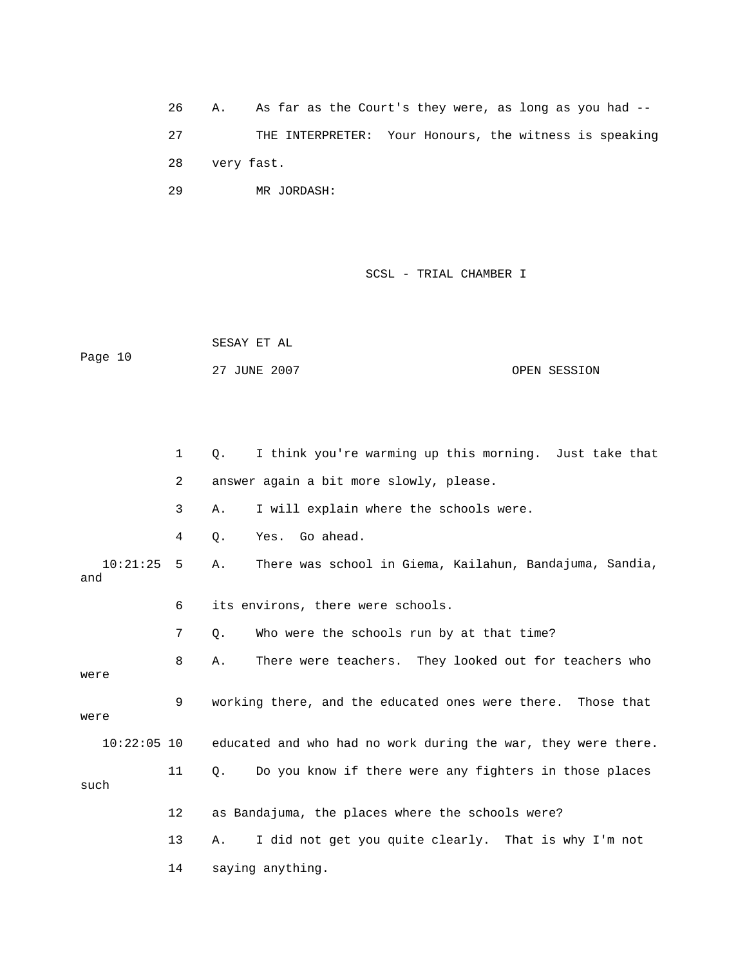26 A. As far as the Court's they were, as long as you had -- 27 THE INTERPRETER: Your Honours, the witness is speaking 28 very fast.

29 MR JORDASH:

### SCSL - TRIAL CHAMBER I

 SESAY ET AL Page 10

27 JUNE 2007 OPEN SESSION

 1 Q. I think you're warming up this morning. Just take that 2 answer again a bit more slowly, please. 10:21:25 5 A. There was school in Giema, Kailahun, Bandajuma, Sandia, and 6 its environs, there were schools. 7 Q. Who were the schools run by at that time? 8 A. There were teachers. They looked out for teachers who were 9 working there, and the educated ones were there. Those that 10:22:05 10 educated and who had no work during the war, they were there. such 13 A. I did not get you quite clearly. That is why I'm not 3 A. I will explain where the schools were. 4 Q. Yes. Go ahead. were 11 Q. Do you know if there were any fighters in those places 12 as Bandajuma, the places where the schools were? 14 saying anything.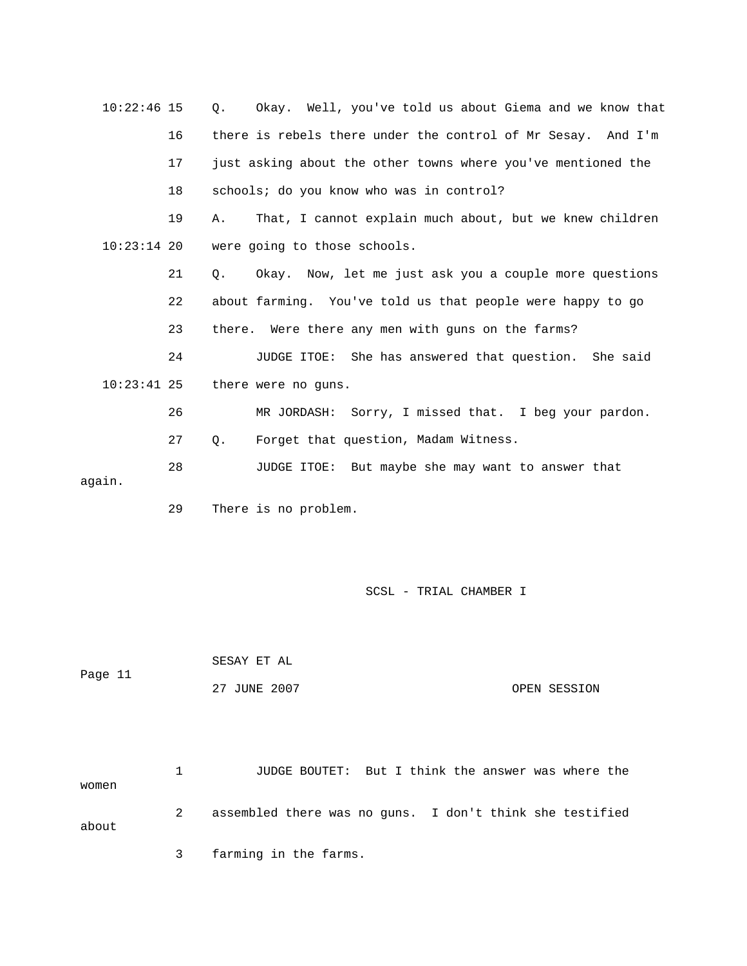| $10:22:46$ 15 |    | Okay. Well, you've told us about Giema and we know that<br>$\circ$ . |
|---------------|----|----------------------------------------------------------------------|
|               | 16 | there is rebels there under the control of Mr Sesay. And I'm         |
|               | 17 | just asking about the other towns where you've mentioned the         |
|               | 18 | schools; do you know who was in control?                             |
|               | 19 | That, I cannot explain much about, but we knew children<br>Α.        |
| $10:23:14$ 20 |    | were going to those schools.                                         |
|               | 21 | Okay. Now, let me just ask you a couple more questions<br>Q.         |
|               | 22 | about farming. You've told us that people were happy to go           |
|               | 23 | there. Were there any men with guns on the farms?                    |
|               | 24 | JUDGE ITOE: She has answered that question. She said                 |
| $10:23:41$ 25 |    | there were no guns.                                                  |
|               | 26 | MR JORDASH: Sorry, I missed that. I beg your pardon.                 |
|               | 27 | Forget that question, Madam Witness.<br>$Q$ .                        |
| again.        | 28 | JUDGE ITOE: But maybe she may want to answer that                    |

29 There is no problem.

SCSL - TRIAL CHAMBER I

 SESAY ET AL Page 11 27 JUNE 2007 OPEN SESSION

 1 JUDGE BOUTET: But I think the answer was where the women 2 assembled there was no guns. I don't think she testified 3 farming in the farms. about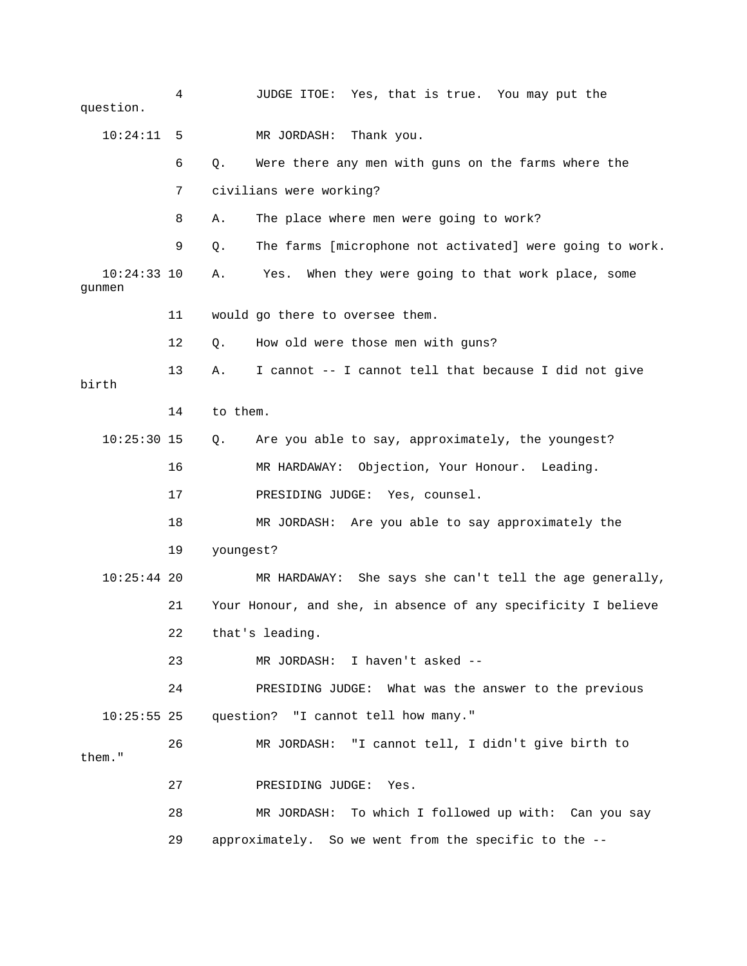4 JUDGE ITOE: Yes, that is true. You may put the question. 10:24:11 5 MR JORDASH: Thank you. e 6 Q. Were there any men with guns on the farms where th 8 A. The place where men were going to work? 9 Q. The farms [microphone not activated] were going to work. 10:24:33 10 A. Yes. When they were going to that work place, some 13 A. I cannot -- I cannot tell that because I did not give 16 MR HARDAWAY: Objection, Your Honour. Leading. 17 PRESIDING JUDGE: Yes, counsel. 10:25:44 20 MR HARDAWAY: She says she can't tell the age generally, 21 Your Honour, and she, in absence of any specificity I believe 22 that's leading. 10:25:55 25 question? "I cannot tell how many." 26 MR JORDASH: "I cannot tell, I didn't give birth to them." 27 PRESIDING JUDGE: Yes. 28 MR JORDASH: To which I followed up with: Can you say 29 approximately. So we went from the specific to the -- 7 civilians were working? gunmen 11 would go there to oversee them. 12 Q. How old were those men with guns? birth 14 to them. 10:25:30 15 Q. Are you able to say, approximately, the youngest? 18 MR JORDASH: Are you able to say approximately the 19 youngest? 23 MR JORDASH: I haven't asked -- 24 PRESIDING JUDGE: What was the answer to the previous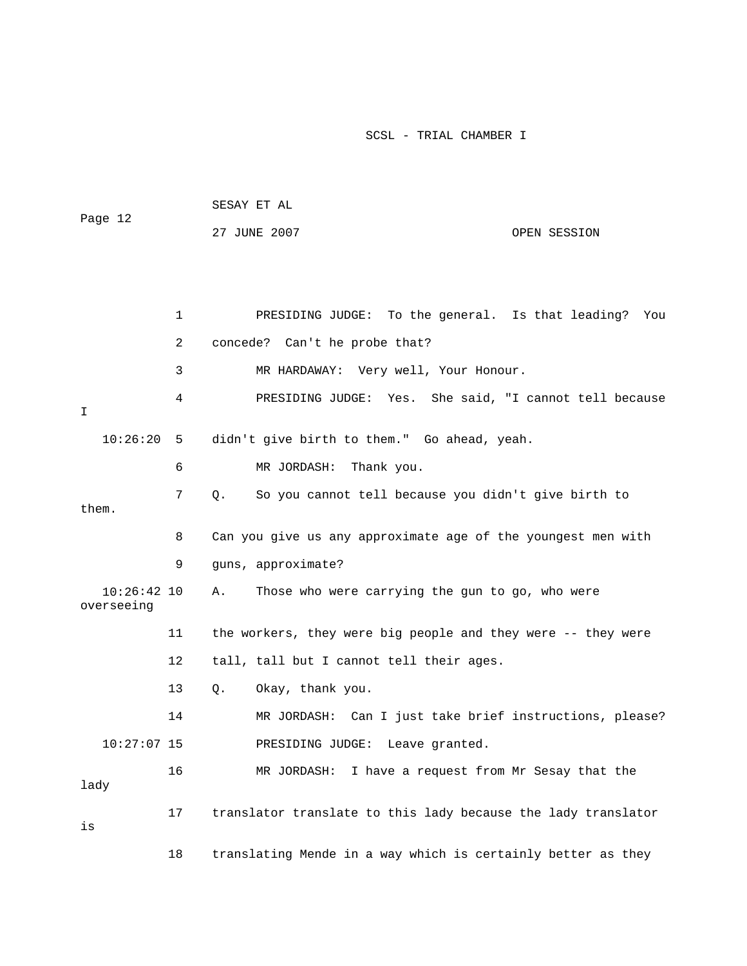| Page 12                     |              | 27 JUNE 2007                                                  | OPEN SESSION |
|-----------------------------|--------------|---------------------------------------------------------------|--------------|
|                             | $\mathbf{1}$ | PRESIDING JUDGE: To the general. Is that leading? You         |              |
|                             | 2            | concede? Can't he probe that?                                 |              |
|                             | 3            | MR HARDAWAY: Very well, Your Honour.                          |              |
| I.                          | 4            | PRESIDING JUDGE: Yes. She said, "I cannot tell because        |              |
| 10:26:20                    | 5            | didn't give birth to them." Go ahead, yeah.                   |              |
|                             | 6            | MR JORDASH: Thank you.                                        |              |
| them.                       | 7            | So you cannot tell because you didn't give birth to<br>Q.     |              |
|                             | 8            | Can you give us any approximate age of the youngest men with  |              |
|                             | 9            | guns, approximate?                                            |              |
| $10:26:42$ 10<br>overseeing |              | Those who were carrying the gun to go, who were<br>Α.         |              |
|                             | 11           | the workers, they were big people and they were -- they were  |              |
|                             | 12           | tall, tall but I cannot tell their ages.                      |              |
|                             | 13           | Okay, thank you.<br>Q.                                        |              |
|                             | 14           | MR JORDASH: Can I just take brief instructions, please?       |              |
| $10:27:07$ 15               |              | PRESIDING JUDGE:<br>Leave granted.                            |              |
| lady                        | 16           | MR JORDASH: I have a request from Mr Sesay that the           |              |
| is                          | 17           | translator translate to this lady because the lady translator |              |
|                             | 18           | translating Mende in a way which is certainly better as they  |              |

SESAY ET AL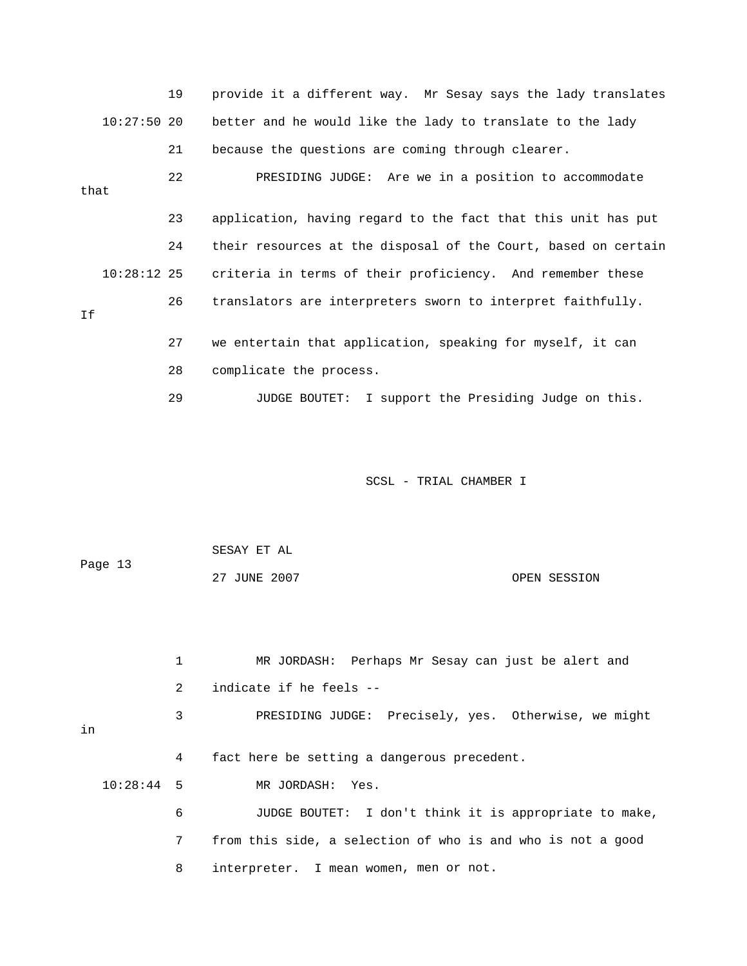19 provide it a different way. Mr Sesay says the lady translates better and he would like the lady to translate to the lady 23 application, having regard to the fact that this unit has put 24 their resources at the disposal of the Court, based on certain criteria in terms of their proficiency. And remember these 27 we entertain that application, speaking for myself, it can 28 complicate the process.  $10:27:50$  20 21 because the questions are coming through clearer. 22 PRESIDING JUDGE: Are we in a position to accommodate that  $10:28:12$  25 26 translators are interpreters sworn to interpret faithfully. If

29 JUDGE BOUTET: I support the Presiding Judge on this.

SCSL - TRIAL CHAMBER I

|         | SESAY ET AL  |              |
|---------|--------------|--------------|
| Page 13 |              |              |
|         | 27 JUNE 2007 | OPEN SESSION |

|    |              | MR JORDASH: Perhaps Mr Sesay can just be alert and          |
|----|--------------|-------------------------------------------------------------|
|    | 2            | indicate if he feels --                                     |
| in | 3            | PRESIDING JUDGE: Precisely, yes. Otherwise, we might        |
|    | 4            | fact here be setting a dangerous precedent.                 |
|    | $10:28:44$ 5 | MR JORDASH: Yes.                                            |
|    | 6            | JUDGE BOUTET: I don't think it is appropriate to make,      |
|    | $7\degree$   | from this side, a selection of who is and who is not a good |
|    | 8            | interpreter. I mean women, men or not.                      |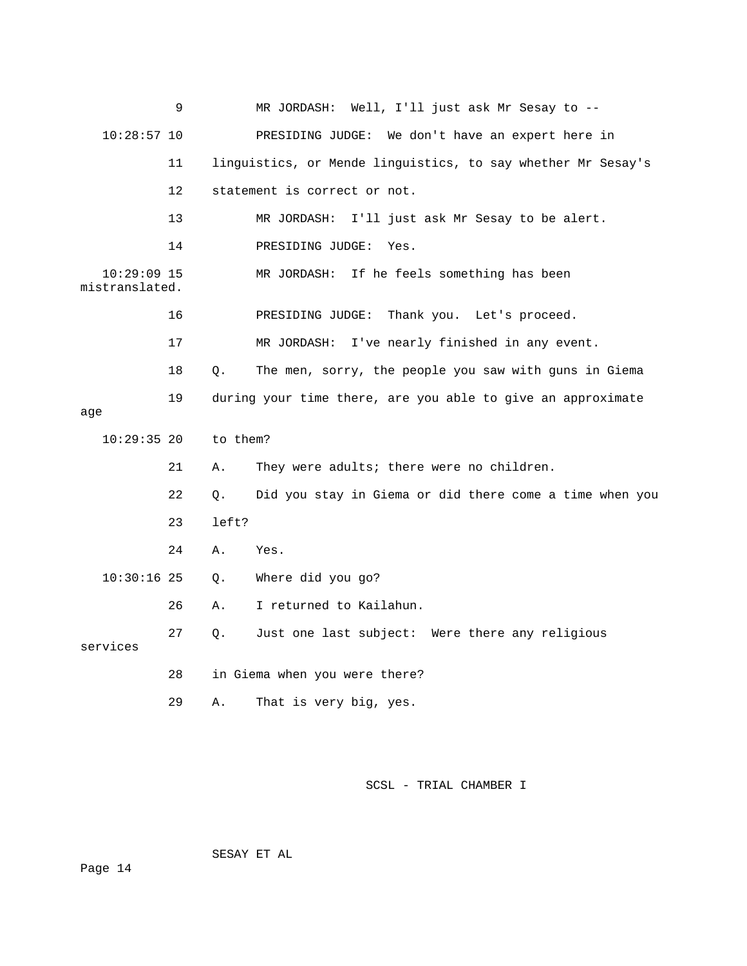|                                 | 9  |          | MR JORDASH: Well, I'll just ask Mr Sesay to --               |
|---------------------------------|----|----------|--------------------------------------------------------------|
| $10:28:57$ 10                   |    |          | We don't have an expert here in<br>PRESIDING JUDGE:          |
|                                 | 11 |          | linguistics, or Mende linguistics, to say whether Mr Sesay's |
|                                 | 12 |          | statement is correct or not.                                 |
|                                 | 13 |          | MR JORDASH: I'll just ask Mr Sesay to be alert.              |
|                                 | 14 |          | PRESIDING JUDGE:<br>Yes.                                     |
| $10:29:09$ 15<br>mistranslated. |    |          | MR JORDASH:<br>If he feels something has been                |
|                                 | 16 |          | PRESIDING JUDGE:<br>Thank you. Let's proceed.                |
|                                 | 17 |          | I've nearly finished in any event.<br>MR JORDASH:            |
|                                 | 18 | Q.       | The men, sorry, the people you saw with guns in Giema        |
|                                 | 19 |          | during your time there, are you able to give an approximate  |
| age                             |    |          |                                                              |
| $10:29:35$ 20                   |    | to them? |                                                              |
|                                 | 21 | Α.       | They were adults; there were no children.                    |
|                                 | 22 | Q.       | Did you stay in Giema or did there come a time when you      |
|                                 | 23 | left?    |                                                              |
|                                 | 24 | Α.       | Yes.                                                         |
| $10:30:16$ 25                   |    | О.       | Where did you go?                                            |
|                                 | 26 | Α.       | I returned to Kailahun.                                      |
| services                        | 27 | О.       | Just one last subject: Were there any religious              |
|                                 | 28 |          | in Giema when you were there?                                |
|                                 | 29 | Α.       | That is very big, yes.                                       |

SESAY ET AL

Page 14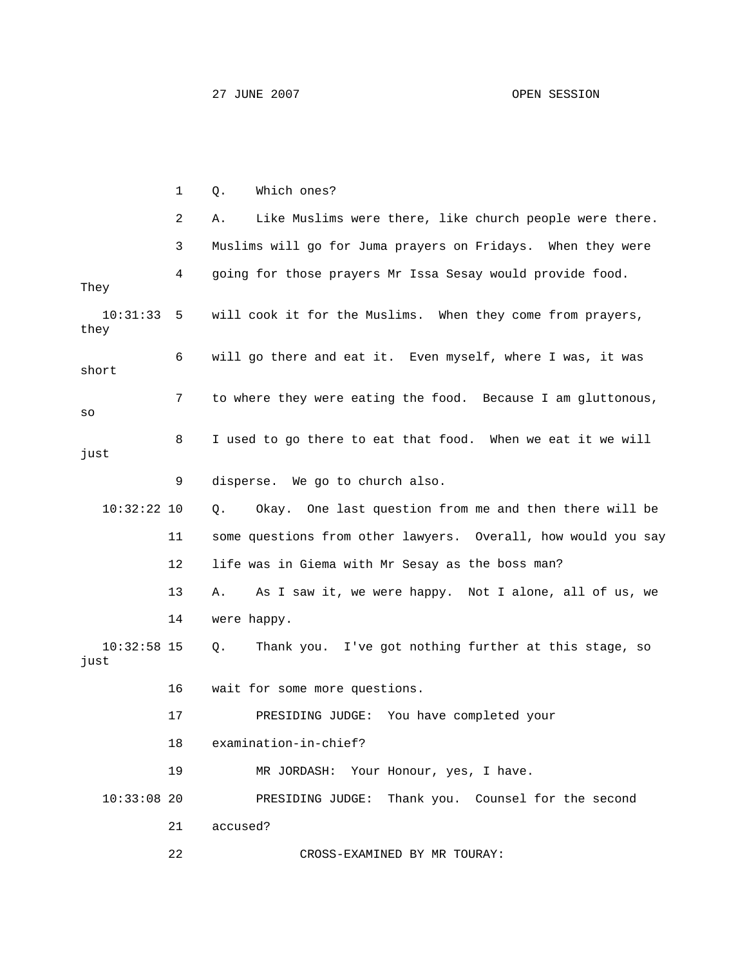|                       | $\mathbf{1}$ | Which ones?<br>Q.                                             |
|-----------------------|--------------|---------------------------------------------------------------|
|                       | 2            | Like Muslims were there, like church people were there.<br>Α. |
|                       | 3            | Muslims will go for Juma prayers on Fridays. When they were   |
| They                  | 4            | going for those prayers Mr Issa Sesay would provide food.     |
| 10:31:33<br>they      | 5            | will cook it for the Muslims. When they come from prayers,    |
| short                 | 6            | will go there and eat it. Even myself, where I was, it was    |
| SO                    | 7            | to where they were eating the food. Because I am gluttonous,  |
| just                  | 8            | I used to go there to eat that food. When we eat it we will   |
|                       | 9            | disperse. We go to church also.                               |
| $10:32:22$ 10         |              | Okay. One last question from me and then there will be<br>Q.  |
|                       | 11           | some questions from other lawyers. Overall, how would you say |
|                       | 12           | life was in Giema with Mr Sesay as the boss man?              |
|                       | 13           | As I saw it, we were happy. Not I alone, all of us, we<br>Α.  |
|                       | 14           | were happy.                                                   |
| $10:32:58$ 15<br>just |              | Thank you. I've got nothing further at this stage, so<br>Q.   |
|                       | 16           | wait for some more questions.                                 |
|                       | 17           | PRESIDING JUDGE:<br>You have completed your                   |
|                       | 18           | examination-in-chief?                                         |
|                       | 19           | MR JORDASH: Your Honour, yes, I have.                         |
| $10:33:08$ 20         |              | PRESIDING JUDGE: Thank you. Counsel for the second            |
|                       | 21           | accused?                                                      |
|                       | 22           | CROSS-EXAMINED BY MR TOURAY:                                  |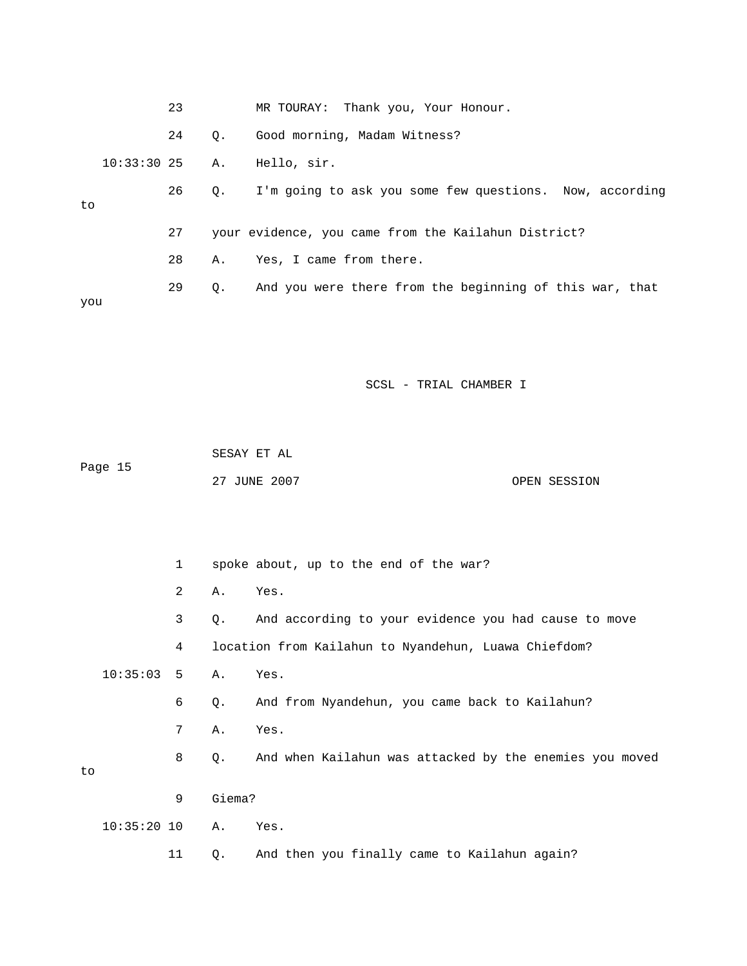|     |               | 23 |           | MR TOURAY: Thank you, Your Honour.                      |
|-----|---------------|----|-----------|---------------------------------------------------------|
|     |               | 24 | $\circ$ . | Good morning, Madam Witness?                            |
|     | 10:33:3025 A. |    |           | Hello, sir.                                             |
| to  |               | 26 | Q.        | I'm going to ask you some few questions. Now, according |
|     |               | 27 |           | your evidence, you came from the Kailahun District?     |
|     |               | 28 | Α.        | Yes, I came from there.                                 |
| you |               | 29 | $\circ$ . | And you were there from the beginning of this war, that |

|         | SESAY ET AL  |              |
|---------|--------------|--------------|
| Page 15 |              |              |
|         | 27 JUNE 2007 | OPEN SESSION |

 2 A. Yes. 3 Q. And according to your evidence you had cause to move 4 location from Kailahun to Nyandehun, Luawa Chiefdom? 8 Q. And when Kailahun was attacked by the enemies you moved 9 Giema? 1 spoke about, up to the end of the war? 10:35:03 5 A. Yes. 6 Q. And from Nyandehun, you came back to Kailahun? 7 A. Yes. to 10:35:20 10 A. Yes. 11 Q. And then you finally came to Kailahun again?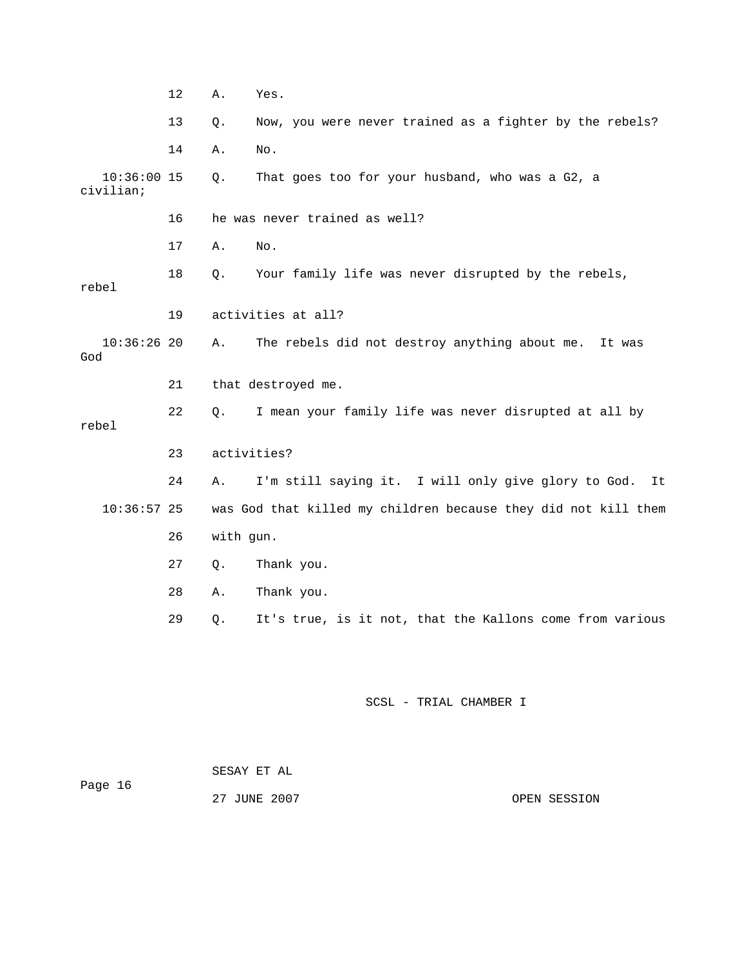|                            | 12 | Α.          | Yes.                                                           |
|----------------------------|----|-------------|----------------------------------------------------------------|
|                            | 13 | Q.          | Now, you were never trained as a fighter by the rebels?        |
|                            | 14 | Α.          | No.                                                            |
| $10:36:00$ 15<br>civilian; |    | Q.          | That goes too for your husband, who was a G2, a                |
|                            | 16 |             | he was never trained as well?                                  |
|                            | 17 | Α.          | No.                                                            |
| rebel                      | 18 | О.          | Your family life was never disrupted by the rebels,            |
|                            | 19 |             | activities at all?                                             |
| 10:36:2620<br>God          |    | Α.          | The rebels did not destroy anything about me.<br>It was        |
|                            | 21 |             | that destroyed me.                                             |
| rebel                      | 22 | Q.          | I mean your family life was never disrupted at all by          |
|                            | 23 | activities? |                                                                |
|                            | 24 | Α.          | I'm still saying it. I will only give glory to God.<br>It      |
| $10:36:57$ 25              |    |             | was God that killed my children because they did not kill them |
|                            | 26 | with gun.   |                                                                |
|                            | 27 | Q.          | Thank you.                                                     |
|                            | 28 | Α.          | Thank you.                                                     |
|                            | 29 | Q.          | It's true, is it not, that the Kallons come from various       |

 SESAY ET AL Page 16

27 JUNE 2007 OPEN SESSION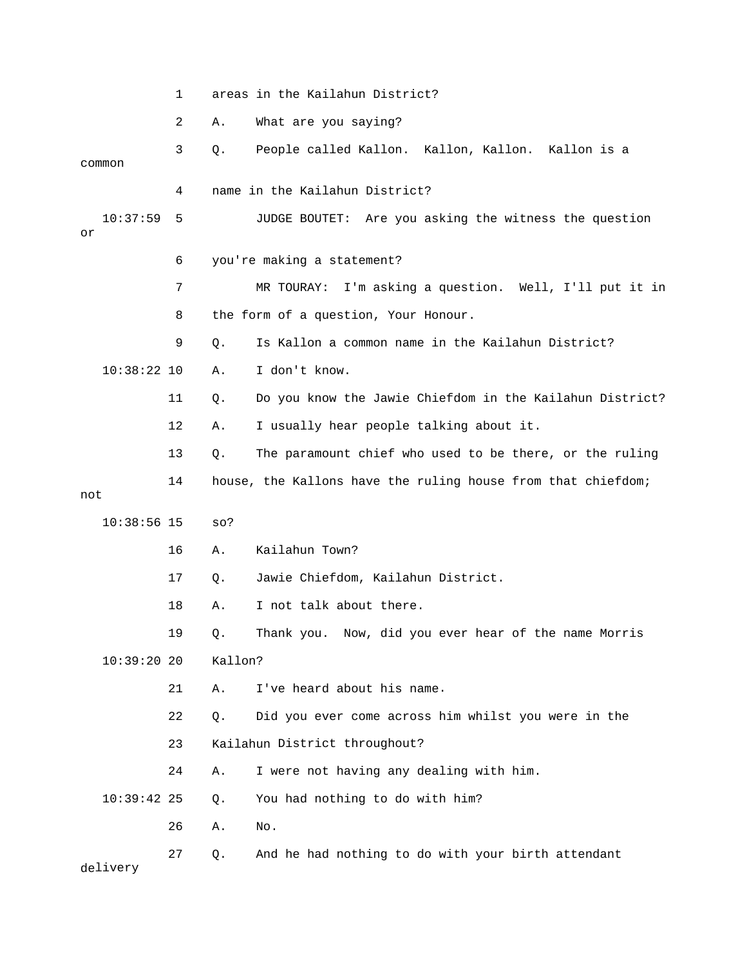1 areas in the Kailahun District?

2 A. What are you saying?

 3 Q. People called Kallon. Kallon, Kallon. Kallon is a common 4 name in the Kailahun District? 10:37:59 5 JUDGE BOUTET: Are you asking the witness the question 6 you're making a statement? 7 MR TOURAY: I'm asking a question. Well, I'll put it in 8 the form of a question, Your Honour. 9 Q. Is Kallon a common name in the Kailahun District? 11 Q. Do you know the Jawie Chiefdom in the Kailahun District? 13 Q. The paramount chief who used to be there, or the ruling not 16 A. Kailahun Town? or 10:38:22 10 A. I don't know. 12 A. I usually hear people talking about it. 14 house, the Kallons have the ruling house from that chiefdom; 10:38:56 15 so?

17 Q. Jawie Chiefdom, Kailahun District.

 I not talk about there. 18 A.

19 Q. Thank you. Now, did you ever hear of the name Morris 10:39:20 20 Kallon?

21 A. I've heard about his name.

22 Q. Did you ever come across him whilst you were in the

23 Kailahun District throughout?

24 A. I were not having any dealing with him.

10:39:42 25 Q. You had nothing to do with him?

26 A. No.

27 Q. And he had nothing to do with your birth attendant delivery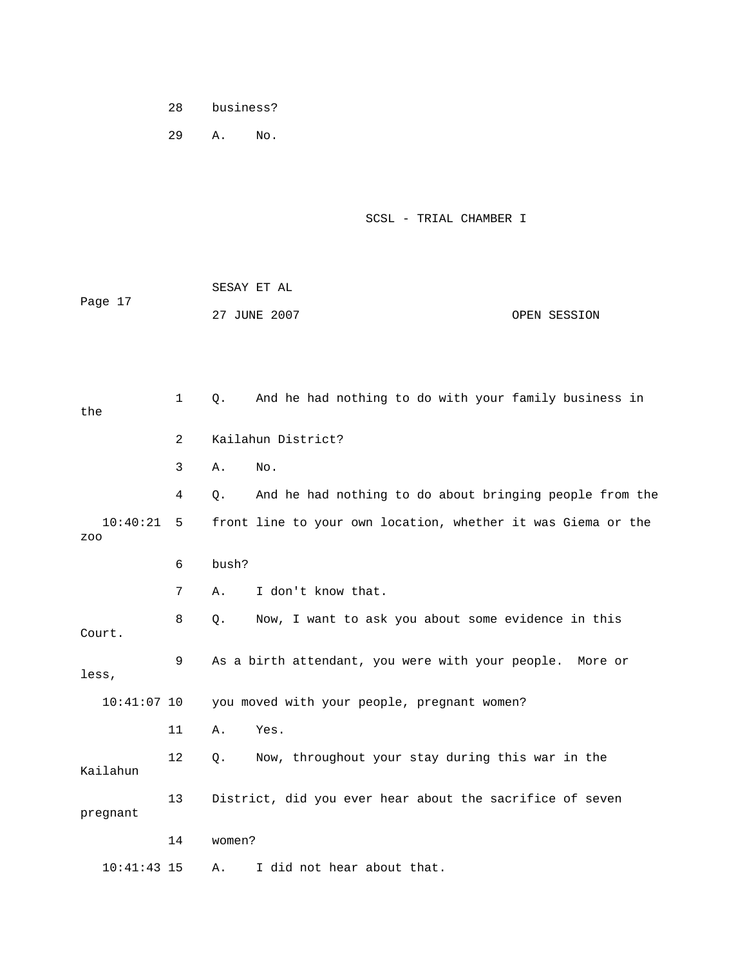28 business?

29 A. No.

SCSL - TRIAL CHAMBER I

|         | SESAY ET AL  |              |
|---------|--------------|--------------|
| Page 17 |              |              |
|         | 27 JUNE 2007 | OPEN SESSION |

| the             | $\mathbf{1}$   | $Q$ .  | And he had nothing to do with your family business in        |
|-----------------|----------------|--------|--------------------------------------------------------------|
|                 | $\overline{2}$ |        | Kailahun District?                                           |
|                 | 3              | Α.     | No.                                                          |
|                 | 4              | Q.     | And he had nothing to do about bringing people from the      |
| 10:40:21<br>ZOO | 5              |        | front line to your own location, whether it was Giema or the |
|                 | 6              | bush?  |                                                              |
|                 | 7              | Α.     | I don't know that.                                           |
| Court.          | 8              | Q.     | Now, I want to ask you about some evidence in this           |
| less,           | 9              |        | As a birth attendant, you were with your people.<br>More or  |
| $10:41:07$ 10   |                |        | you moved with your people, pregnant women?                  |
|                 | 11             | Α.     | Yes.                                                         |
| Kailahun        | 12             | $Q$ .  | Now, throughout your stay during this war in the             |
| pregnant        | 13             |        | District, did you ever hear about the sacrifice of seven     |
|                 | 14             | women? |                                                              |
| $10:41:43$ 15   |                | Α.     | I did not hear about that.                                   |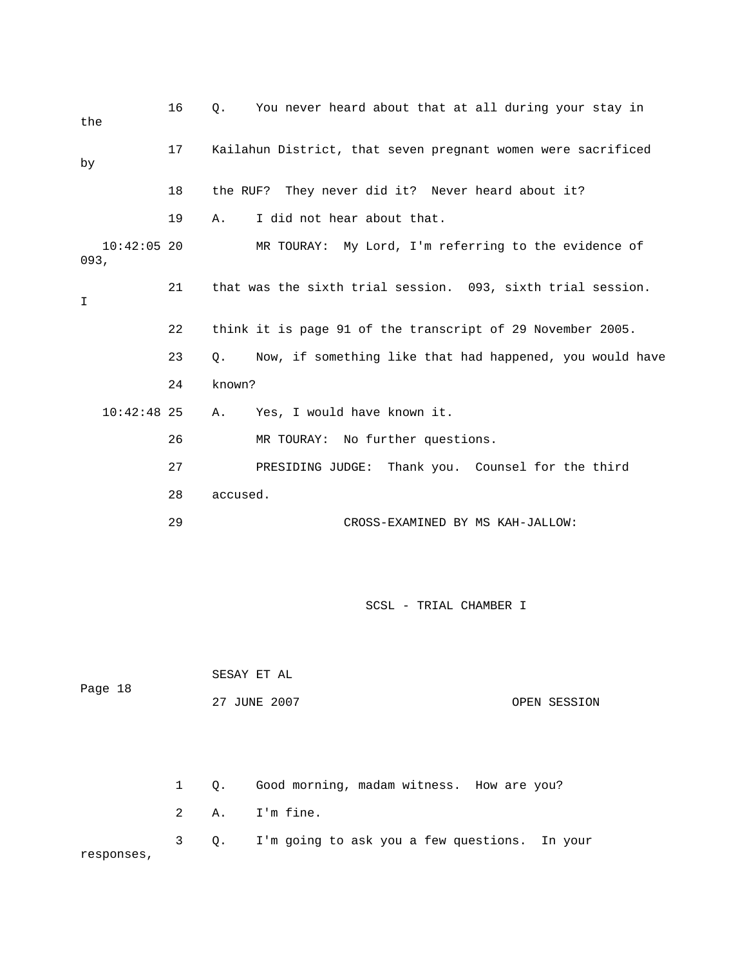| the                   | 16 | You never heard about that at all during your stay in<br>Q.    |
|-----------------------|----|----------------------------------------------------------------|
| by                    | 17 | Kailahun District, that seven pregnant women were sacrificed   |
|                       | 18 | the RUF? They never did it? Never heard about it?              |
|                       | 19 | I did not hear about that.<br>Α.                               |
| $10:42:05$ 20<br>093, |    | MR TOURAY: My Lord, I'm referring to the evidence of           |
| I                     | 21 | that was the sixth trial session. 093, sixth trial session.    |
|                       | 22 | think it is page 91 of the transcript of 29 November 2005.     |
|                       | 23 | Now, if something like that had happened, you would have<br>Q. |
|                       | 24 | known?                                                         |
| $10:42:48$ 25         |    | Yes, I would have known it.<br>Α.                              |
|                       | 26 | MR TOURAY: No further questions.                               |
|                       | 27 | PRESIDING JUDGE: Thank you. Counsel for the third              |
|                       | 28 | accused.                                                       |
|                       | 29 | CROSS-EXAMINED BY MS KAH-JALLOW:                               |
|                       |    |                                                                |
|                       |    | SCSL - TRIAL CHAMBER I                                         |

| Page 18 | SESAY ET AL  |              |
|---------|--------------|--------------|
|         | 27 JUNE 2007 | OPEN SESSION |

 2 A. I'm fine. 3 Q. I'm going to ask you a few questions. In your responses, 1 Q. Good morning, madam witness. How are you?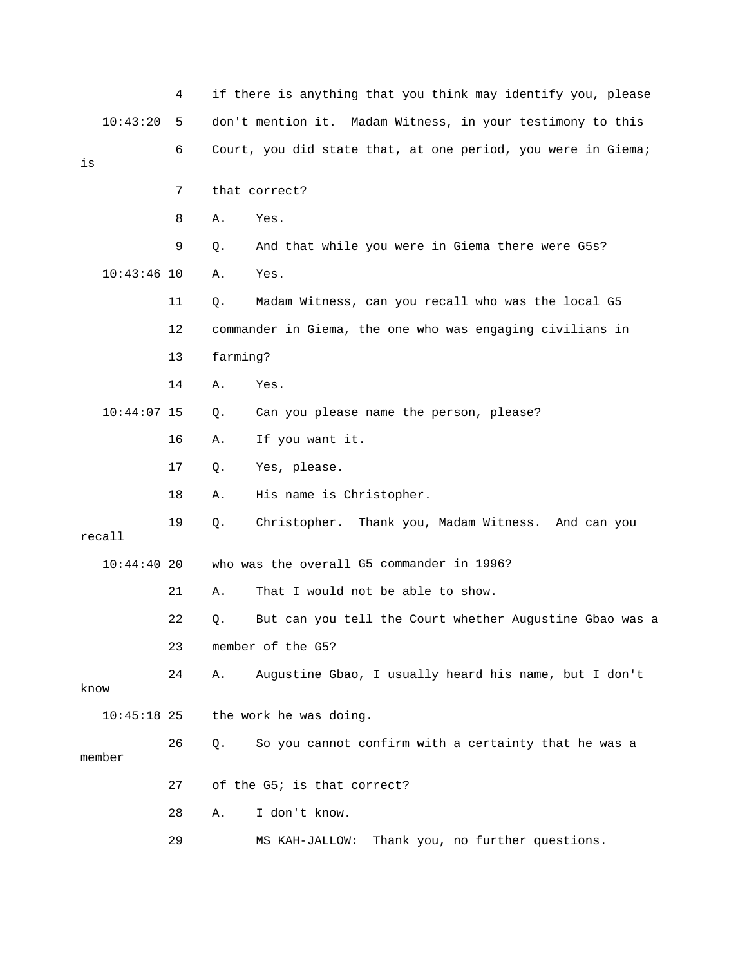|      |               | 4  |          | if there is anything that you think may identify you, please |
|------|---------------|----|----------|--------------------------------------------------------------|
|      | 10:43:20      | 5  |          | don't mention it. Madam Witness, in your testimony to this   |
| is   |               | 6  |          | Court, you did state that, at one period, you were in Giema; |
|      |               | 7  |          | that correct?                                                |
|      |               | 8  | Α.       | Yes.                                                         |
|      |               | 9  | Q.       | And that while you were in Giema there were G5s?             |
|      | $10:43:46$ 10 |    | Α.       | Yes.                                                         |
|      |               | 11 | Q.       | Madam Witness, can you recall who was the local G5           |
|      |               | 12 |          | commander in Giema, the one who was engaging civilians in    |
|      |               | 13 | farming? |                                                              |
|      |               | 14 | Α.       | Yes.                                                         |
|      | $10:44:07$ 15 |    | Q.       | Can you please name the person, please?                      |
|      |               | 16 | Α.       | If you want it.                                              |
|      |               | 17 | Q.       | Yes, please.                                                 |
|      |               | 18 | Α.       | His name is Christopher.                                     |
|      | recall        | 19 | Q.       | Christopher. Thank you, Madam Witness. And can you           |
|      | 10:44:4020    |    |          | who was the overall G5 commander in 1996?                    |
|      |               | 21 | Α.       | That I would not be able to show.                            |
|      |               | 22 | Q.       | But can you tell the Court whether Augustine Gbao was a      |
|      |               | 23 |          | member of the G5?                                            |
| know |               | 24 | Α.       | Augustine Gbao, I usually heard his name, but I don't        |
|      | $10:45:18$ 25 |    |          | the work he was doing.                                       |
|      | member        | 26 | Q.       | So you cannot confirm with a certainty that he was a         |
|      |               | 27 |          | of the G5; is that correct?                                  |
|      |               | 28 | Α.       | I don't know.                                                |
|      |               | 29 |          | Thank you, no further questions.<br>MS KAH-JALLOW:           |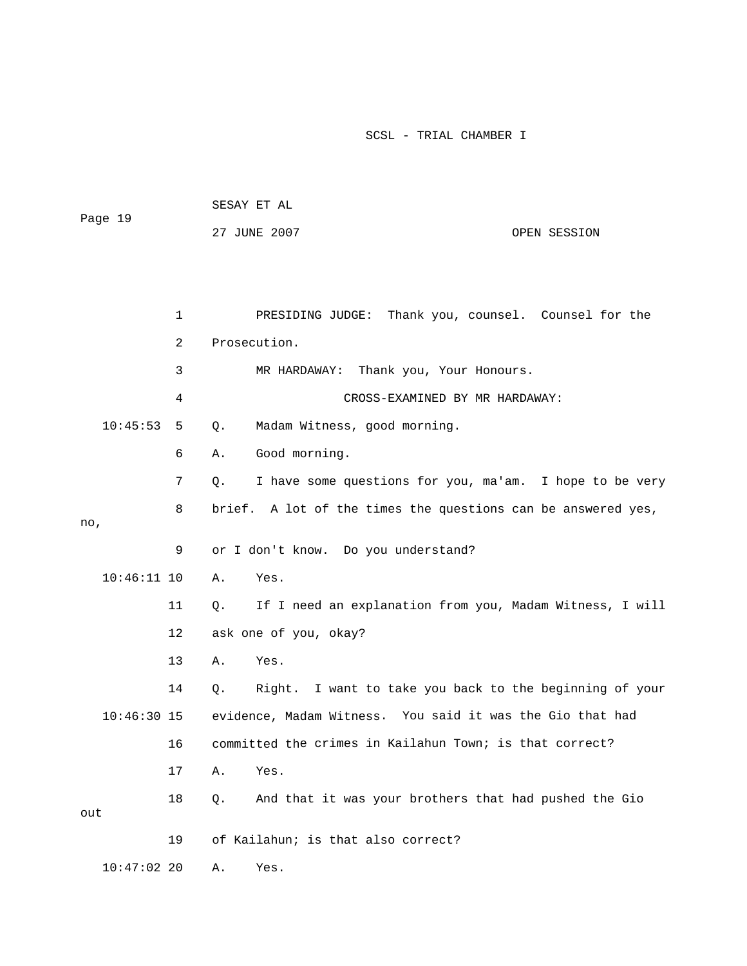| Page 19 |               |              |              |                                                              |              |  |
|---------|---------------|--------------|--------------|--------------------------------------------------------------|--------------|--|
|         |               |              |              | 27 JUNE 2007                                                 | OPEN SESSION |  |
|         |               |              |              |                                                              |              |  |
|         |               |              |              |                                                              |              |  |
|         |               | $\mathbf{1}$ |              | PRESIDING JUDGE: Thank you, counsel. Counsel for the         |              |  |
|         |               | 2            | Prosecution. |                                                              |              |  |
|         |               | 3            |              | MR HARDAWAY: Thank you, Your Honours.                        |              |  |
|         |               | 4            |              | CROSS-EXAMINED BY MR HARDAWAY:                               |              |  |
|         | 10:45:53      | 5            | Q.           | Madam Witness, good morning.                                 |              |  |
|         |               | 6            | Α.           | Good morning.                                                |              |  |
|         |               | 7            | Q.           | I have some questions for you, ma'am. I hope to be very      |              |  |
|         |               | 8            |              | brief. A lot of the times the questions can be answered yes, |              |  |
| no,     |               |              |              |                                                              |              |  |
|         |               | 9            |              | or I don't know. Do you understand?                          |              |  |
|         | $10:46:11$ 10 |              | Α.           | Yes.                                                         |              |  |
|         |               | 11           | Q.           | If I need an explanation from you, Madam Witness, I will     |              |  |
|         |               | 12           |              | ask one of you, okay?                                        |              |  |
|         |               | 13           | Α.           | Yes.                                                         |              |  |
|         |               | 14           | Q.           | Right. I want to take you back to the beginning of your      |              |  |
|         | $10:46:30$ 15 |              |              | evidence, Madam Witness. You said it was the Gio that had    |              |  |
|         |               | 16           |              | committed the crimes in Kailahun Town; is that correct?      |              |  |
|         |               | 17           | Α.           | Yes.                                                         |              |  |
|         |               | 18           | Q.           | And that it was your brothers that had pushed the Gio        |              |  |
| out     |               |              |              |                                                              |              |  |
|         |               | 19           |              | of Kailahun; is that also correct?                           |              |  |
|         | $10:47:02$ 20 |              | Α.           | Yes.                                                         |              |  |

SESAY ET AL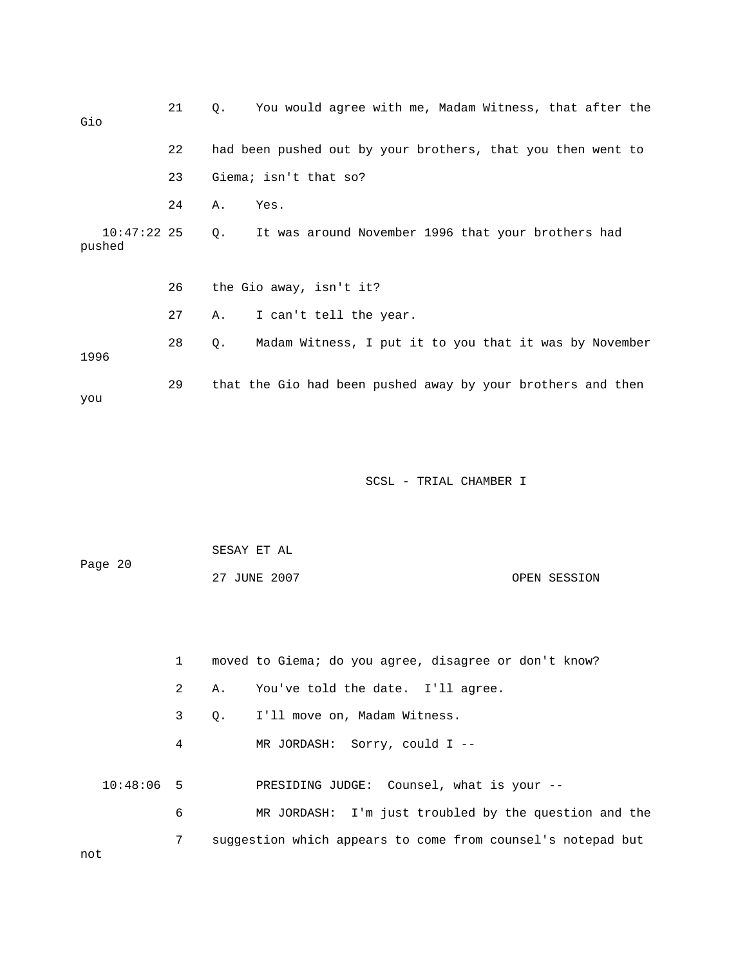| Gio                     | 21 | $\circ$ . | You would agree with me, Madam Witness, that after the      |
|-------------------------|----|-----------|-------------------------------------------------------------|
|                         | 22 |           | had been pushed out by your brothers, that you then went to |
|                         | 23 |           | Giema; isn't that so?                                       |
|                         | 24 | Α.        | Yes.                                                        |
| $10:47:22$ 25<br>pushed |    | Q.        | It was around November 1996 that your brothers had          |
|                         | 26 |           | the Gio away, isn't it?                                     |
|                         | 27 | Α.        | I can't tell the year.                                      |
| 1996                    | 28 | Q.        | Madam Witness, I put it to you that it was by November      |
| you                     | 29 |           | that the Gio had been pushed away by your brothers and then |

| Page 20 | SESAY ET AL  |              |
|---------|--------------|--------------|
|         | 27 JUNE 2007 | OPEN SESSION |

1 moved to Giema; do you agree, disagree or don't know?

2 A. You've told the date. I'll agree.

3 Q. I'll move on, Madam Witness.

4 MR JORDASH: Sorry, could I --

10:48:06 5 PRESIDING JUDGE: Counsel, what is your --

6 MR JORDASH: I'm just troubled by the question and the 7 suggestion which appears to come from counsel's notepad but

not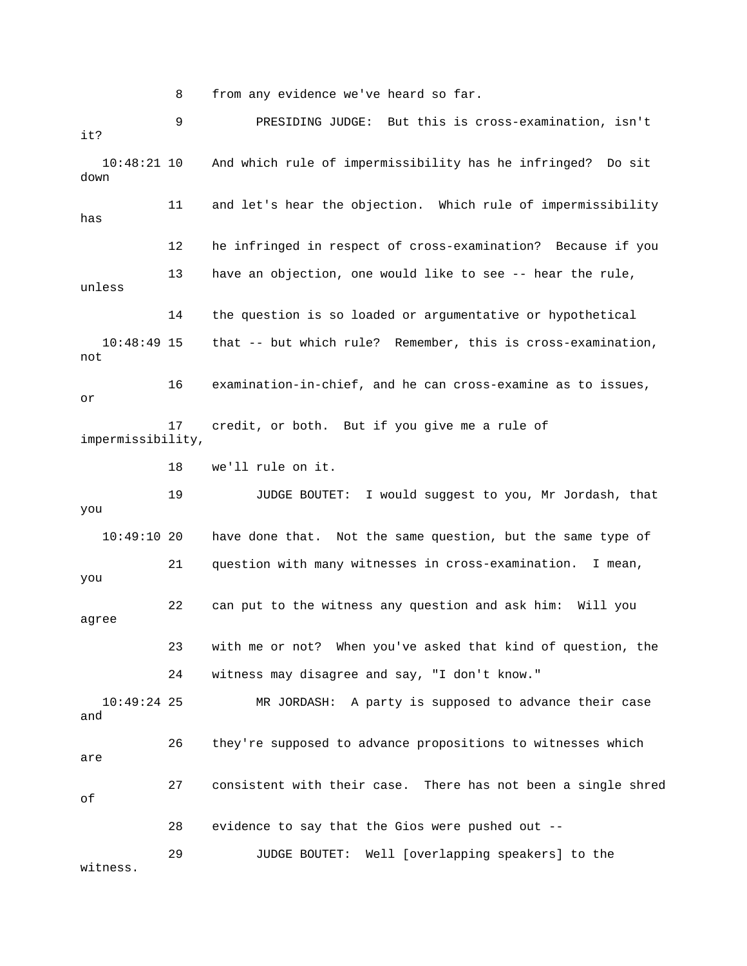8 from any evidence we've heard so far.

 9 PRESIDING JUDGE: But this is cross-examination, isn't 10:48:21 10 And which rule of impermissibility has he infringed? Do sit 10:48:49 15 that -- but which rule? Remember, this is cross-examination, 16 examination-in-chief, and he can cross-examine as to issues, impermissibility, 19 JUDGE BOUTET: I would suggest to you, Mr Jordash, that 10:49:10 20 have done that. Not the same question, but the same type of 21 question with many witnesses in cross-examination. I mean, 22 can put to the witness any question and ask him: Will you 24 witness may disagree and say, "I don't know." MR JORDASH: A party is supposed to advance their case and 26 they're supposed to advance propositions to witnesses which 29 JUDGE BOUTET: Well [overlapping speakers] to the witness. it? down 11 and let's hear the objection. Which rule of impermissibility has 12 he infringed in respect of cross-examination? Because if you 13 have an objection, one would like to see -- hear the rule, unless 14 the question is so loaded or argumentative or hypothetical not or 17 credit, or both. But if you give me a rule of 18 we'll rule on it. you you agree 23 with me or not? When you've asked that kind of question, the  $10:49:24$  25 are 27 consistent with their case. There has not been a single shred of 28 evidence to say that the Gios were pushed out --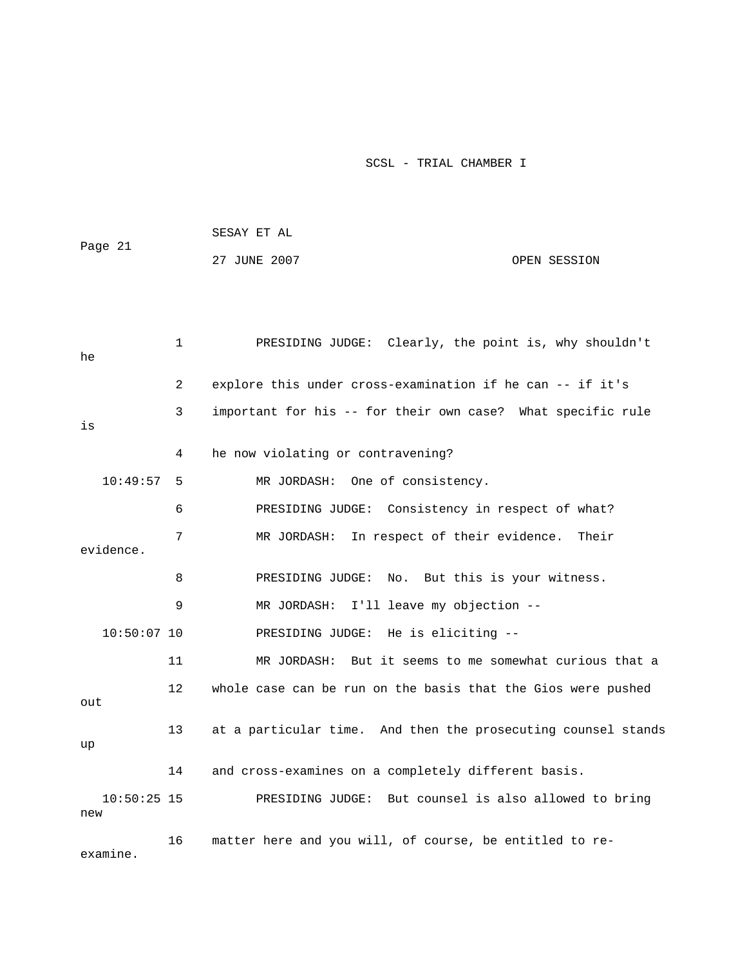| Page 21  |                | SESAY ET AL                                                 |  |  |  |  |
|----------|----------------|-------------------------------------------------------------|--|--|--|--|
|          |                | 27 JUNE 2007<br>OPEN SESSION                                |  |  |  |  |
|          |                |                                                             |  |  |  |  |
| he       | $\mathbf{1}$   | PRESIDING JUDGE: Clearly, the point is, why shouldn't       |  |  |  |  |
|          | $\overline{2}$ | explore this under cross-examination if he can -- if it's   |  |  |  |  |
| is       | 3              | important for his -- for their own case? What specific rule |  |  |  |  |
|          | 4              | he now violating or contravening?                           |  |  |  |  |
| 10:49:57 | -5             | MR JORDASH: One of consistency.                             |  |  |  |  |
|          | 6              | PRESIDING JUDGE: Consistency in respect of what?            |  |  |  |  |
|          | 7              | MR JORDASH: In respect of their evidence. Their             |  |  |  |  |

8 PRESIDING JUDGE: No. But this is your witness.

9 MR JORDASH: I'll leave my objection --

10:50:07 10 PRESIDING JUDGE: He is eliciting --

evidence.

 11 MR JORDASH: But it seems to me somewhat curious that a 12 whole case can be run on the basis that the Gios were pushed 13 at a particular time. And then the prosecuting counsel stands out up

14 and cross-examines on a completely different basis.

PRESIDING JUDGE: But counsel is also allowed to bring  $10:50:25$  15 new

 16 matter here and you will, of course, be entitled to reexamine.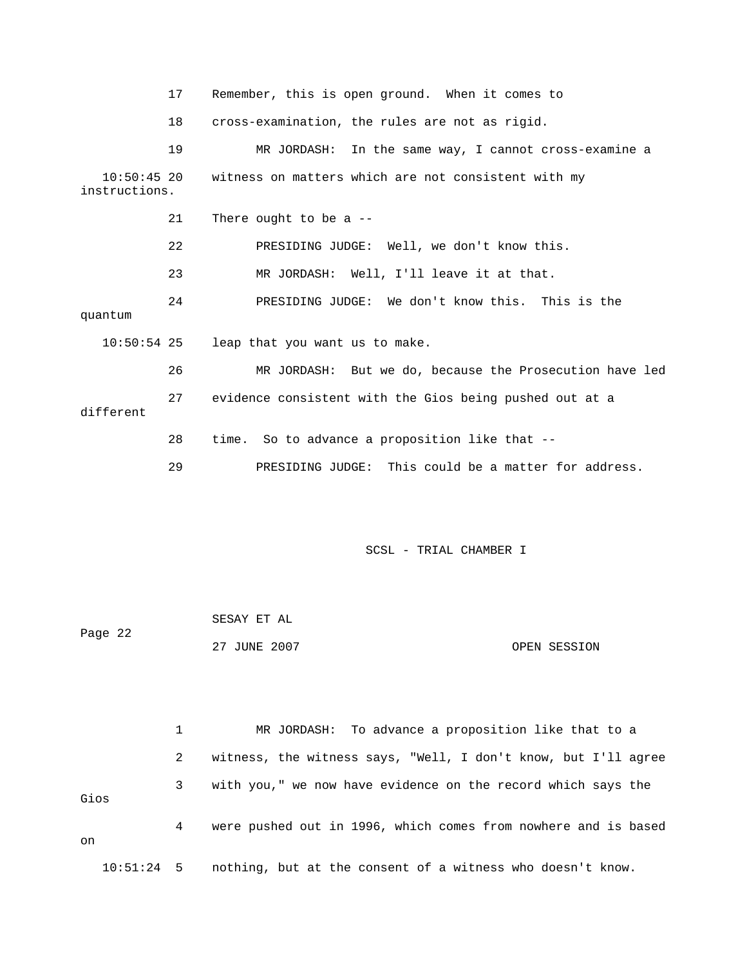17 Remember, this is open ground. When it comes to

18 cross-examination, the rules are not as rigid.

19 MR JORDASH: In the same way, I cannot cross-examine a 10:50:45 20 witness on matters which are not consistent with my 24 PRESIDING JUDGE: We don't know this. This is the 26 MR JORDASH: But we do, because the Prosecution have led 28 time. So to advance a proposition like that -instructions. 21 There ought to be a -- 22 PRESIDING JUDGE: Well, we don't know this. 23 MR JORDASH: Well, I'll leave it at that. quantum 10:50:54 25 leap that you want us to make. 27 evidence consistent with the Gios being pushed out at a different 29 PRESIDING JUDGE: This could be a matter for address.

SCSL - TRIAL CHAMBER I

| Page 22 | SESAY ET AL  |              |  |
|---------|--------------|--------------|--|
|         | 27 JUNE 2007 | OPEN SESSION |  |

 2 witness, the witness says, "Well, I don't know, but I'll agree 3 with you," we now have evidence on the record which says the Gios 4 were pushed out in 1996, which comes from nowhere and is based 10:51:24 5 nothing, but at the consent of a witness who doesn't know. 1 MR JORDASH: To advance a proposition like that to a on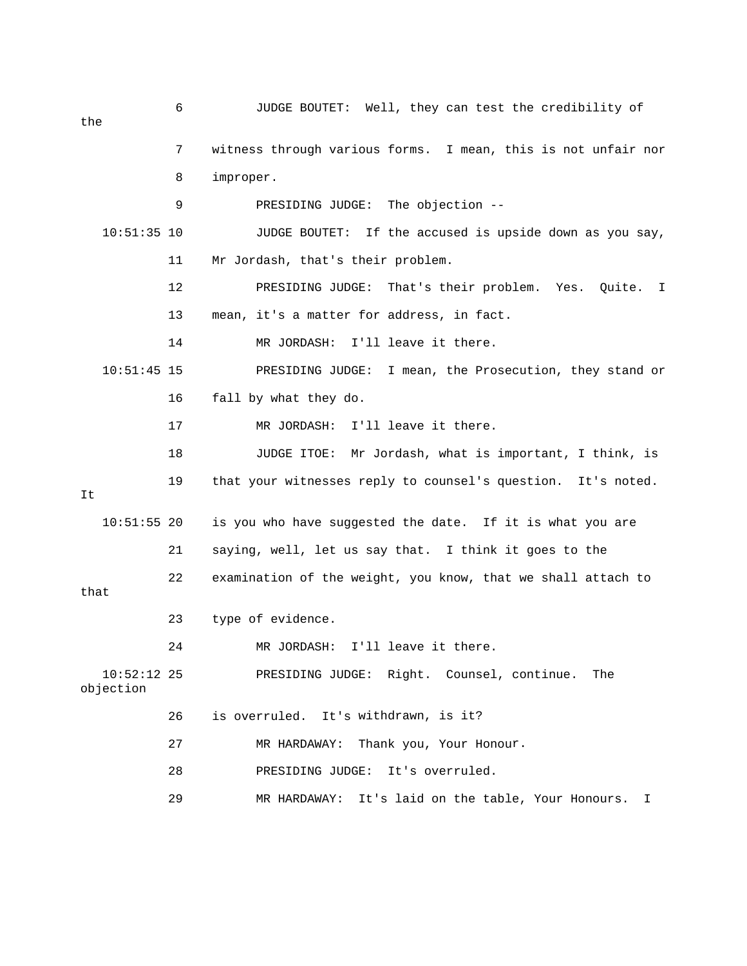6 JUDGE BOUTET: Well, they can test the credibility of the 7 witness through various forms. I mean, this is not unfair nor 11 Mr Jordash, that's their problem. 12 PRESIDING JUDGE: That's their problem. Yes. Quite. I 14 MR JORDASH: I'll leave it there. 10:51:45 15 PRESIDING JUDGE: I mean, the Prosecution, they stand or 17 MR JORDASH: I'll leave it there. 18 JUDGE ITOE: Mr Jordash, what is important, I think, is 10:51:55 20 is you who have suggested the date. If it is what you are 26 is overruled. It's withdrawn, is it? 27 MR HARDAWAY: Thank you, Your Honour. 29 MR HARDAWAY: It's laid on the table, Your Honours. I 8 improper. 9 PRESIDING JUDGE: The objection -- 10:51:35 10 JUDGE BOUTET: If the accused is upside down as you say, 13 mean, it's a matter for address, in fact. 16 fall by what they do. 19 that your witnesses reply to counsel's question. It's noted. It 21 saying, well, let us say that. I think it goes to the 22 examination of the weight, you know, that we shall attach to that 23 type of evidence. 24 MR JORDASH: I'll leave it there. 10:52:12 25 PRESIDING JUDGE: Right. Counsel, continue. The objection 28 PRESIDING JUDGE: It's overruled.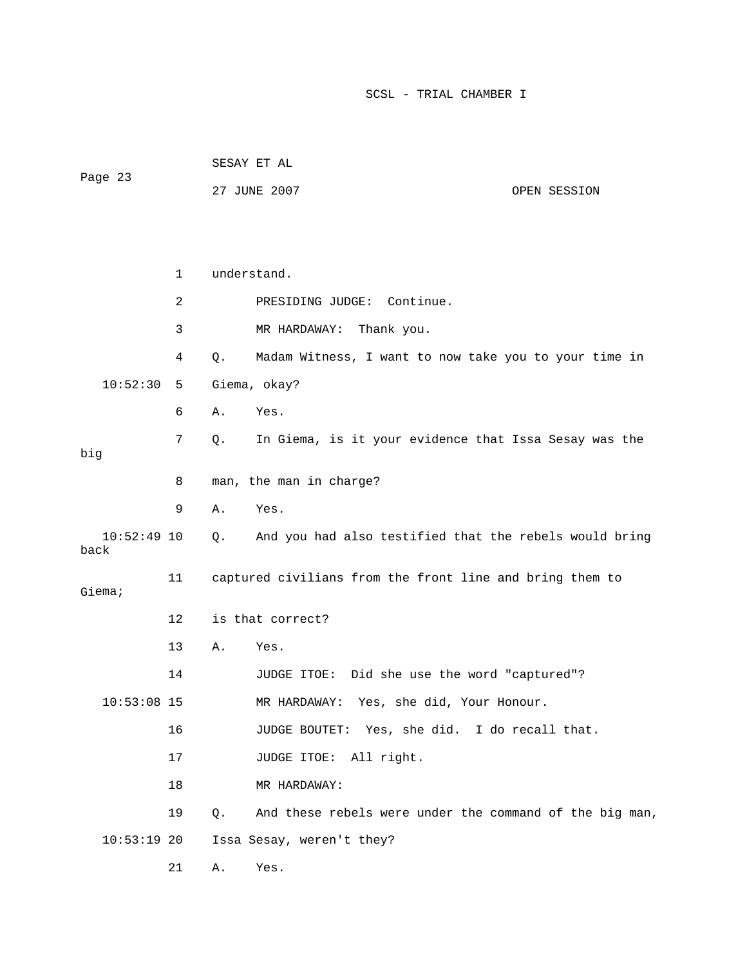| Page 23               |    |    | 27 JUNE 2007                                             | OPEN SESSION |
|-----------------------|----|----|----------------------------------------------------------|--------------|
|                       |    |    |                                                          |              |
|                       | 1  |    | understand.                                              |              |
|                       | 2  |    | PRESIDING JUDGE: Continue.                               |              |
|                       | 3  |    | MR HARDAWAY:<br>Thank you.                               |              |
|                       | 4  | Q. | Madam Witness, I want to now take you to your time in    |              |
| 10:52:30              | 5  |    | Giema, okay?                                             |              |
|                       | 6  | Α. | Yes.                                                     |              |
| big                   | 7  | Q. | In Giema, is it your evidence that Issa Sesay was the    |              |
|                       | 8  |    | man, the man in charge?                                  |              |
|                       | 9  | Α. | Yes.                                                     |              |
| $10:52:49$ 10<br>back |    | Q. | And you had also testified that the rebels would bring   |              |
| Giema;                | 11 |    | captured civilians from the front line and bring them to |              |
|                       | 12 |    | is that correct?                                         |              |
|                       | 13 | Α. | Yes.                                                     |              |
|                       | 14 |    | JUDGE ITOE: Did she use the word "captured"?             |              |
| $10:53:08$ 15         |    |    | Yes, she did, Your Honour.<br>MR HARDAWAY:               |              |
|                       | 16 |    | JUDGE BOUTET: Yes, she did. I do recall that.            |              |
|                       | 17 |    | JUDGE ITOE: All right.                                   |              |
|                       | 18 |    | MR HARDAWAY:                                             |              |
|                       | 19 | Q. | And these rebels were under the command of the big man,  |              |
| $10:53:19$ 20         |    |    | Issa Sesay, weren't they?                                |              |
|                       | 21 | Α. | Yes.                                                     |              |

SESAY ET AL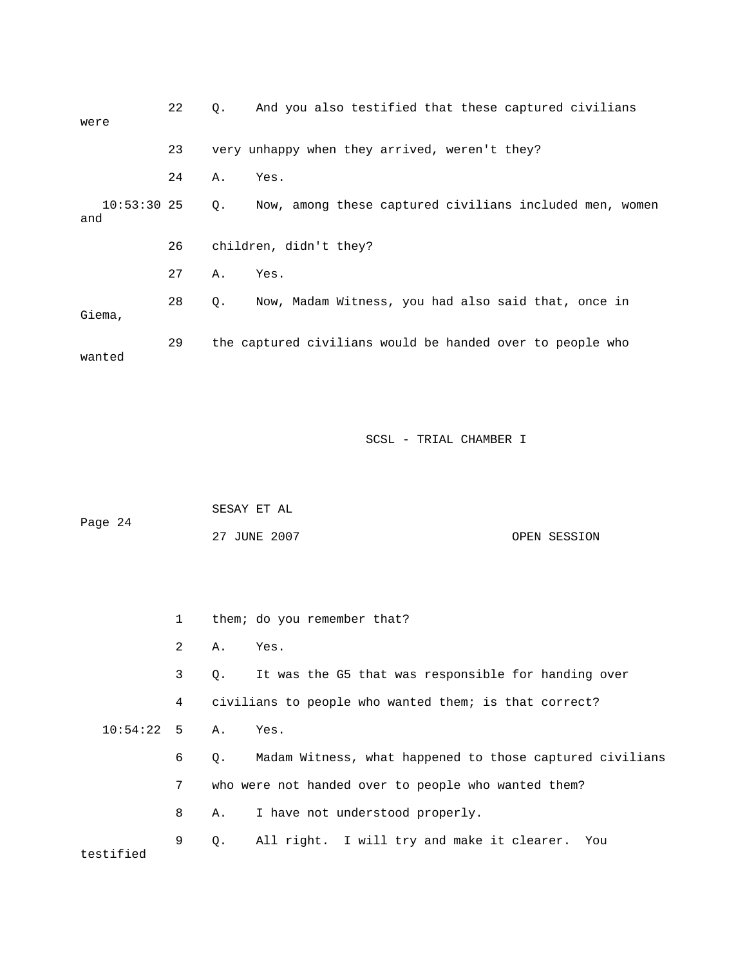| were                 | 22 | $\circ$ . | And you also testified that these captured civilians      |
|----------------------|----|-----------|-----------------------------------------------------------|
|                      | 23 |           | very unhappy when they arrived, weren't they?             |
|                      | 24 | Α.        | Yes.                                                      |
| $10:53:30$ 25<br>and |    | Q.        | Now, among these captured civilians included men, women   |
|                      | 26 |           | children, didn't they?                                    |
|                      | 27 | Α.        | Yes.                                                      |
| Giema,               | 28 | 0.        | Now, Madam Witness, you had also said that, once in       |
| wanted               | 29 |           | the captured civilians would be handed over to people who |

|         | SESAY ET AL |              |              |
|---------|-------------|--------------|--------------|
| Page 24 |             |              |              |
|         |             | 27 JUNE 2007 | OPEN SESSION |

|                 | $\mathbf{1}$ |           | them; do you remember that?                              |
|-----------------|--------------|-----------|----------------------------------------------------------|
|                 | 2            | А.        | Yes.                                                     |
|                 | 3            | $\circ$ . | It was the G5 that was responsible for handing over      |
|                 | 4            |           | civilians to people who wanted them; is that correct?    |
| $10:54:22$ 5 A. |              |           | Yes.                                                     |
|                 | 6            | Q.        | Madam Witness, what happened to those captured civilians |
|                 | 7            |           | who were not handed over to people who wanted them?      |
|                 | 8            | Α.        | I have not understood properly.                          |
|                 | 9            | $\circ$ . | All right. I will try and make it clearer. You           |
| testified       |              |           |                                                          |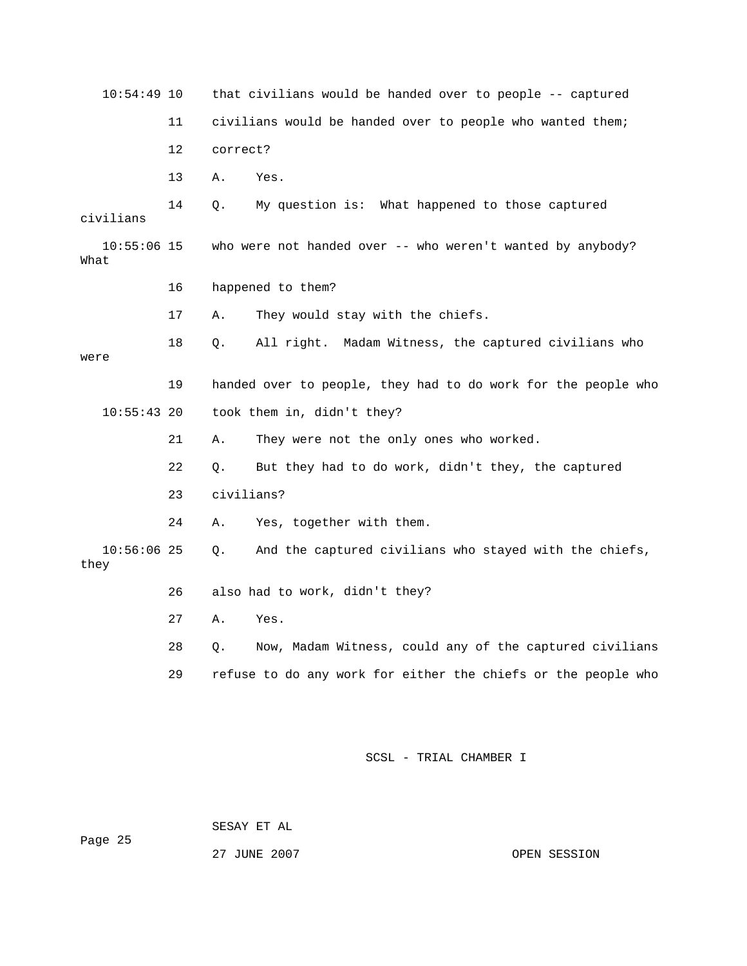| $10:54:49$ 10         |    | that civilians would be handed over to people -- captured     |  |  |  |
|-----------------------|----|---------------------------------------------------------------|--|--|--|
|                       | 11 | civilians would be handed over to people who wanted them;     |  |  |  |
|                       | 12 | correct?                                                      |  |  |  |
|                       | 13 | Α.<br>Yes.                                                    |  |  |  |
| civilians             | 14 | Q.<br>My question is: What happened to those captured         |  |  |  |
| $10:55:06$ 15<br>What |    | who were not handed over -- who weren't wanted by anybody?    |  |  |  |
|                       | 16 | happened to them?                                             |  |  |  |
|                       | 17 | They would stay with the chiefs.<br>Α.                        |  |  |  |
| were                  | 18 | All right. Madam Witness, the captured civilians who<br>Q.    |  |  |  |
|                       | 19 | handed over to people, they had to do work for the people who |  |  |  |
| $10:55:43$ 20         |    | took them in, didn't they?                                    |  |  |  |
|                       | 21 | They were not the only ones who worked.<br>Α.                 |  |  |  |
|                       | 22 | Q.<br>But they had to do work, didn't they, the captured      |  |  |  |
|                       | 23 | civilians?                                                    |  |  |  |
|                       | 24 | Yes, together with them.<br>Α.                                |  |  |  |
| $10:56:06$ 25<br>they |    | And the captured civilians who stayed with the chiefs,<br>Q.  |  |  |  |
|                       | 26 | also had to work, didn't they?                                |  |  |  |
|                       | 27 | Α.<br>Yes.                                                    |  |  |  |
|                       | 28 | Now, Madam Witness, could any of the captured civilians<br>Q. |  |  |  |
|                       | 29 | refuse to do any work for either the chiefs or the people who |  |  |  |
|                       |    |                                                               |  |  |  |

 SESAY ET AL ge 25 Pa 27 JUNE 2007

OPEN SESSION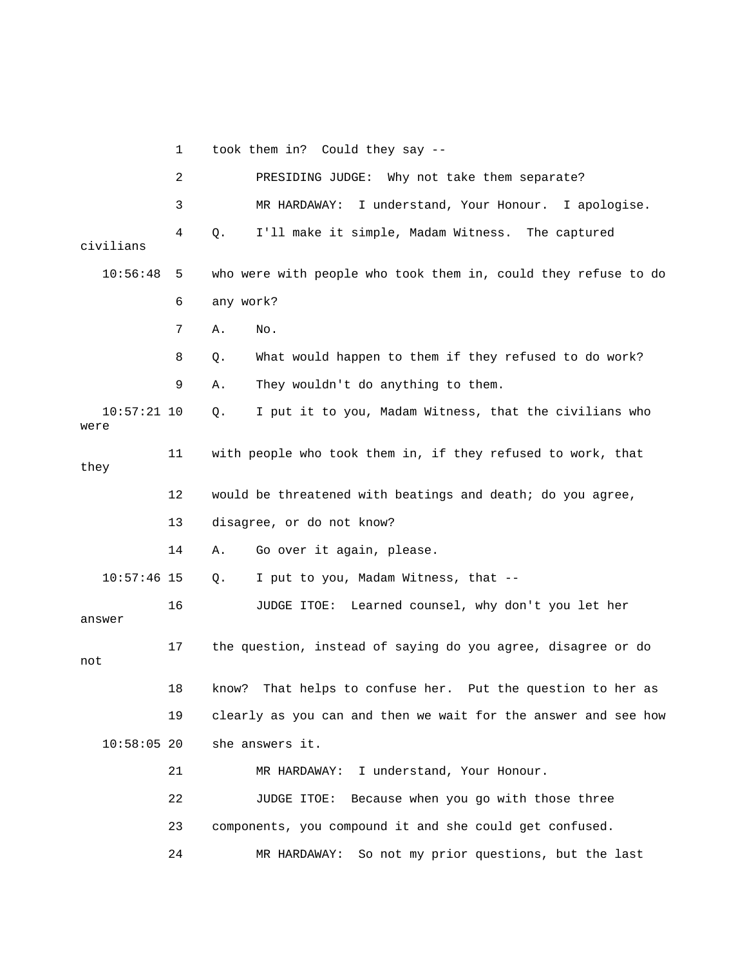1 took them in? Could they say -- 2 PRESIDING JUDGE: Why not take them separate? 3 MR HARDAWAY: I understand, Your Honour. I apologise. 4 Q. I'll make it simple, Madam Witness. The captured 10:56:48 5 who were with people who took them in, could they refuse to do 9 A. They wouldn't do anything to them. 10:57:21 10 Q. I put it to you, Madam Witness, that the civilians who they 12 would be threatened with beatings and death; do you agree, 10:57:46 15 Q. I put to you, Madam Witness, that -- 17 the question, instead of saying do you agree, disagree or do not 18 know? That helps to confuse her. Put the question to her as 19 clearly as you can and then we wait for the answer and see how 21 MR HARDAWAY: I understand, Your Honour. 22 JUDGE ITOE: Because when you go with those three 23 components, you compound it and she could get confused. 24 MR HARDAWAY: So not my prior questions, but the last civilians 6 any work? 7 A. No. 8 Q. What would happen to them if they refused to do work? were 11 with people who took them in, if they refused to work, that 13 disagree, or do not know? 14 A. Go over it again, please. 16 JUDGE ITOE: Learned counsel, why don't you let her answer 10:58:05 20 she answers it.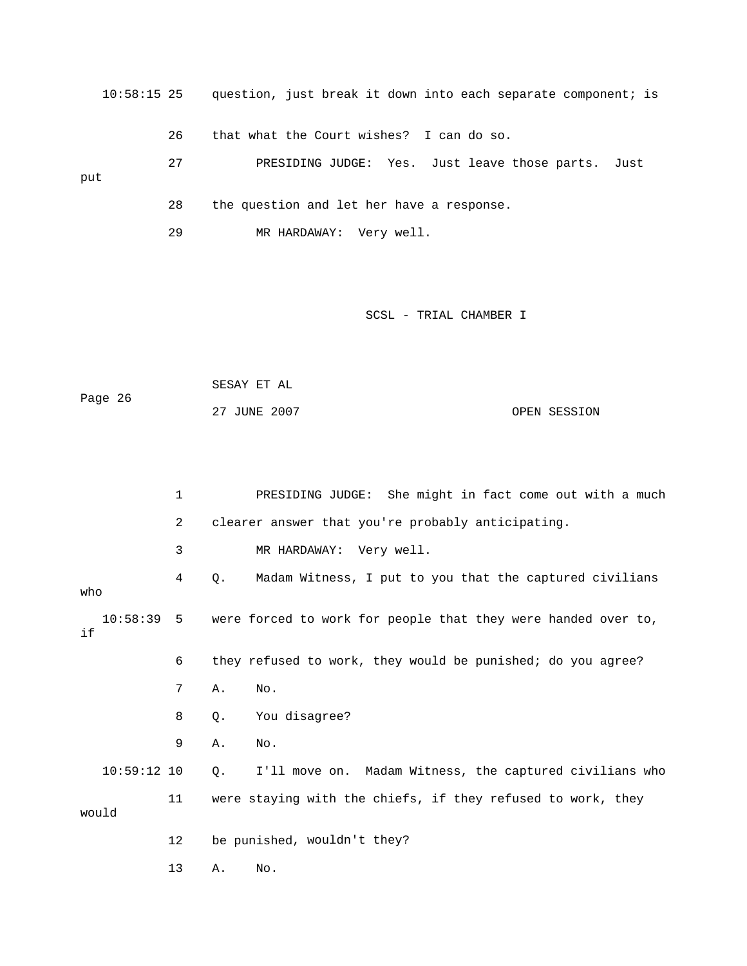10:58:15 25 question, just break it down into each separate component; is put 28 the question and let her have a response. 26 that what the Court wishes? I can do so. 27 PRESIDING JUDGE: Yes. Just leave those parts. Just 29 MR HARDAWAY: Very well.

SCSL - TRIAL CHAMBER I

```
 SESAY ET AL 
                                                                OPEN SESSION
Page 26 
                   27 JUNE 2007
```
 1 PRESIDING JUDGE: She might in fact come out with a much 3 MR HARDAWAY: Very well. 4 Q. Madam Witness, I put to you that the captured civilians 10:58:39 5 were forced to work for people that they were handed over to, 6 they refused to work, they would be punished; do you agree? 9 A. No. 10:59:12 10 Q. I'll move on. Madam Witness, the captured civilians who 11 were staying with the chiefs, if they refused to work, they 12 be punished, wouldn't they? 2 clearer answer that you're probably anticipating. who if 7 A. No. 8 Q. You disagree? would 13 A. No.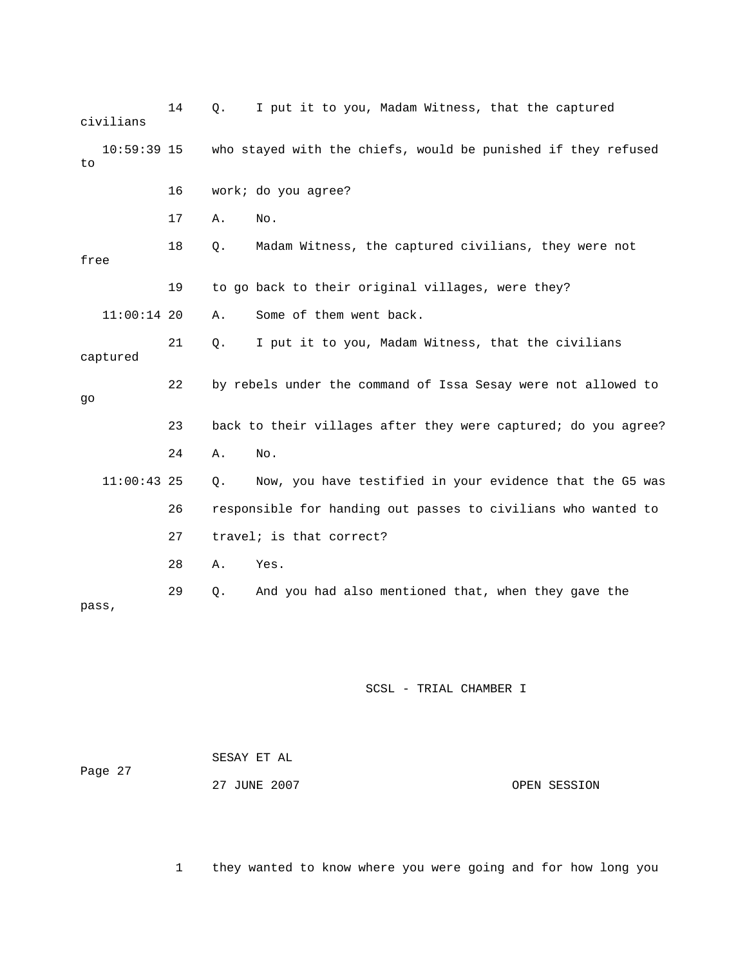|      | civilians     | 14 | Q. | I put it to you, Madam Witness, that the captured              |
|------|---------------|----|----|----------------------------------------------------------------|
| to   | $10:59:39$ 15 |    |    | who stayed with the chiefs, would be punished if they refused  |
|      |               | 16 |    | work; do you agree?                                            |
|      |               | 17 | Α. | No.                                                            |
| free |               | 18 | Q. | Madam Witness, the captured civilians, they were not           |
|      |               | 19 |    | to go back to their original villages, were they?              |
|      | $11:00:14$ 20 |    | Α. | Some of them went back.                                        |
|      | captured      | 21 | Q. | I put it to you, Madam Witness, that the civilians             |
| go   |               | 22 |    | by rebels under the command of Issa Sesay were not allowed to  |
|      |               |    |    | back to their villages after they were captured; do you agree? |
|      |               | 23 |    |                                                                |
|      |               | 24 | Α. | No.                                                            |
|      | $11:00:43$ 25 |    | Q. | Now, you have testified in your evidence that the G5 was       |
|      |               | 26 |    | responsible for handing out passes to civilians who wanted to  |
|      |               | 27 |    | travel; is that correct?                                       |
|      |               | 28 | Α. | Yes.                                                           |

| Page 27 | SESAY ET AL  |              |
|---------|--------------|--------------|
|         | 27 JUNE 2007 | OPEN SESSION |

1 they wanted to know where you were going and for how long you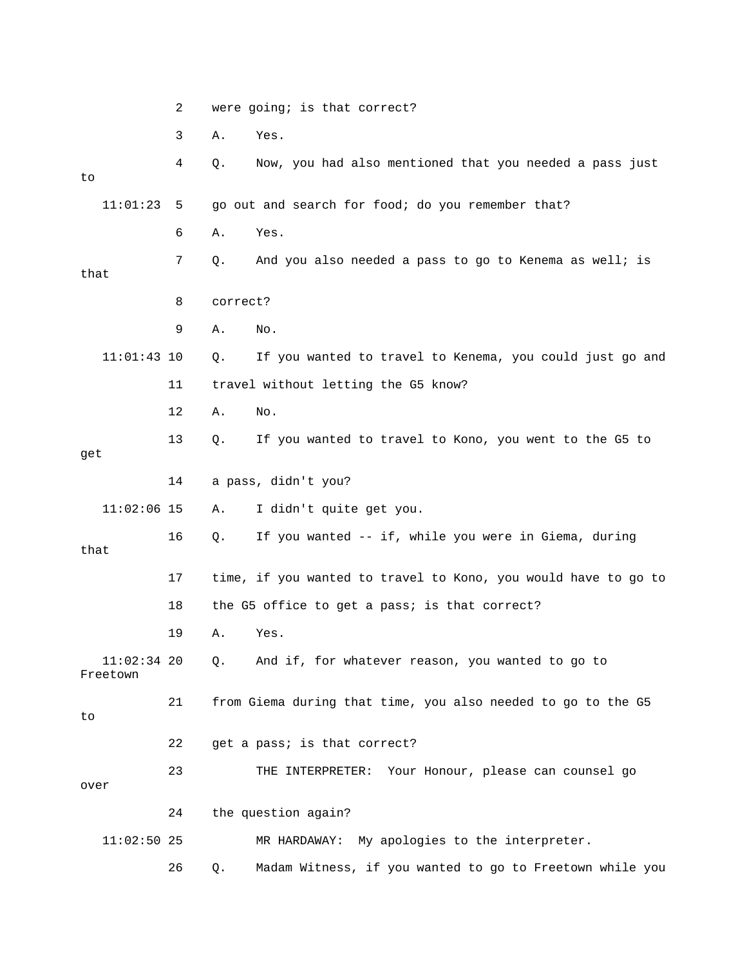|                           | 2  |                     | were going; is that correct?                                   |
|---------------------------|----|---------------------|----------------------------------------------------------------|
|                           | 3  | Α.<br>Yes.          |                                                                |
| to                        | 4  | Q.                  | Now, you had also mentioned that you needed a pass just        |
| 11:01:23                  | 5  |                     | go out and search for food; do you remember that?              |
|                           | 6  | Yes.<br>Α.          |                                                                |
| that                      | 7  | Q.                  | And you also needed a pass to go to Kenema as well; is         |
|                           | 8  | correct?            |                                                                |
|                           | 9  | No.<br>Α.           |                                                                |
| $11:01:43$ 10             |    | Q.                  | If you wanted to travel to Kenema, you could just go and       |
|                           | 11 |                     | travel without letting the G5 know?                            |
|                           | 12 | Α.<br>No.           |                                                                |
| get                       | 13 | Q.                  | If you wanted to travel to Kono, you went to the G5 to         |
|                           | 14 | a pass, didn't you? |                                                                |
| $11:02:06$ 15             |    | Α.                  | I didn't quite get you.                                        |
| that                      | 16 | Q.                  | If you wanted -- if, while you were in Giema, during           |
|                           | 17 |                     | time, if you wanted to travel to Kono, you would have to go to |
|                           | 18 |                     | the G5 office to get a pass; is that correct?                  |
|                           | 19 | Yes.<br>Α.          |                                                                |
| $11:02:34$ 20<br>Freetown |    | Q.                  | And if, for whatever reason, you wanted to go to               |
| to                        | 21 |                     | from Giema during that time, you also needed to go to the G5   |
|                           | 22 |                     | get a pass; is that correct?                                   |
| over                      | 23 |                     | Your Honour, please can counsel go<br>THE INTERPRETER:         |
|                           | 24 | the question again? |                                                                |
| $11:02:50$ 25             |    |                     | MR HARDAWAY: My apologies to the interpreter.                  |
|                           | 26 | Q.                  | Madam Witness, if you wanted to go to Freetown while you       |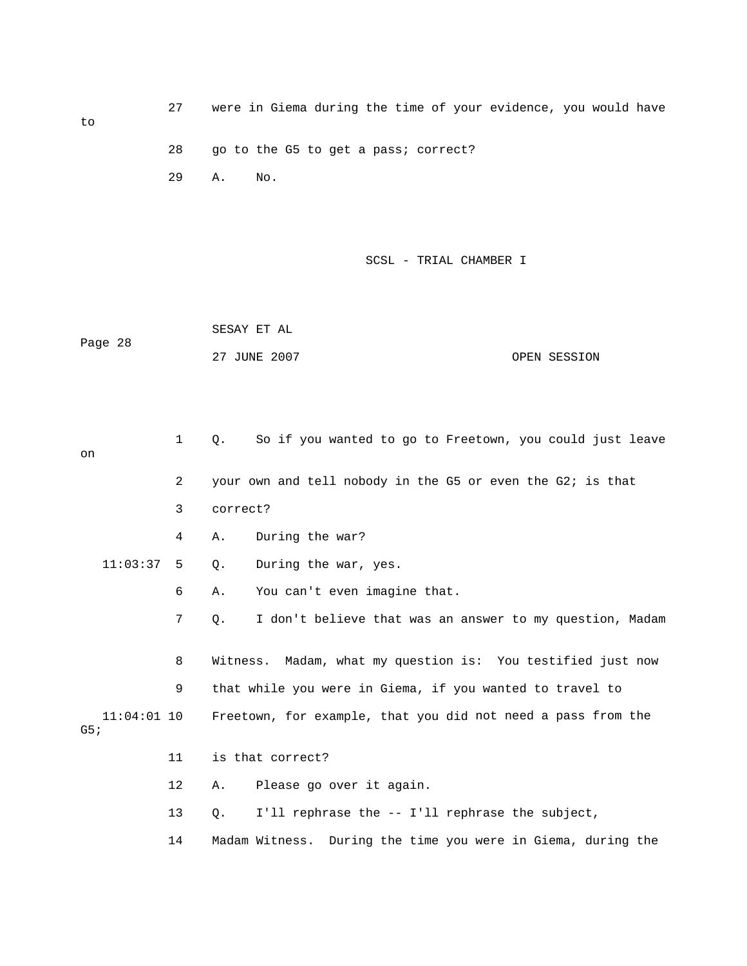to 27 were in Giema during the time of your evidence, you would have 28 go to the G5 to get a pass; correct? 29 A. No.

SCSL - TRIAL CHAMBER I

 SESAY ET AL ge 28 27 JUNE 2007 OPEN SESSION Pa

| on  |               | 1              | So if you wanted to go to Freetown, you could just leave<br>$\circ$ . |
|-----|---------------|----------------|-----------------------------------------------------------------------|
|     |               | $\overline{2}$ | your own and tell nobody in the G5 or even the G2; is that            |
|     |               | 3              | correct?                                                              |
|     |               | 4              | During the war?<br>Α.                                                 |
|     | 11:03:37      | -5             | During the war, yes.<br>Q.                                            |
|     |               | 6              | You can't even imagine that.<br>Α.                                    |
|     |               | 7              | I don't believe that was an answer to my question, Madam<br>О.        |
|     |               |                |                                                                       |
|     |               | 8              | Witness. Madam, what my question is: You testified just now           |
|     |               | 9              | that while you were in Giema, if you wanted to travel to              |
| G5; | $11:04:01$ 10 |                | Freetown, for example, that you did not need a pass from the          |
|     |               | 11             | is that correct?                                                      |
|     |               | $12 \,$        | Please go over it again.<br>Α.                                        |
|     |               | 13             | I'll rephrase the -- I'll rephrase the subject,<br>Q.                 |
|     |               | 14             | Madam Witness. During the time you were in Giema, during the          |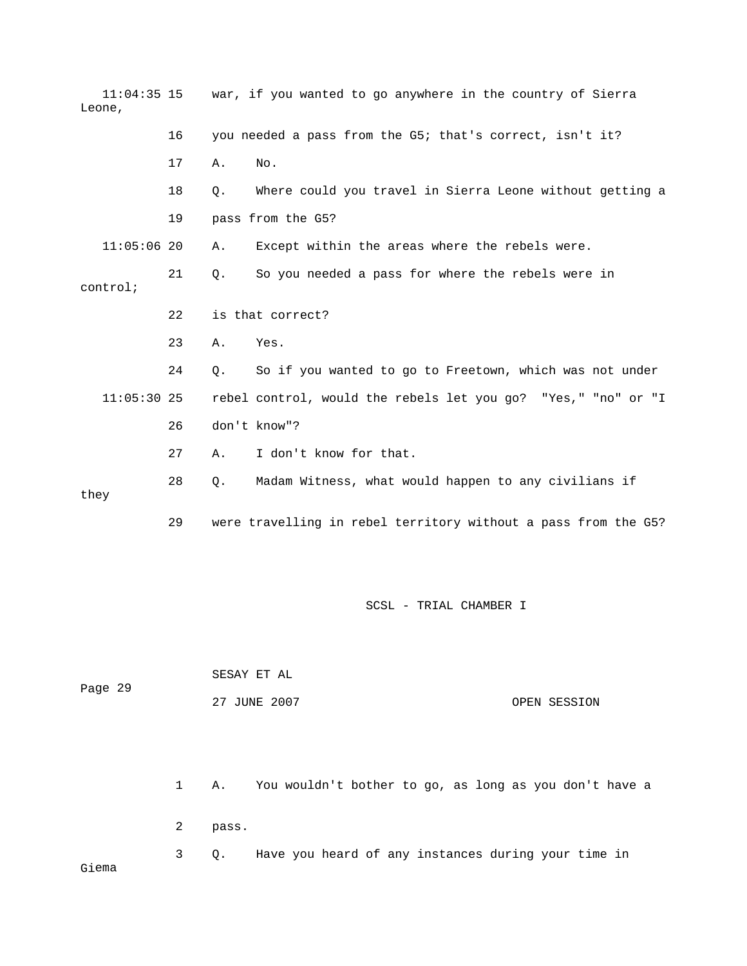| Leone,        |    |    | $11:04:35$ 15 war, if you wanted to go anywhere in the country of Sierra |
|---------------|----|----|--------------------------------------------------------------------------|
|               | 16 |    | you needed a pass from the G5; that's correct, isn't it?                 |
|               | 17 | Α. | No.                                                                      |
|               | 18 | О. | Where could you travel in Sierra Leone without getting a                 |
|               | 19 |    | pass from the G5?                                                        |
| $11:05:06$ 20 |    | Α. | Except within the areas where the rebels were.                           |
| control;      | 21 | О. | So you needed a pass for where the rebels were in                        |
|               | 22 |    | is that correct?                                                         |
|               | 23 | Α. | Yes.                                                                     |
|               | 24 | Q. | So if you wanted to go to Freetown, which was not under                  |
| $11:05:30$ 25 |    |    | rebel control, would the rebels let you go? "Yes," "no" or "I            |
|               | 26 |    | don't know"?                                                             |
|               | 27 | Α. | I don't know for that.                                                   |
| they          | 28 | О. | Madam Witness, what would happen to any civilians if                     |
|               | 29 |    | were travelling in rebel territory without a pass from the G5?           |

| Page 29 | SESAY ET AL  |              |
|---------|--------------|--------------|
|         | 27 JUNE 2007 | OPEN SESSION |

Gi

 2 pass. 3 Q. Have you heard of any instances during your time in ema 1 A. You wouldn't bother to go, as long as you don't have a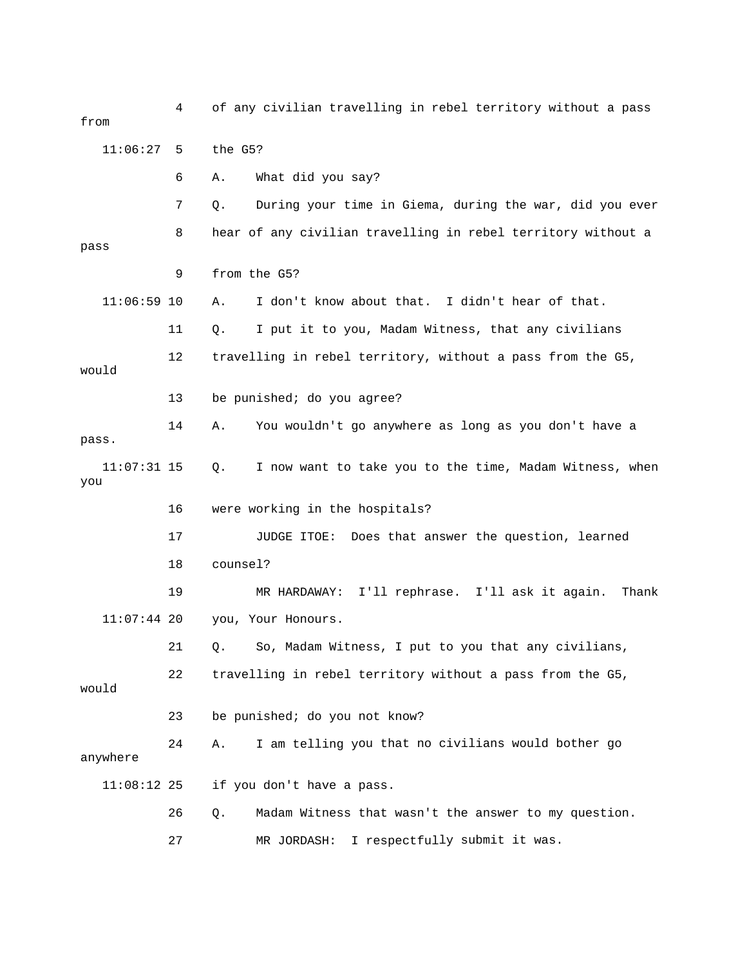4 of any civilian travelling in rebel territory without a pass from 7 Q. During your time in Giema, during the war, did you ever 8 hear of any civilian travelling in rebel territory without a pass 11:06:59 10 A. I don't know about that. I didn't hear of that. 11 Q. I put it to you, Madam Witness, that any civilians 12 travelling in rebel territory, without a pass from the G5, would 13 be punished; do you agree? a 14 A. You wouldn't go anywhere as long as you don't have 11:07:31 15 Q. I now want to take you to the time, Madam Witness, when 16 were working in the hospitals? 17 JUDGE ITOE: Does that answer the question, learned 11:07:44 20 you, Your Honours. 21 Q. So, Madam Witness, I put to you that any civilians, 22 travelling in rebel territory without a pass from the G5, 24 A. I am telling you that no civilians would bother go anywhere 11:08:12 25 if you don't have a pass. 27 MR JORDASH: I respectfully submit it was. 11:06:27 5 the G5? 6 A. What did you say? 9 from the G5? pass. you 18 counsel? 19 MR HARDAWAY: I'll rephrase. I'll ask it again. Thank would 23 be punished; do you not know? 26 Q. Madam Witness that wasn't the answer to my question.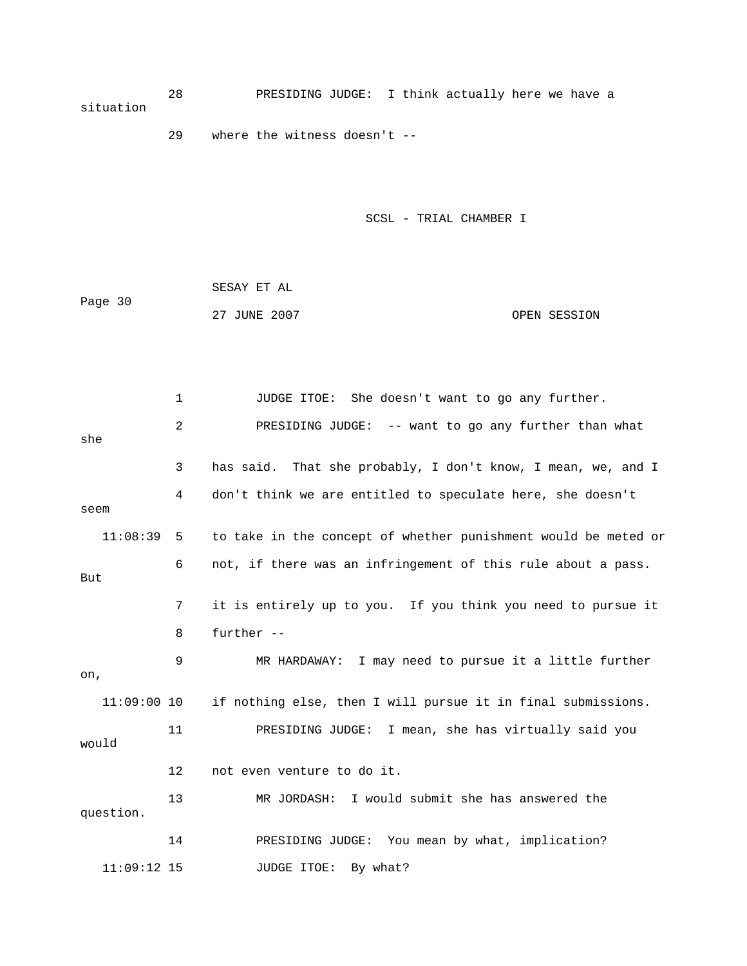28 PRESIDING JUDGE: I think actually here we have a situation

29 where the witness doesn't --

SCSL - TRIAL CHAMBER I

| Page 30 | SESAY ET AL  |              |
|---------|--------------|--------------|
|         | 27 JUNE 2007 | OPEN SESSION |

 2 PRESIDING JUDGE: -- want to go any further than what 3 has said. That she probably, I don't know, I mean, we, and I 4 don't think we are entitled to speculate here, she doesn't seem 11:08:39 5 to take in the concept of whether punishment would be meted or But 8 further -- , on if nothing else, then I will pursue it in final submissions. would 12 not even venture to do it. 13 MR JORDASH: I would submit she has answered the question. 14 PRESIDING JUDGE: You mean by what, implication? JUDGE ITOE: By what? 1 JUDGE ITOE: She doesn't want to go any further. she 6 not, if there was an infringement of this rule about a pass. 7 it is entirely up to you. If you think you need to pursue it 9 MR HARDAWAY: I may need to pursue it a little further  $11:09:00$  10 11 PRESIDING JUDGE: I mean, she has virtually said you 11:09:12 15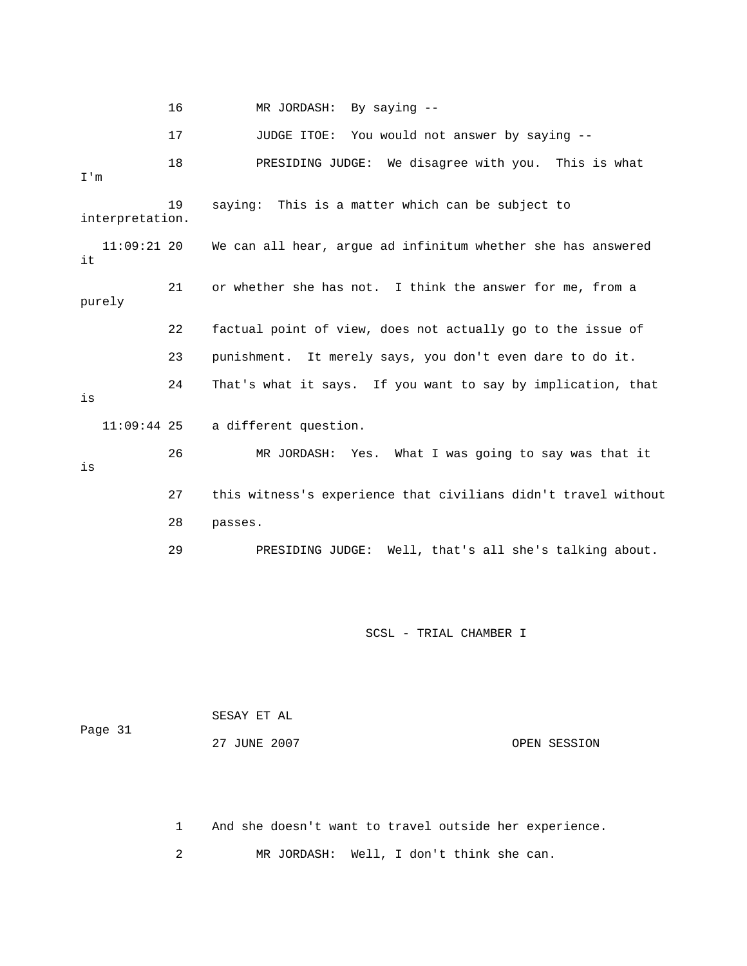16 MR JORDASH: By saying -- 18 PRESIDING JUDGE: We disagree with you. This is what 19 saying: This is a matter which can be subject to interpretation. 11:09:21 20 We can all hear, argue ad infinitum whether she has answered purely 22 factual point of view, does not actually go to the issue of 24 That's what it says. If you want to say by implication, that a different question. 27 this witness's experience that civilians didn't travel without Well, that's all she's talking about. 29 PRESIDING JUDGE: 17 JUDGE ITOE: You would not answer by saying -- I'm it 21 or whether she has not. I think the answer for me, from a 23 punishment. It merely says, you don't even dare to do it. is 11:09:44 25 26 MR JORDASH: Yes. What I was going to say was that it is 28 passes.

SCSL - TRIAL CHAMBER I

| Page 31 | SESAY ET AL  |              |  |
|---------|--------------|--------------|--|
|         | 27 JUNE 2007 | OPEN SESSION |  |

 1 And she doesn't want to travel outside her experience. 2 MR JORDASH: Well, I don't think she can.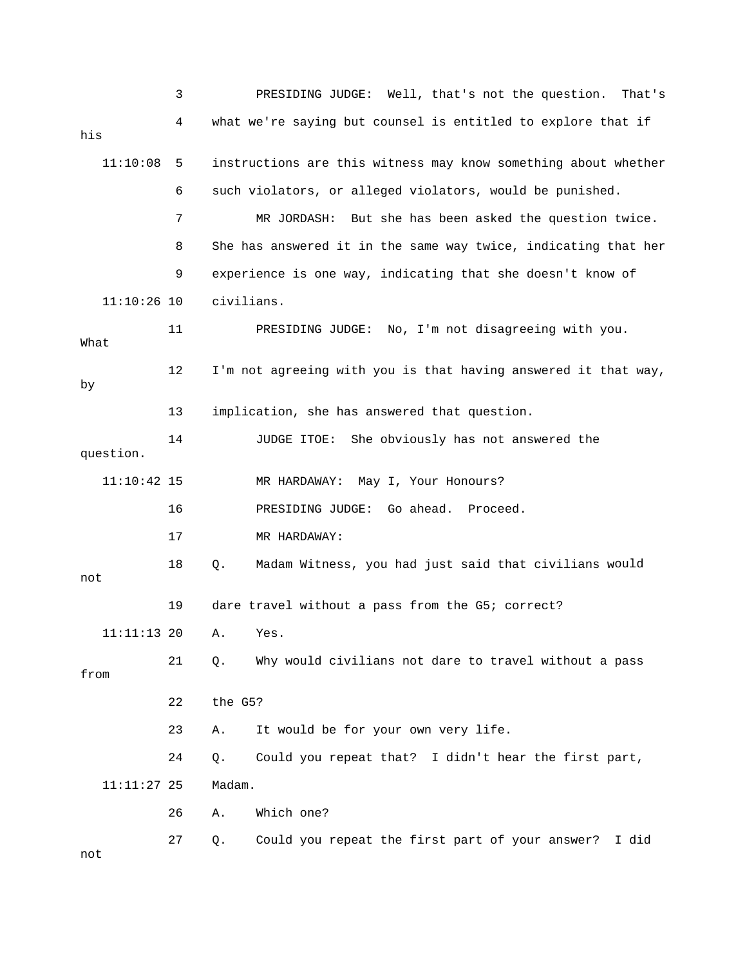|               | 3  | PRESIDING JUDGE: Well, that's not the question.<br>That's      |
|---------------|----|----------------------------------------------------------------|
| his           | 4  | what we're saying but counsel is entitled to explore that if   |
| 11:10:08      | 5  | instructions are this witness may know something about whether |
|               | 6  | such violators, or alleged violators, would be punished.       |
|               | 7  | MR JORDASH: But she has been asked the question twice.         |
|               | 8  | She has answered it in the same way twice, indicating that her |
|               | 9  | experience is one way, indicating that she doesn't know of     |
| $11:10:26$ 10 |    | civilians.                                                     |
| What          | 11 | PRESIDING JUDGE: No, I'm not disagreeing with you.             |
| by            | 12 | I'm not agreeing with you is that having answered it that way, |
|               | 13 | implication, she has answered that question.                   |
| question.     | 14 | She obviously has not answered the<br>JUDGE ITOE:              |
| $11:10:42$ 15 |    | MR HARDAWAY: May I, Your Honours?                              |
|               | 16 | PRESIDING JUDGE: Go ahead. Proceed.                            |
|               | 17 | MR HARDAWAY:                                                   |
| not           | 18 | Madam Witness, you had just said that civilians would<br>Q.    |
|               | 19 | dare travel without a pass from the G5; correct?               |
| $11:11:13$ 20 |    | A. Yes.                                                        |
| from          | 21 | Why would civilians not dare to travel without a pass<br>Q.    |
|               | 22 | the G5?                                                        |
|               | 23 | It would be for your own very life.<br>Α.                      |
|               | 24 | Could you repeat that? I didn't hear the first part,<br>Q.     |
| $11:11:27$ 25 |    | Madam.                                                         |
|               | 26 | Which one?<br>Α.                                               |
| not           | 27 | Could you repeat the first part of your answer?<br>I did<br>Q. |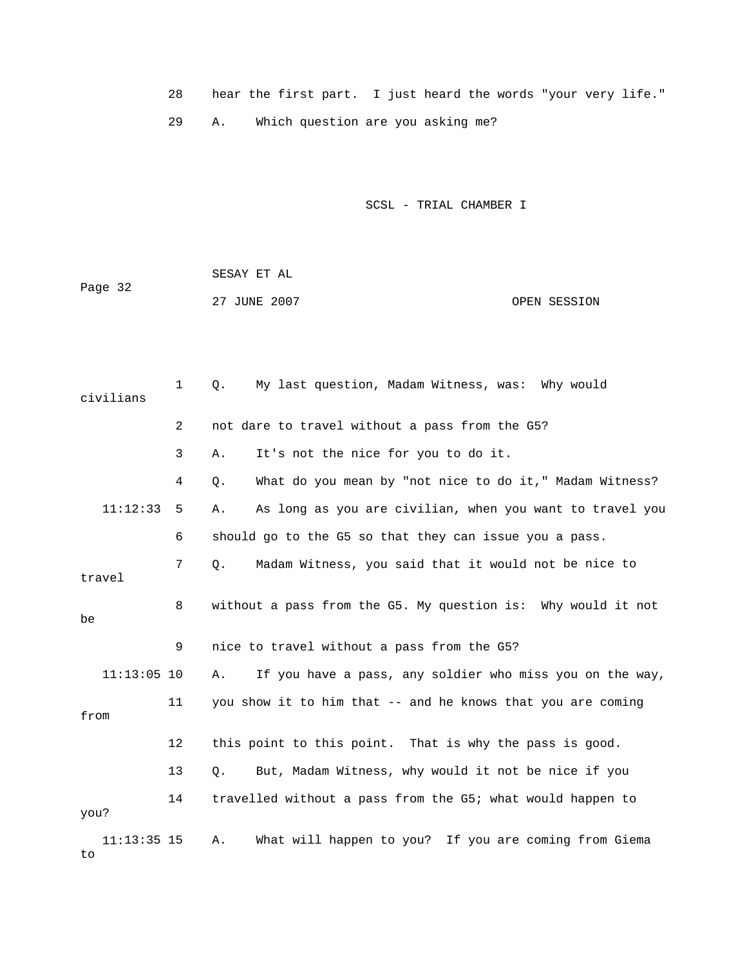28 hear the first part. I just heard the words "your very life." 29 A. Which question are you asking me?

|         | SESAY ET AL  |              |
|---------|--------------|--------------|
| Page 32 |              |              |
|         | 27 JUNE 2007 | OPEN SESSION |

| civilians           | $\mathbf 1$    | My last question, Madam Witness, was: Why would<br>$Q$ .       |
|---------------------|----------------|----------------------------------------------------------------|
|                     | $\overline{2}$ | not dare to travel without a pass from the G5?                 |
|                     | 3              | It's not the nice for you to do it.<br>Α.                      |
|                     | 4              | What do you mean by "not nice to do it," Madam Witness?<br>Q.  |
| 11:12:33            | 5              | As long as you are civilian, when you want to travel you<br>Α. |
|                     | 6              | should go to the G5 so that they can issue you a pass.         |
| travel              | 7              | Madam Witness, you said that it would not be nice to<br>О.     |
| be                  | 8              | without a pass from the G5. My question is: Why would it not   |
|                     | 9              | nice to travel without a pass from the G5?                     |
| $11:13:05$ 10       |                | If you have a pass, any soldier who miss you on the way,<br>Α. |
| from                | 11             | you show it to him that -- and he knows that you are coming    |
|                     | 12             | this point to this point. That is why the pass is good.        |
|                     | 13             | But, Madam Witness, why would it not be nice if you<br>О.      |
| you?                | 14             | travelled without a pass from the G5; what would happen to     |
| $11:13:35$ 15<br>to |                | What will happen to you? If you are coming from Giema<br>Α.    |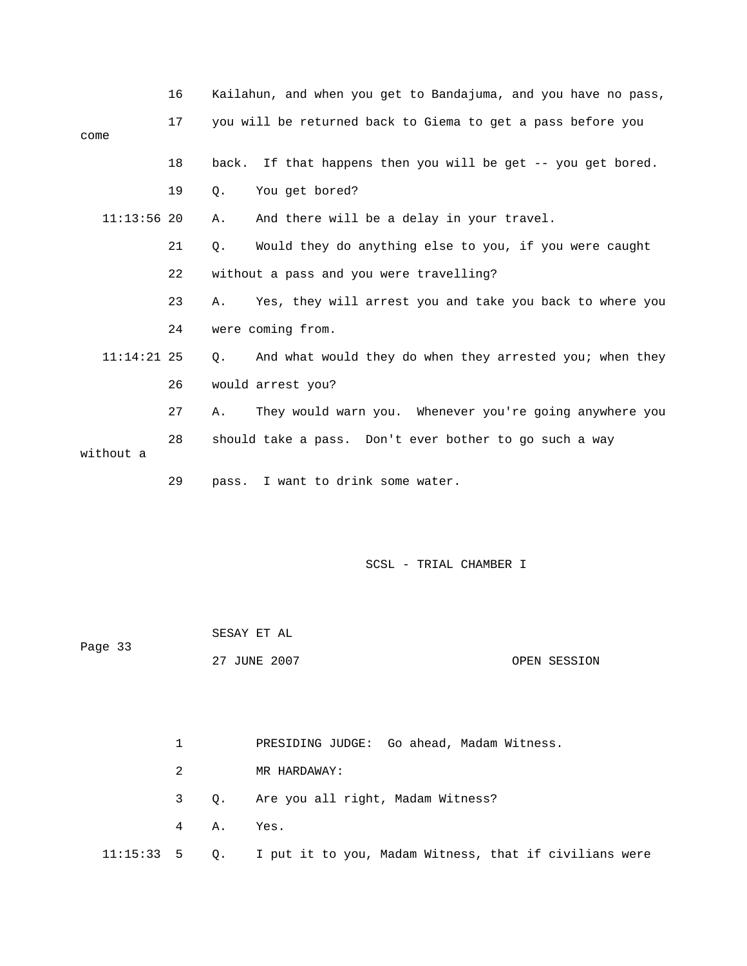|               | 16 | Kailahun, and when you get to Bandajuma, and you have no pass, |
|---------------|----|----------------------------------------------------------------|
| come          | 17 | you will be returned back to Giema to get a pass before you    |
|               | 18 | back. If that happens then you will be get -- you get bored.   |
|               | 19 | You get bored?<br>Q.                                           |
| $11:13:56$ 20 |    | And there will be a delay in your travel.<br>Α.                |
|               | 21 | Would they do anything else to you, if you were caught<br>Q.   |
|               | 22 | without a pass and you were travelling?                        |
|               | 23 | Yes, they will arrest you and take you back to where you<br>Α. |
|               | 24 | were coming from.                                              |
| $11:14:21$ 25 |    | And what would they do when they arrested you; when they<br>О. |
|               | 26 | would arrest you?                                              |
|               | 27 | They would warn you. Whenever you're going anywhere you<br>Α.  |
| without a     | 28 | should take a pass. Don't ever bother to go such a way         |
|               | 29 | I want to drink some water.<br>pass.                           |

 SESAY ET AL Page 33 27 JUNE 2007 OPEN SESSION

 1 PRESIDING JUDGE: Go ahead, Madam Witness. 3 Q. Are you all right, Madam Witness? 4 A. Yes. 11:15:33 5 Q. I put it to you, Madam Witness, that if civilians were 2 MR HARDAWAY: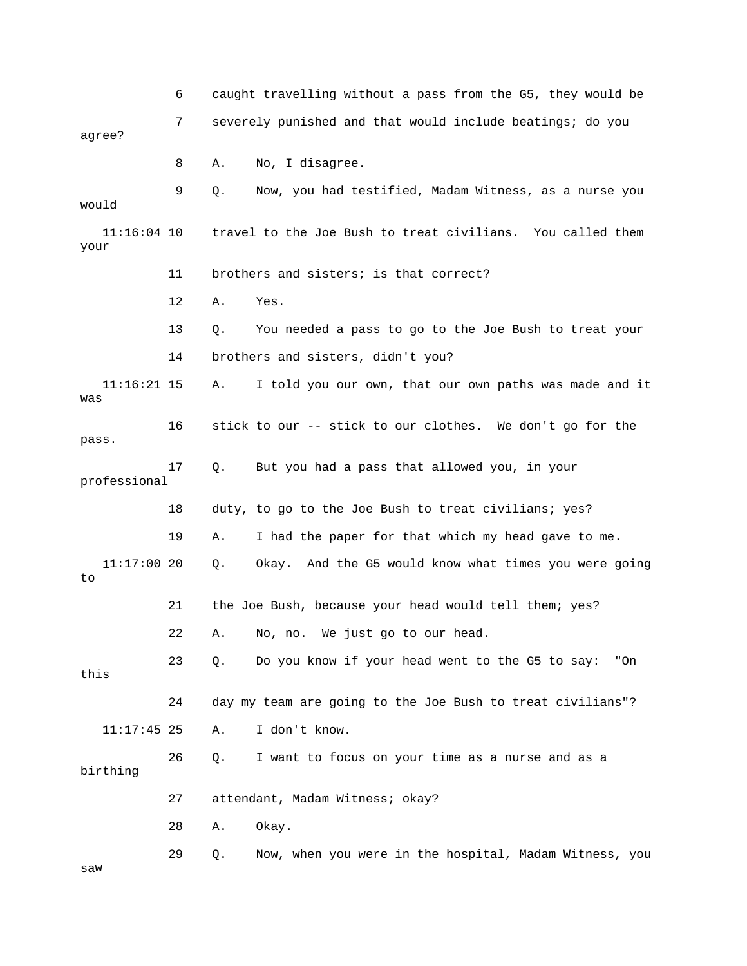6 caught travelling without a pass from the G5, they would be 7 severely punished and that would include beatings; do you 8 A. No, I disagree. your 11 brothers and sisters; is that correct? A. I told you our own, that our own paths was made and it 16 stick to our -- stick to our clothes. We don't go for the 17 Q. But you had a pass that allowed you, in your 18 duty, to go to the Joe Bush to treat civilians; yes? Q. Okay. And the G5 would know what times you were going 21 the Joe Bush, because your head would tell them; yes? A. No, no. We just go to our head. "On this 24 day my team are going to the Joe Bush to treat civilians"? 27 attendant, Madam Witness; okay? 28 A. Okay. w saagree? 9 Q. Now, you had testified, Madam Witness, as a nurse you would 11:16:04 10 travel to the Joe Bush to treat civilians. You called them 12 A. Yes. 13 Q. You needed a pass to go to the Joe Bush to treat your 14 brothers and sisters, didn't you?  $11:16:21$  15 was pass. professional 19 A. I had the paper for that which my head gave to me.  $11:17:0020$ to 22 23 Q. Do you know if your head went to the G5 to say: 11:17:45 25 A. I don't know. 26 Q. I want to focus on your time as a nurse and as a birthing 29 Q. Now, when you were in the hospital, Madam Witness, you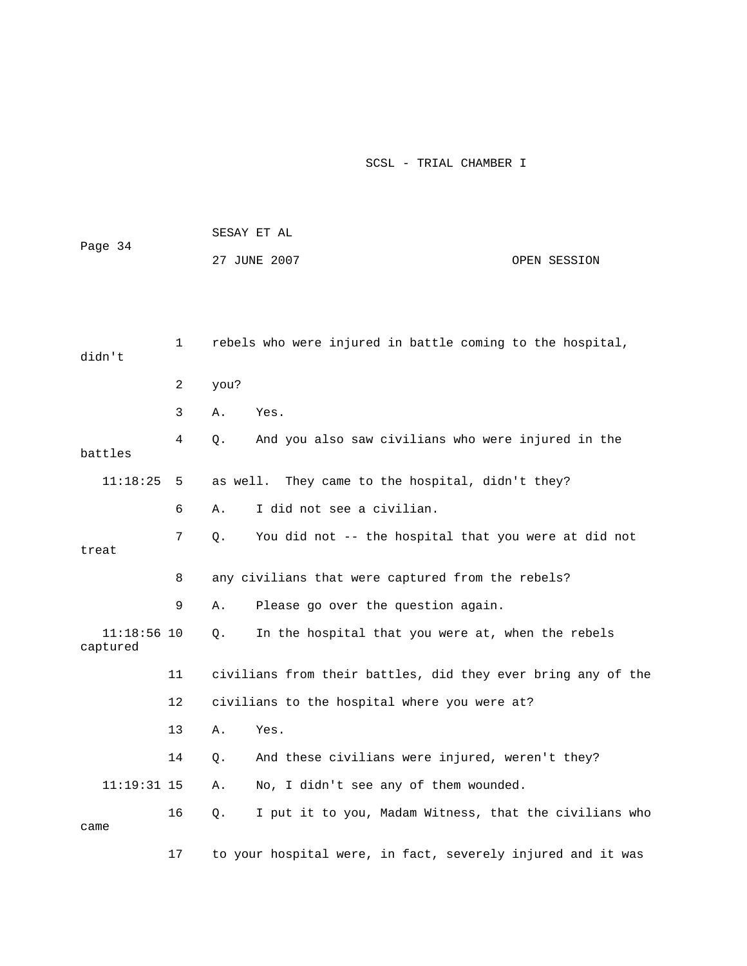|                           |    | SESAY ET AL                  |                                                              |  |  |  |
|---------------------------|----|------------------------------|--------------------------------------------------------------|--|--|--|
| Page 34                   |    | 27 JUNE 2007<br>OPEN SESSION |                                                              |  |  |  |
|                           |    |                              |                                                              |  |  |  |
|                           |    |                              |                                                              |  |  |  |
| didn't                    | 1  |                              | rebels who were injured in battle coming to the hospital,    |  |  |  |
|                           | 2  | you?                         |                                                              |  |  |  |
|                           | 3  | Α.                           | Yes.                                                         |  |  |  |
| battles                   | 4  | Q.                           | And you also saw civilians who were injured in the           |  |  |  |
| 11:18:25                  | 5  | as well.                     | They came to the hospital, didn't they?                      |  |  |  |
|                           | 6  | Α.                           | I did not see a civilian.                                    |  |  |  |
|                           | 7  | Q.                           | You did not -- the hospital that you were at did not         |  |  |  |
| treat                     |    |                              |                                                              |  |  |  |
|                           | 8  |                              | any civilians that were captured from the rebels?            |  |  |  |
|                           | 9  | Α.                           | Please go over the question again.                           |  |  |  |
| $11:18:56$ 10<br>captured |    | Q.                           | In the hospital that you were at, when the rebels            |  |  |  |
|                           | 11 |                              | civilians from their battles, did they ever bring any of the |  |  |  |
|                           | 12 |                              | civilians to the hospital where you were at?                 |  |  |  |
|                           | 13 | Α.                           | Yes.                                                         |  |  |  |
|                           | 14 | Q.                           | And these civilians were injured, weren't they?              |  |  |  |
| $11:19:31$ 15             |    | Α.                           | No, I didn't see any of them wounded.                        |  |  |  |
| came                      | 16 | Q.                           | I put it to you, Madam Witness, that the civilians who       |  |  |  |
|                           | 17 |                              | to your hospital were, in fact, severely injured and it was  |  |  |  |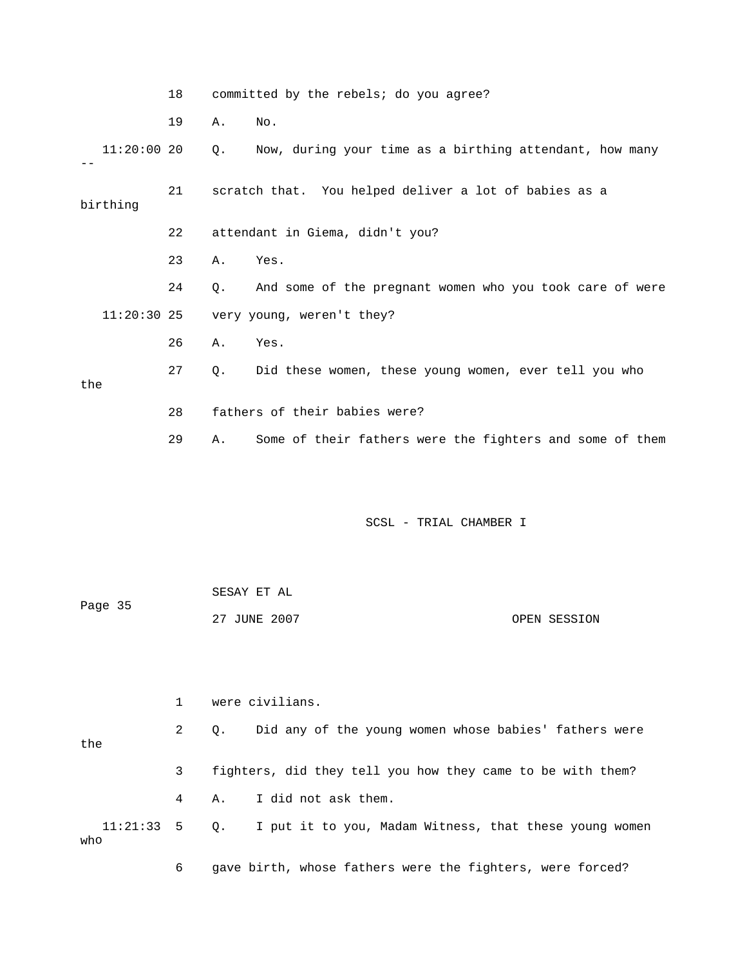|               | 18 |    | committed by the rebels; do you agree?                   |
|---------------|----|----|----------------------------------------------------------|
|               | 19 | Α. | No.                                                      |
| $11:20:00$ 20 |    | Q. | Now, during your time as a birthing attendant, how many  |
| birthing      | 21 |    | scratch that. You helped deliver a lot of babies as a    |
|               | 22 |    | attendant in Giema, didn't you?                          |
|               | 23 | Α. | Yes.                                                     |
|               | 24 | Q. | And some of the pregnant women who you took care of were |
| $11:20:30$ 25 |    |    | very young, weren't they?                                |
|               | 26 | Α. | Yes.                                                     |
| the           | 27 | Q. | Did these women, these young women, ever tell you who    |
|               | 28 |    | fathers of their babies were?                            |
|               | 29 | Α. | Some of their fathers were the fighters and some of them |
|               |    |    |                                                          |

|         | SESAY ET AL  |              |
|---------|--------------|--------------|
| Page 35 |              |              |
|         | 27 JUNE 2007 | OPEN SESSION |

|     |             | were civilians. |                                                                      |  |  |  |
|-----|-------------|-----------------|----------------------------------------------------------------------|--|--|--|
| the | $2^{\circ}$ |                 | Q. Did any of the young women whose babies' fathers were             |  |  |  |
|     | 3           |                 | fighters, did they tell you how they came to be with them?           |  |  |  |
|     | $4 \quad$   |                 | A. I did not ask them.                                               |  |  |  |
| who |             |                 | 11:21:33 5 0. I put it to you, Madam Witness, that these young women |  |  |  |
|     | 6           |                 | gave birth, whose fathers were the fighters, were forced?            |  |  |  |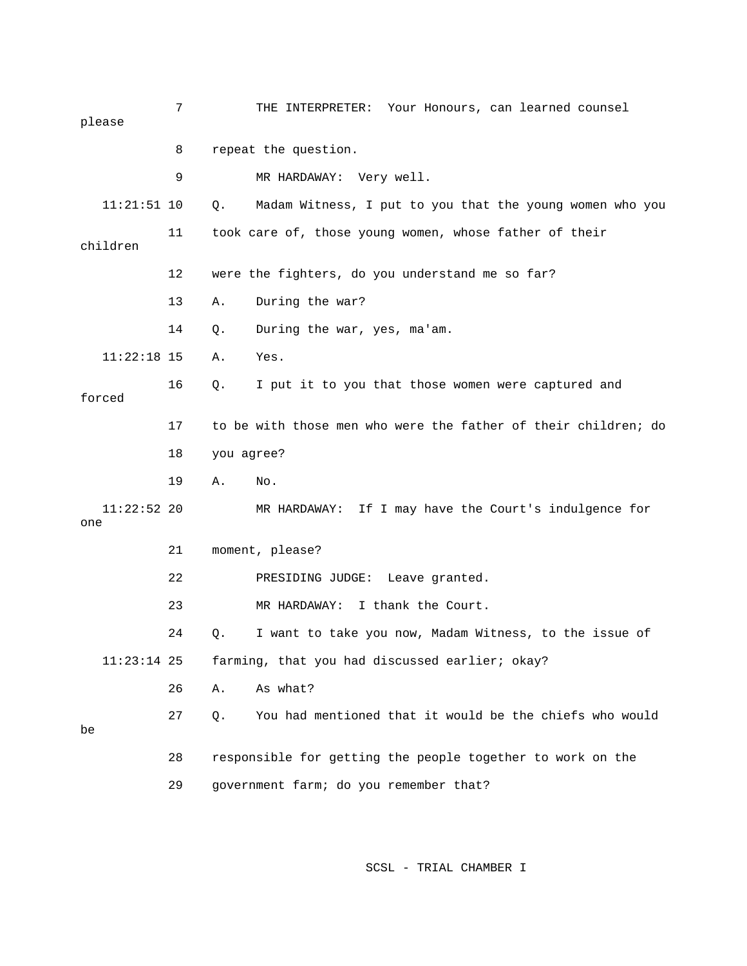7 THE INTERPRETER: Your Honours, can learned counsel please 9 MR HARDAWAY: Very well. Q. Madam Witness, I put to you that the young women who you children 12 were the fighters, do you understand me so far? 14 Q. During the war, yes, ma'am. 17 to be with those men who were the father of their children; do  $MR$  HARDAWAY: If I may have the Court's indulgence for 21 moment, please? 23 MR HARDAWAY: I thank the Court. 24 Q. I want to take you now, Madam Witness, to the issue of 26 A. As what? 27 Q. You had mentioned that it would be the chiefs who would 28 responsible for getting the people together to work on the 8 repeat the question.  $11:21:51$  10 11 took care of, those young women, whose father of their 13 A. During the war? 11:22:18 15 A. Yes. 16 Q. I put it to you that those women were captured and forced 18 you agree? 19 A. No.  $11:22:52$  20 one 22 PRESIDING JUDGE: Leave granted. 11:23:14 25 farming, that you had discussed earlier; okay? be 29 government farm; do you remember that?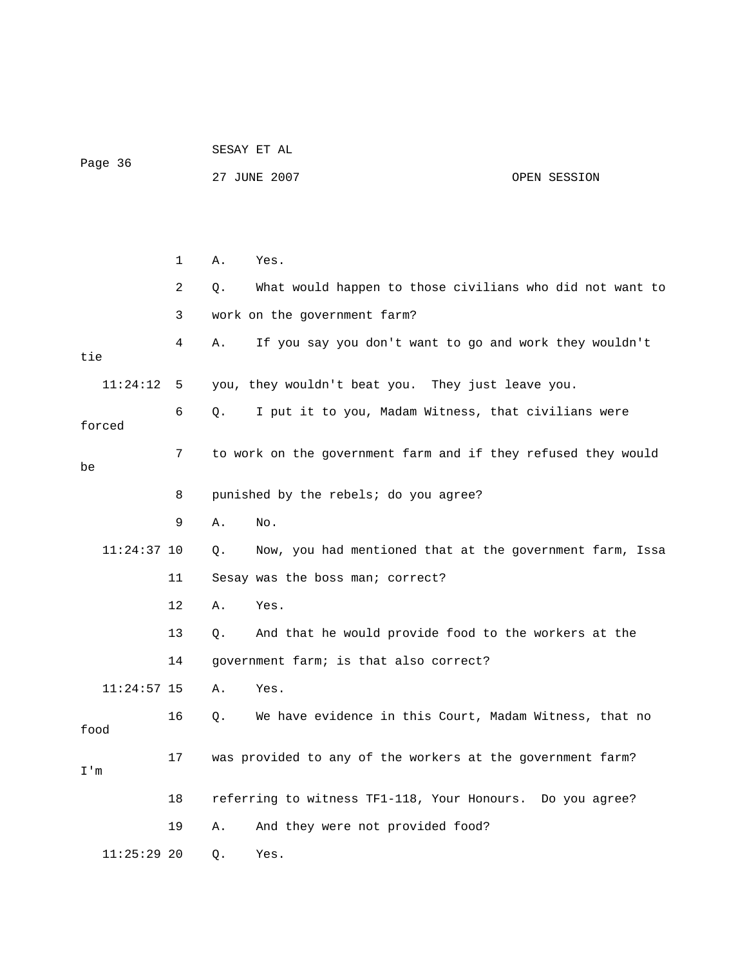|         |  |  | SESAY ET AL |  |  |
|---------|--|--|-------------|--|--|
| Page 36 |  |  |             |  |  |

27 JUNE 2007 CPEN SESSION

|               | $\mathbf{1}$ | Α. | Yes.                                                          |
|---------------|--------------|----|---------------------------------------------------------------|
|               | 2            | О. | What would happen to those civilians who did not want to      |
|               | 3            |    | work on the government farm?                                  |
| tie           | 4            | Α. | If you say you don't want to go and work they wouldn't        |
| 11:24:12      | 5            |    | you, they wouldn't beat you. They just leave you.             |
| forced        | 6            | О. | I put it to you, Madam Witness, that civilians were           |
| be            | 7            |    | to work on the government farm and if they refused they would |
|               | 8            |    | punished by the rebels; do you agree?                         |
|               | 9            | Α. | No.                                                           |
| $11:24:37$ 10 |              | Q. | Now, you had mentioned that at the government farm, Issa      |
|               | 11           |    | Sesay was the boss man; correct?                              |
|               | 12           | Α. | Yes.                                                          |
|               | 13           | Ο. | And that he would provide food to the workers at the          |
|               | 14           |    | government farm; is that also correct?                        |
| $11:24:57$ 15 |              | Α. | Yes.                                                          |
| food          | 16           | Q. | We have evidence in this Court, Madam Witness, that no        |
| I'm           | 17           |    | was provided to any of the workers at the government farm?    |
|               | 18           |    | referring to witness TF1-118, Your Honours. Do you agree?     |
|               | 19           | Α. | And they were not provided food?                              |
| $11:25:29$ 20 |              | Q. | Yes.                                                          |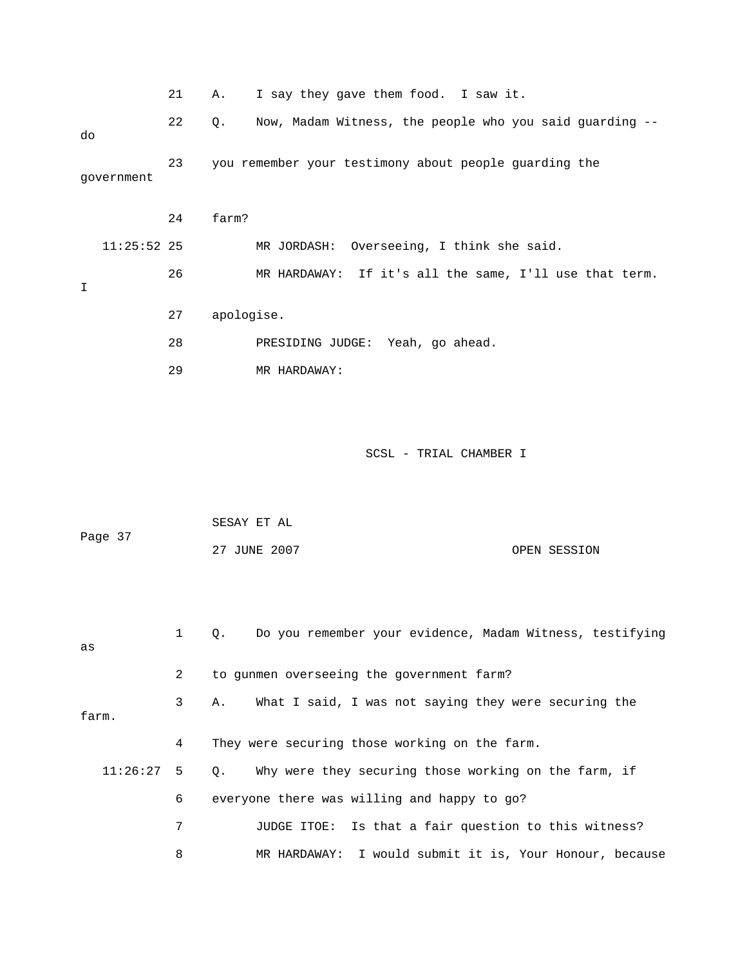|            |               | 21 | I say they gave them food. I saw it.<br>Α.                    |
|------------|---------------|----|---------------------------------------------------------------|
| do         |               | 22 | Now, Madam Witness, the people who you said quarding --<br>0. |
| qovernment |               | 23 | you remember your testimony about people guarding the         |
|            |               | 24 | farm?                                                         |
|            | $11:25:52$ 25 |    | Overseeing, I think she said.<br>MR JORDASH:                  |
| Ι          |               | 26 | MR HARDAWAY: If it's all the same, I'll use that term.        |
|            |               | 27 | apologise.                                                    |
|            |               | 28 | PRESIDING JUDGE: Yeah, go ahead.                              |
|            |               | 29 | MR HARDAWAY:                                                  |

| Page 37 | SESAY ET AL  |              |
|---------|--------------|--------------|
|         | 27 JUNE 2007 | OPEN SESSION |

| as    | $1 \quad$      | Do you remember your evidence, Madam Witness, testifying<br>$\circ$ . |
|-------|----------------|-----------------------------------------------------------------------|
|       | 2              | to gunmen overseeing the government farm?                             |
| farm. | 3 <sup>7</sup> | What I said, I was not saying they were securing the<br>Α.            |
|       | 4              | They were securing those working on the farm.                         |
|       |                | $11:26:27$ 5 0. Why were they securing those working on the farm, if  |
|       | 6              | everyone there was willing and happy to go?                           |
|       | 7              | JUDGE ITOE: Is that a fair question to this witness?                  |
|       | 8              | MR HARDAWAY: I would submit it is, Your Honour, because               |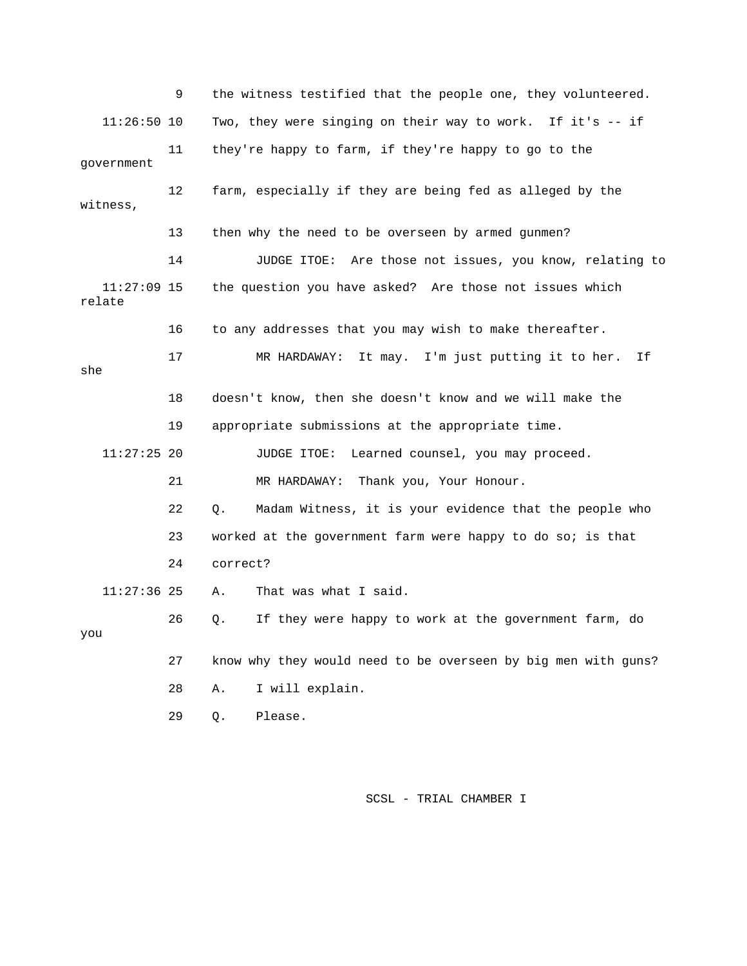9 the witness testified that the people one, they volunteered. 11:26:50 10 Two, they were singing on their way to work. If it's -- if 12 farm, especially if they are being fed as alleged by the witness, 14 JUDGE ITOE: Are those not issues, you know, relating to 11:27:09 15 the question you have asked? Are those not issues which 17 MR HARDAWAY: It may. I'm just putting it to her. If 18 doesn't know, then she doesn't know and we will make the 19 appropriate submissions at the appropriate time. 11:27:25 20 JUDGE ITOE: Learned counsel, you may proceed. 22 Q. Madam Witness, it is your evidence that the people who 24 correct? 11:27:36 25 A. That was what I said. 26 Q. If they were happy to work at the government farm, do 27 know why they would need to be overseen by big men with guns? 11 they're happy to farm, if they're happy to go to the government 13 then why the need to be overseen by armed gunmen? relate 16 to any addresses that you may wish to make thereafter. she 21 MR HARDAWAY: Thank you, Your Honour. 23 worked at the government farm were happy to do so; is that you 28 A. I will explain. 29 Q. Please.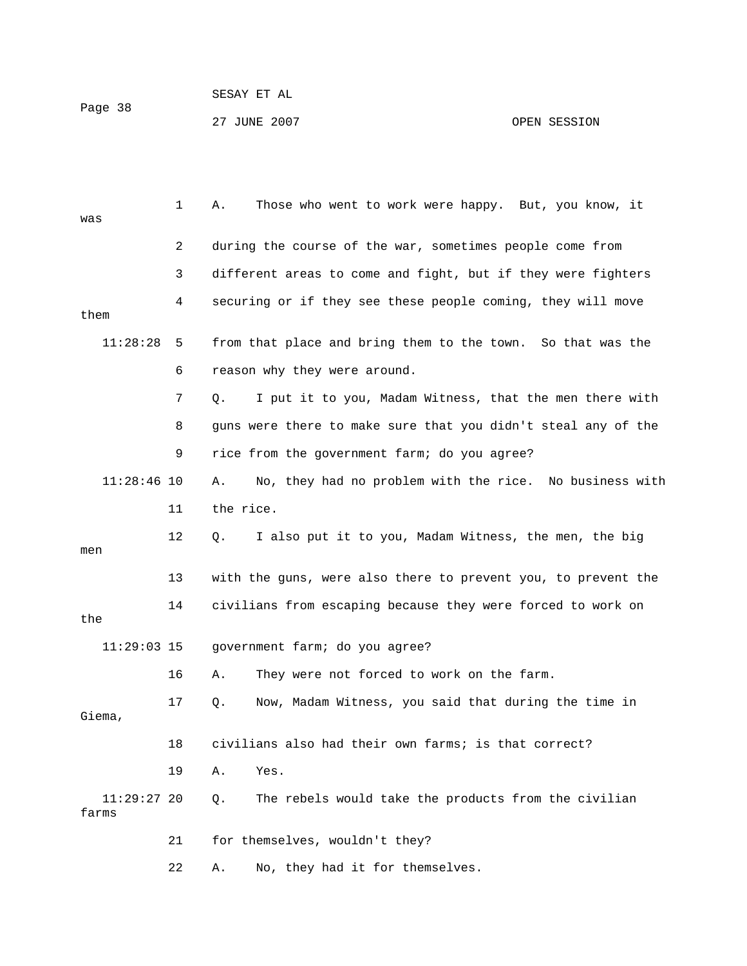Page 38

27 JUNE 2007 OPEN SESSION

| was                    | 1  | Those who went to work were happy. But, you know, it<br>Α.    |
|------------------------|----|---------------------------------------------------------------|
|                        | 2  | during the course of the war, sometimes people come from      |
|                        | 3  | different areas to come and fight, but if they were fighters  |
| them                   | 4  | securing or if they see these people coming, they will move   |
| 11:28:28               | 5  | from that place and bring them to the town. So that was the   |
|                        | 6  | reason why they were around.                                  |
|                        | 7  | I put it to you, Madam Witness, that the men there with<br>Q. |
|                        | 8  | guns were there to make sure that you didn't steal any of the |
|                        | 9  | rice from the government farm; do you agree?                  |
| $11:28:46$ 10          |    | No, they had no problem with the rice. No business with<br>Α. |
|                        | 11 | the rice.                                                     |
| men                    | 12 | I also put it to you, Madam Witness, the men, the big<br>Q.   |
|                        | 13 | with the guns, were also there to prevent you, to prevent the |
| the                    | 14 | civilians from escaping because they were forced to work on   |
| $11:29:03$ 15          |    | government farm; do you agree?                                |
|                        | 16 | They were not forced to work on the farm.<br>Α.               |
| Giema,                 | 17 | Now, Madam Witness, you said that during the time in<br>Q.    |
|                        | 18 | civilians also had their own farms; is that correct?          |
|                        | 19 | Α.<br>Yes.                                                    |
| $11:29:27$ 20<br>farms |    | The rebels would take the products from the civilian<br>$Q$ . |
|                        | 21 | for themselves, wouldn't they?                                |
|                        | 22 | No, they had it for themselves.<br>Α.                         |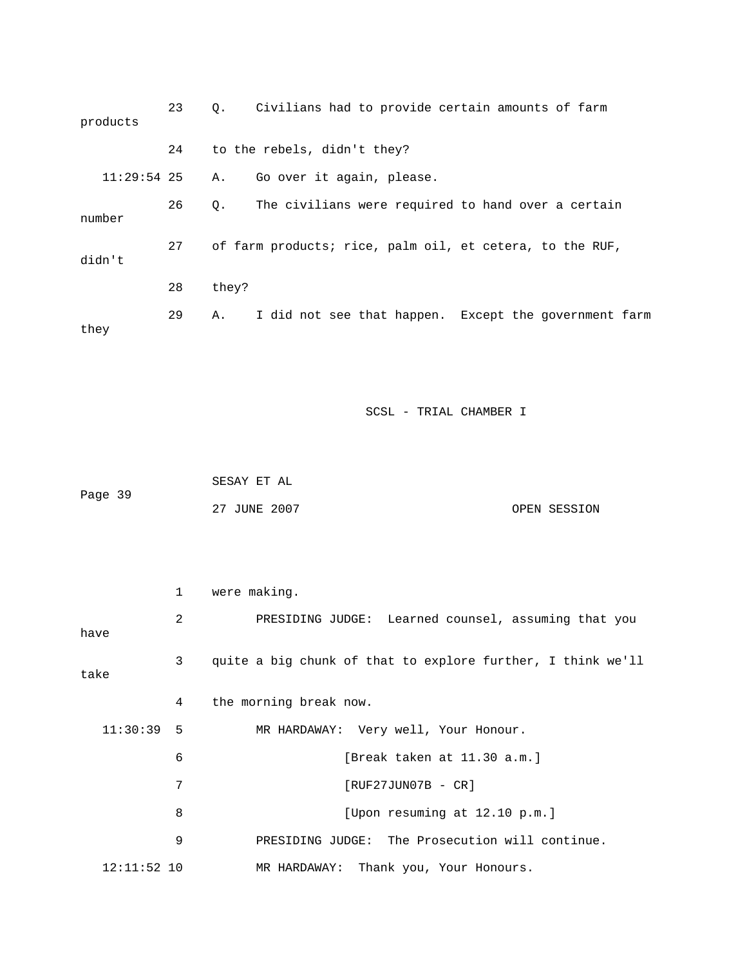| products      | 23 | Civilians had to provide certain amounts of farm<br>$Q_{\star}$ |
|---------------|----|-----------------------------------------------------------------|
|               | 24 | to the rebels, didn't they?                                     |
| $11:29:54$ 25 |    | A. Go over it again, please.                                    |
| number        | 26 | The civilians were required to hand over a certain<br>0.        |
| didn't        | 27 | of farm products; rice, palm oil, et cetera, to the RUF,        |
|               | 28 | they?                                                           |
| they          | 29 | I did not see that happen. Except the government farm<br>Α.     |

|         | SESAY ET AL  |              |
|---------|--------------|--------------|
| Page 39 |              |              |
|         | 27 JUNE 2007 | OPEN SESSION |

|               | $\mathbf{1}$ | were making.                                                |
|---------------|--------------|-------------------------------------------------------------|
| have          | 2            | PRESIDING JUDGE: Learned counsel, assuming that you         |
| take          | 3            | quite a big chunk of that to explore further, I think we'll |
|               | 4            | the morning break now.                                      |
| $11:30:39$ 5  |              | MR HARDAWAY: Very well, Your Honour.                        |
|               | 6            | [Break taken at 11.30 a.m.]                                 |
|               | 7            | $[RUF27JUN07B - CR]$                                        |
|               | 8            | [Upon resuming at 12.10 p.m.]                               |
|               | 9            | PRESIDING JUDGE: The Prosecution will continue.             |
| $12:11:52$ 10 |              | MR HARDAWAY: Thank you, Your Honours.                       |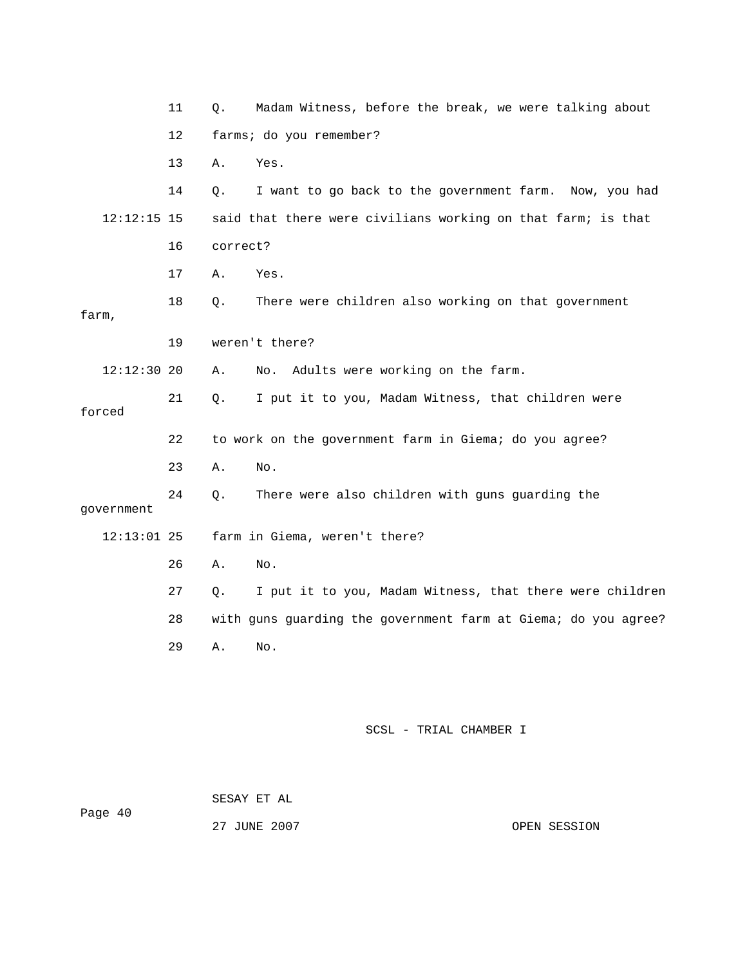|               | 11 | Q.       | Madam Witness, before the break, we were talking about         |
|---------------|----|----------|----------------------------------------------------------------|
|               | 12 |          | farms; do you remember?                                        |
|               | 13 | Α.       | Yes.                                                           |
|               | 14 | Q.       | I want to go back to the government farm. Now, you had         |
| $12:12:15$ 15 |    |          | said that there were civilians working on that farm; is that   |
|               | 16 | correct? |                                                                |
|               | 17 | Α.       | Yes.                                                           |
| farm,         | 18 | Q.       | There were children also working on that government            |
|               | 19 |          | weren't there?                                                 |
| $12:12:30$ 20 |    | Α.       | Adults were working on the farm.<br>No.                        |
| forced        | 21 | Q.       | I put it to you, Madam Witness, that children were             |
|               | 22 |          | to work on the government farm in Giema; do you agree?         |
|               | 23 | Α.       | No.                                                            |
| government    | 24 | Q.       | There were also children with guns guarding the                |
| $12:13:01$ 25 |    |          | farm in Giema, weren't there?                                  |
|               | 26 | Α.       | No.                                                            |
|               | 27 | Q.       | I put it to you, Madam Witness, that there were children       |
|               | 28 |          | with guns guarding the government farm at Giema; do you agree? |
|               | 29 | Α.       | No.                                                            |
|               |    |          |                                                                |
|               |    |          |                                                                |
|               |    |          |                                                                |

 SESAY ET AL Page 40

27 JUNE 200

OPEN SESSION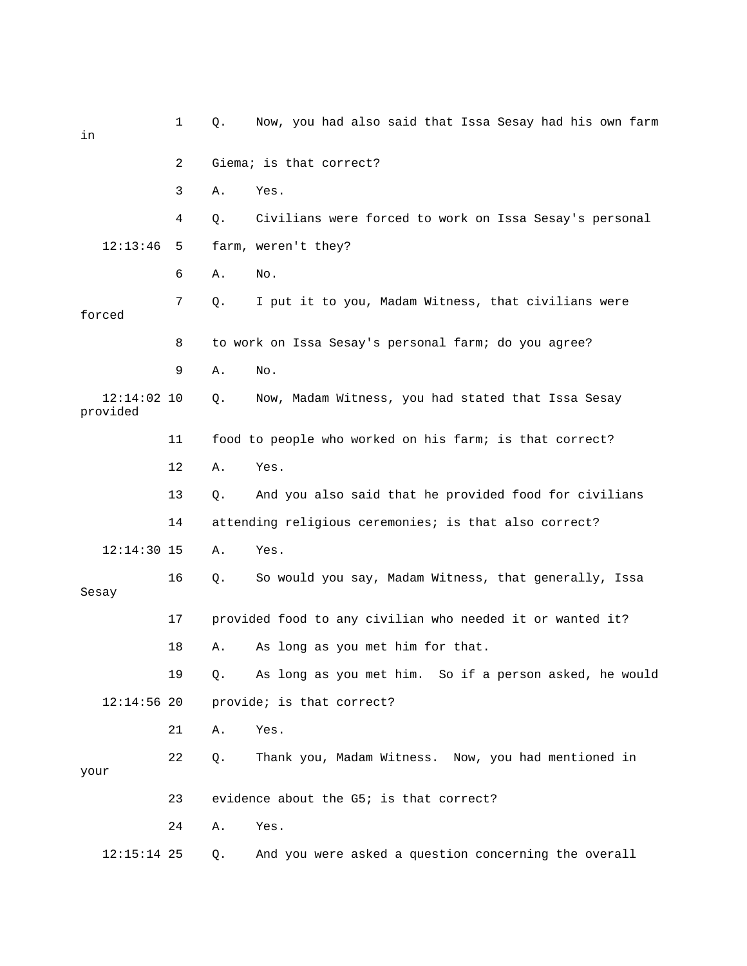| in                        | 1  | Q. | Now, you had also said that Issa Sesay had his own farm   |
|---------------------------|----|----|-----------------------------------------------------------|
|                           | 2  |    | Giema; is that correct?                                   |
|                           | 3  | Α. | Yes.                                                      |
|                           | 4  | Q. | Civilians were forced to work on Issa Sesay's personal    |
| 12:13:46                  | 5. |    | farm, weren't they?                                       |
|                           | 6  | Α. | No.                                                       |
| forced                    | 7  | Q. | I put it to you, Madam Witness, that civilians were       |
|                           | 8  |    | to work on Issa Sesay's personal farm; do you agree?      |
|                           | 9  | Α. | No.                                                       |
| $12:14:02$ 10<br>provided |    | Q. | Now, Madam Witness, you had stated that Issa Sesay        |
|                           | 11 |    | food to people who worked on his farm; is that correct?   |
|                           | 12 | Α. | Yes.                                                      |
|                           | 13 | Q. | And you also said that he provided food for civilians     |
|                           | 14 |    | attending religious ceremonies; is that also correct?     |
| $12:14:30$ 15             |    | Α. | Yes.                                                      |
| Sesay                     | 16 | Q. | So would you say, Madam Witness, that generally, Issa     |
|                           | 17 |    | provided food to any civilian who needed it or wanted it? |
|                           | 18 | Α. | As long as you met him for that.                          |
|                           | 19 | Q. | As long as you met him. So if a person asked, he would    |
| $12:14:56$ 20             |    |    | provide; is that correct?                                 |
|                           | 21 | Α. | Yes.                                                      |
| your                      | 22 | Q. | Thank you, Madam Witness. Now, you had mentioned in       |
|                           | 23 |    | evidence about the G5; is that correct?                   |
|                           | 24 | Α. | Yes.                                                      |
| $12:15:14$ 25             |    | Q. | And you were asked a question concerning the overall      |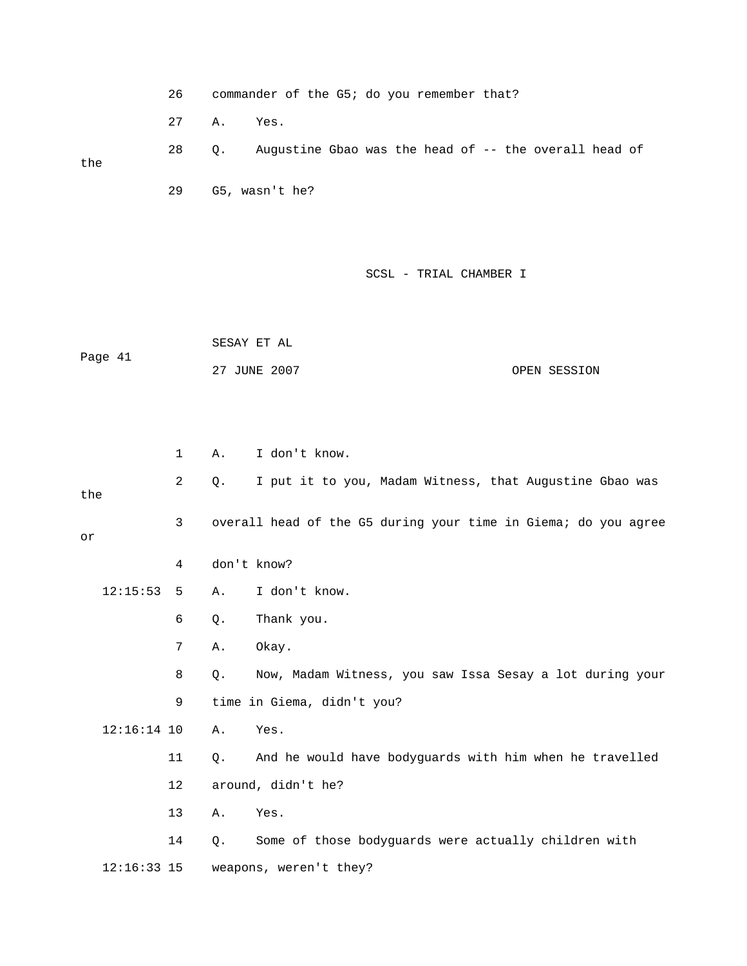26 commander of the G5; do you remember that? 27 A. Yes. 28 Q. Augustine Gbao was the head of -- the overall head of the 29 G5, wasn't he?

#### SCSL - TRIAL CHAMBER I

 SESAY ET AL OPEN SESSION Page 41 27 JUNE 2007

|     |               | $\mathbf 1$ | Α.    | I don't know.                                                  |
|-----|---------------|-------------|-------|----------------------------------------------------------------|
| the |               | 2           | Q.    | I put it to you, Madam Witness, that Augustine Gbao was        |
| or  |               | 3           |       | overall head of the G5 during your time in Giema; do you agree |
|     |               | 4           |       | don't know?                                                    |
|     | 12:15:53      | 5           | Α.    | I don't know.                                                  |
|     |               | 6           | Q.    | Thank you.                                                     |
|     |               | 7           | Α.    | Okay.                                                          |
|     |               | 8           | Q.    | Now, Madam Witness, you saw Issa Sesay a lot during your       |
|     |               | 9           |       | time in Giema, didn't you?                                     |
|     | $12:16:14$ 10 |             | Α.    | Yes.                                                           |
|     |               | 11          | Q.    | And he would have bodyguards with him when he travelled        |
|     |               | 12          |       | around, didn't he?                                             |
|     |               | 13          | Α.    | Yes.                                                           |
|     |               | 14          | $Q$ . | Some of those bodyguards were actually children with           |
|     | $12:16:33$ 15 |             |       | weapons, weren't they?                                         |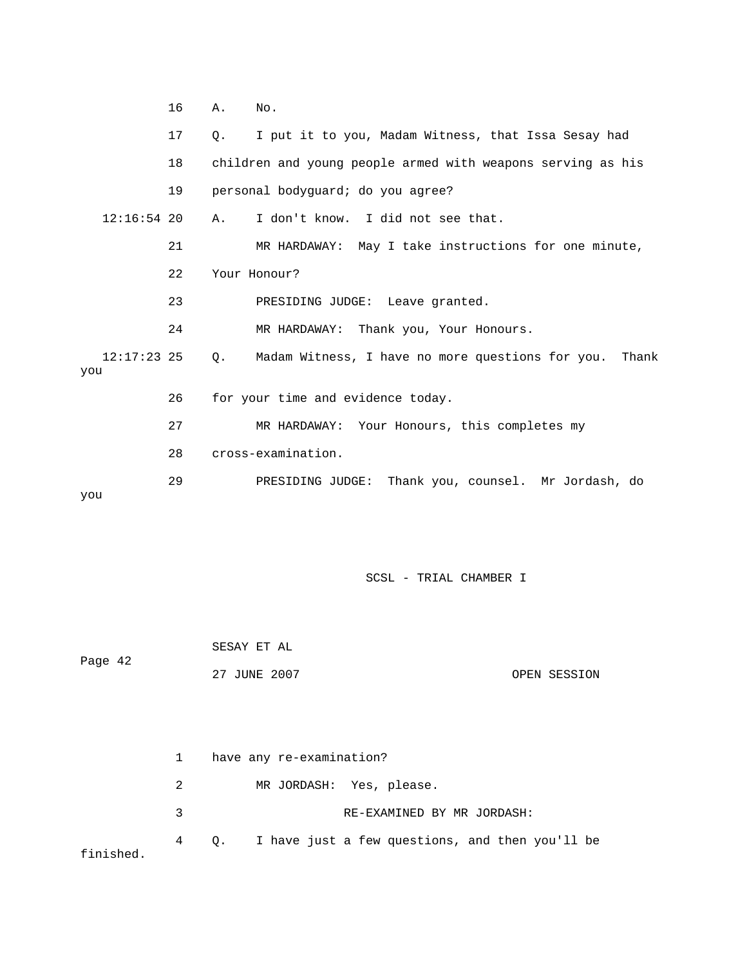|                      | 16 | Α.          | No.                                                         |
|----------------------|----|-------------|-------------------------------------------------------------|
|                      | 17 | $Q_{\star}$ | I put it to you, Madam Witness, that Issa Sesay had         |
|                      | 18 |             | children and young people armed with weapons serving as his |
|                      | 19 |             | personal bodyquard; do you agree?                           |
| $12:16:54$ 20        |    | A.          | I don't know. I did not see that.                           |
|                      | 21 |             | MR HARDAWAY: May I take instructions for one minute,        |
|                      | 22 |             | Your Honour?                                                |
|                      | 23 |             | PRESIDING JUDGE: Leave granted.                             |
|                      | 24 |             | MR HARDAWAY: Thank you, Your Honours.                       |
| $12:17:23$ 25<br>you |    | $\circ$ .   | Madam Witness, I have no more questions for you.<br>Thank   |
|                      | 26 |             | for your time and evidence today.                           |
|                      | 27 |             | MR HARDAWAY: Your Honours, this completes my                |
|                      | 28 |             | cross-examination.                                          |
| you                  | 29 |             | Thank you, counsel. Mr Jordash, do<br>PRESIDING JUDGE:      |

 27 JUNE 2007 OPEN SESSION SESAY ET AL Page 42

|           | $1 \quad$ |                            | have any re-examination?                             |
|-----------|-----------|----------------------------|------------------------------------------------------|
|           | 2         |                            | MR JORDASH: Yes, please.                             |
| २         |           | RE-EXAMINED BY MR JORDASH: |                                                      |
| finished. |           |                            | 4 Q. I have just a few questions, and then you'll be |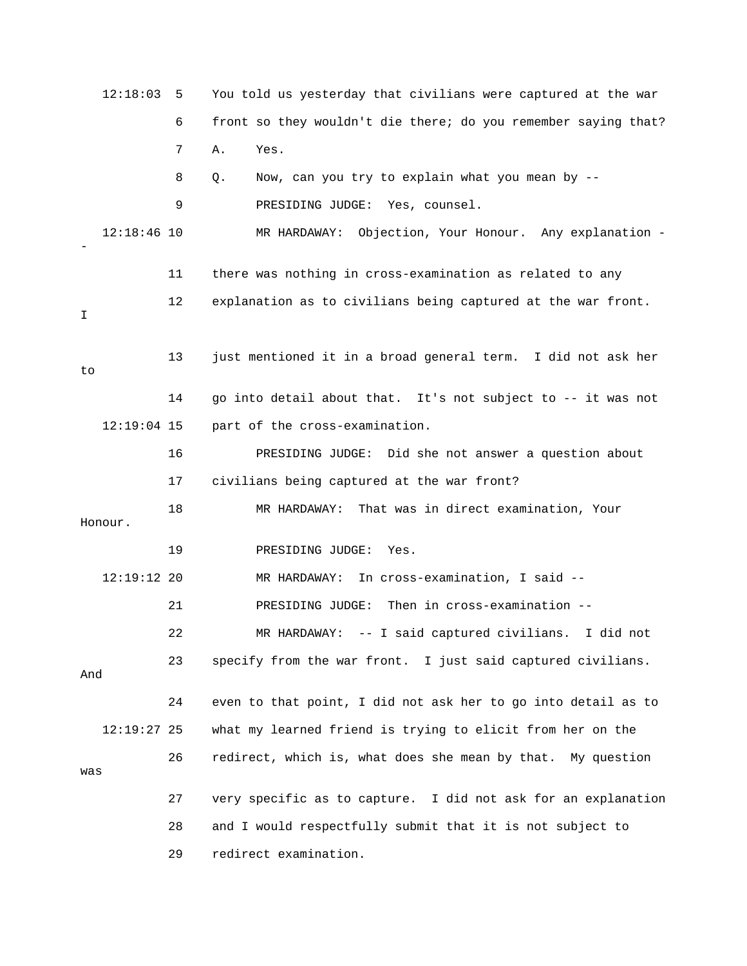|         | 12:18:03      | 5  | You told us yesterday that civilians were captured at the war  |
|---------|---------------|----|----------------------------------------------------------------|
|         |               | 6  | front so they wouldn't die there; do you remember saying that? |
|         |               | 7  | Α.<br>Yes.                                                     |
|         |               | 8  | Now, can you try to explain what you mean by --<br>Q.          |
|         |               | 9  | PRESIDING JUDGE: Yes, counsel.                                 |
|         | $12:18:46$ 10 |    | MR HARDAWAY: Objection, Your Honour. Any explanation -         |
|         |               | 11 | there was nothing in cross-examination as related to any       |
| Ι       |               | 12 | explanation as to civilians being captured at the war front.   |
| to      |               | 13 | just mentioned it in a broad general term. I did not ask her   |
|         |               | 14 | go into detail about that. It's not subject to -- it was not   |
|         | $12:19:04$ 15 |    | part of the cross-examination.                                 |
|         |               | 16 | PRESIDING JUDGE: Did she not answer a question about           |
|         |               | 17 | civilians being captured at the war front?                     |
| Honour. |               | 18 | MR HARDAWAY: That was in direct examination, Your              |
|         |               | 19 | PRESIDING JUDGE:<br>Yes.                                       |
|         | $12:19:12$ 20 |    | In cross-examination, I said --<br>MR HARDAWAY:                |
|         |               | 21 | PRESIDING JUDGE: Then in cross-examination --                  |
|         |               | 22 | MR HARDAWAY: -- I said captured civilians. I did not           |
| And     |               | 23 | specify from the war front. I just said captured civilians.    |
|         |               | 24 | even to that point, I did not ask her to go into detail as to  |
|         | 12:19:27 25   |    | what my learned friend is trying to elicit from her on the     |
| was     |               | 26 | redirect, which is, what does she mean by that. My question    |
|         |               | 27 | very specific as to capture. I did not ask for an explanation  |
|         |               | 28 | and I would respectfully submit that it is not subject to      |
|         |               | 29 | redirect examination.                                          |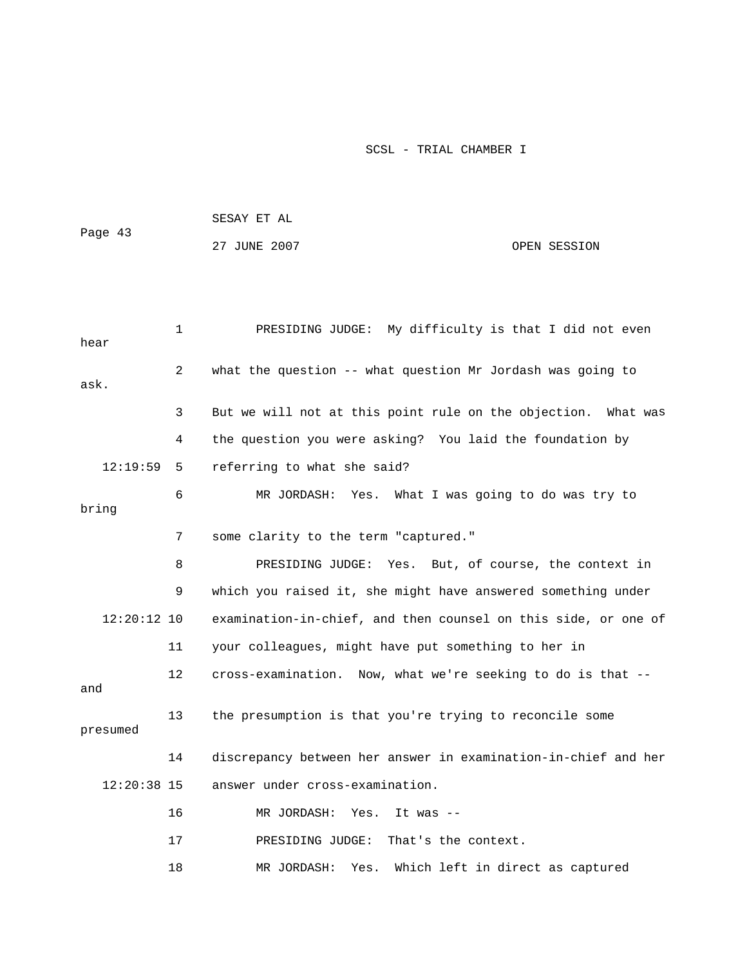|               |              | SESAY ET AL                                                    |
|---------------|--------------|----------------------------------------------------------------|
| Page 43       |              | 27 JUNE 2007<br>OPEN SESSION                                   |
|               |              |                                                                |
|               |              |                                                                |
| hear          | $\mathbf{1}$ | PRESIDING JUDGE: My difficulty is that I did not even          |
| ask.          | 2            | what the question -- what question Mr Jordash was going to     |
|               | 3            | But we will not at this point rule on the objection. What was  |
|               | 4            | the question you were asking? You laid the foundation by       |
| 12:19:59      | 5            | referring to what she said?                                    |
| bring         | 6            | MR JORDASH: Yes.<br>What I was going to do was try to          |
|               | 7            | some clarity to the term "captured."                           |
|               | 8            | PRESIDING JUDGE: Yes. But, of course, the context in           |
|               | 9            | which you raised it, she might have answered something under   |
| $12:20:12$ 10 |              | examination-in-chief, and then counsel on this side, or one of |
|               | 11           | your colleagues, might have put something to her in            |
| and           | 12           | cross-examination. Now, what we're seeking to do is that --    |
| presumed      | 13           | the presumption is that you're trying to reconcile some        |
|               | 14           | discrepancy between her answer in examination-in-chief and her |
| 12:20:38 15   |              | answer under cross-examination.                                |
|               | 16           | MR JORDASH: Yes.<br>It was $-$                                 |
|               | 17           | PRESIDING JUDGE:<br>That's the context.                        |
|               | 18           | Which left in direct as captured<br>MR JORDASH:<br>Yes.        |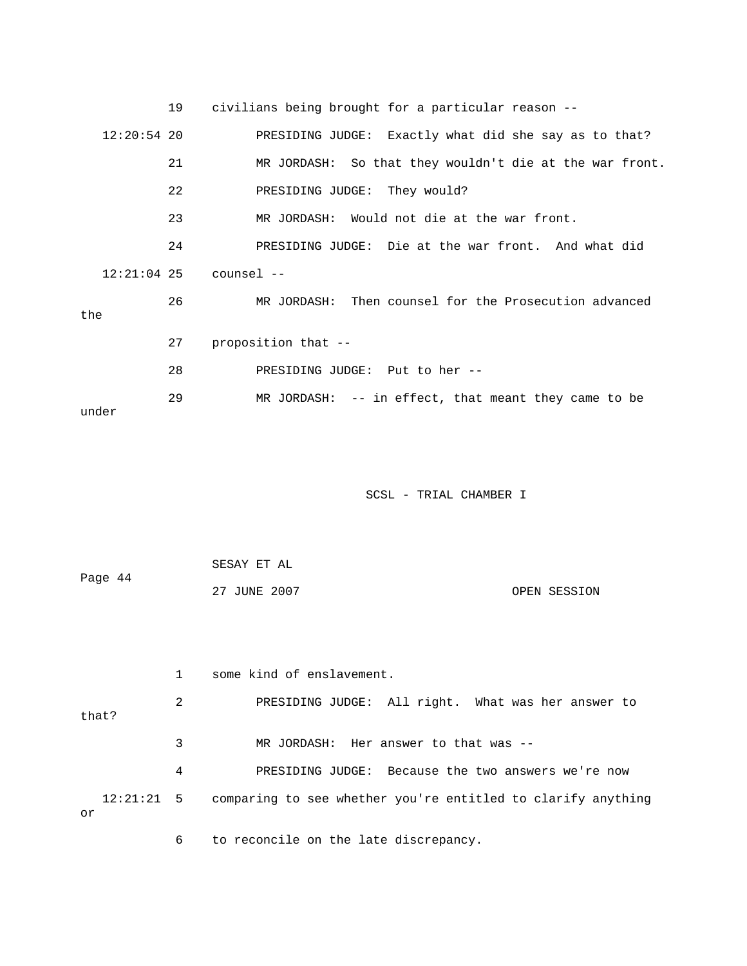|               | 19 | civilians being brought for a particular reason --       |
|---------------|----|----------------------------------------------------------|
| $12:20:54$ 20 |    | PRESIDING JUDGE: Exactly what did she say as to that?    |
|               | 21 | MR JORDASH: So that they wouldn't die at the war front.  |
|               | 22 | PRESIDING JUDGE: They would?                             |
|               | 23 | MR JORDASH: Would not die at the war front.              |
|               | 24 | PRESIDING JUDGE: Die at the war front. And what did      |
| $12:21:04$ 25 |    | counsel --                                               |
| the           | 26 | MR JORDASH: Then counsel for the Prosecution advanced    |
|               | 27 | proposition that --                                      |
|               | 28 | PRESIDING JUDGE: Put to her --                           |
| under         | 29 | $MR$ JORDASH: $--$ in effect, that meant they came to be |

| Page 44 | SESAY ET AL  |              |
|---------|--------------|--------------|
|         | 27 JUNE 2007 | OPEN SESSION |

|                    |   | some kind of enslavement.                                    |
|--------------------|---|--------------------------------------------------------------|
| that?              | 2 | PRESIDING JUDGE: All right. What was her answer to           |
|                    | 3 | MR JORDASH: Her answer to that was $-$ -                     |
|                    | 4 | PRESIDING JUDGE: Because the two answers we're now           |
| $12:21:21$ 5<br>or |   | comparing to see whether you're entitled to clarify anything |

6 to reconcile on the late discrepancy.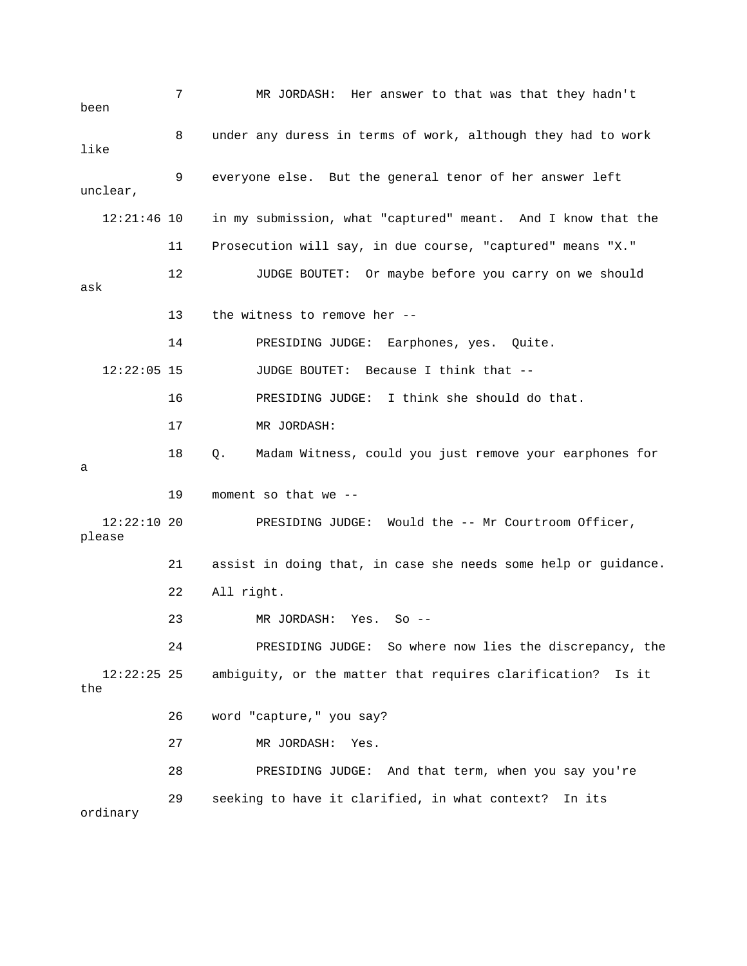| been                    | 7  | MR JORDASH: Her answer to that was that they hadn't            |
|-------------------------|----|----------------------------------------------------------------|
| like                    | 8  | under any duress in terms of work, although they had to work   |
| unclear,                | 9  | everyone else. But the general tenor of her answer left        |
| $12:21:46$ 10           |    | in my submission, what "captured" meant. And I know that the   |
|                         | 11 | Prosecution will say, in due course, "captured" means "X."     |
| ask                     | 12 | JUDGE BOUTET: Or maybe before you carry on we should           |
|                         | 13 | the witness to remove her --                                   |
|                         | 14 | PRESIDING JUDGE: Earphones, yes. Quite.                        |
| $12:22:05$ 15           |    | <b>JUDGE BOUTET:</b><br>Because I think that --                |
|                         | 16 | PRESIDING JUDGE: I think she should do that.                   |
|                         | 17 | MR JORDASH:                                                    |
| а                       | 18 | Madam Witness, could you just remove your earphones for<br>Q.  |
|                         | 19 | moment so that we --                                           |
| $12:22:10$ 20<br>please |    | PRESIDING JUDGE: Would the -- Mr Courtroom Officer,            |
|                         | 21 | assist in doing that, in case she needs some help or guidance. |
|                         | 22 | All right.                                                     |
|                         | 23 | MR JORDASH: Yes.<br>$So$ --                                    |
|                         | 24 | PRESIDING JUDGE: So where now lies the discrepancy, the        |
| $12:22:25$ 25<br>the    |    | ambiguity, or the matter that requires clarification?<br>Is it |
|                         | 26 | word "capture," you say?                                       |
|                         | 27 | MR JORDASH:<br>Yes.                                            |
|                         | 28 | PRESIDING JUDGE: And that term, when you say you're            |
| ordinary                | 29 | seeking to have it clarified, in what context?<br>In its       |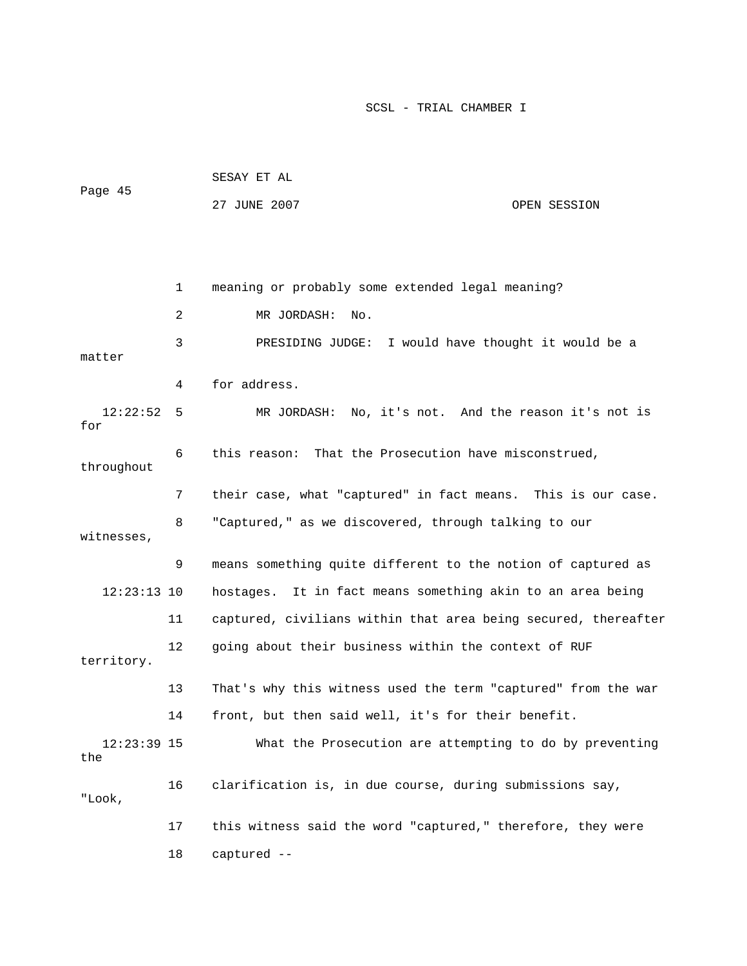|                      |    | SESAY ET AL                                                    |              |  |
|----------------------|----|----------------------------------------------------------------|--------------|--|
| Page 45              |    | 27 JUNE 2007                                                   | OPEN SESSION |  |
|                      |    |                                                                |              |  |
|                      |    |                                                                |              |  |
|                      | 1  | meaning or probably some extended legal meaning?               |              |  |
|                      | 2  | MR JORDASH:<br>No.                                             |              |  |
| matter               | 3  | PRESIDING JUDGE: I would have thought it would be a            |              |  |
|                      | 4  | for address.                                                   |              |  |
| 12:22:52<br>for      | 5  | MR JORDASH: No, it's not. And the reason it's not is           |              |  |
| throughout           | 6  | this reason: That the Prosecution have misconstrued,           |              |  |
|                      | 7  | their case, what "captured" in fact means. This is our case.   |              |  |
| witnesses,           | 8  | "Captured," as we discovered, through talking to our           |              |  |
|                      | 9  | means something quite different to the notion of captured as   |              |  |
| $12:23:13$ 10        |    | hostages. It in fact means something akin to an area being     |              |  |
|                      | 11 | captured, civilians within that area being secured, thereafter |              |  |
| territory.           | 12 | going about their business within the context of RUF           |              |  |
|                      | 13 | That's why this witness used the term "captured" from the war  |              |  |
|                      | 14 | front, but then said well, it's for their benefit.             |              |  |
| $12:23:39$ 15<br>the |    | What the Prosecution are attempting to do by preventing        |              |  |
| "Look,               | 16 | clarification is, in due course, during submissions say,       |              |  |
|                      | 17 | this witness said the word "captured," therefore, they were    |              |  |
|                      | 18 | captured --                                                    |              |  |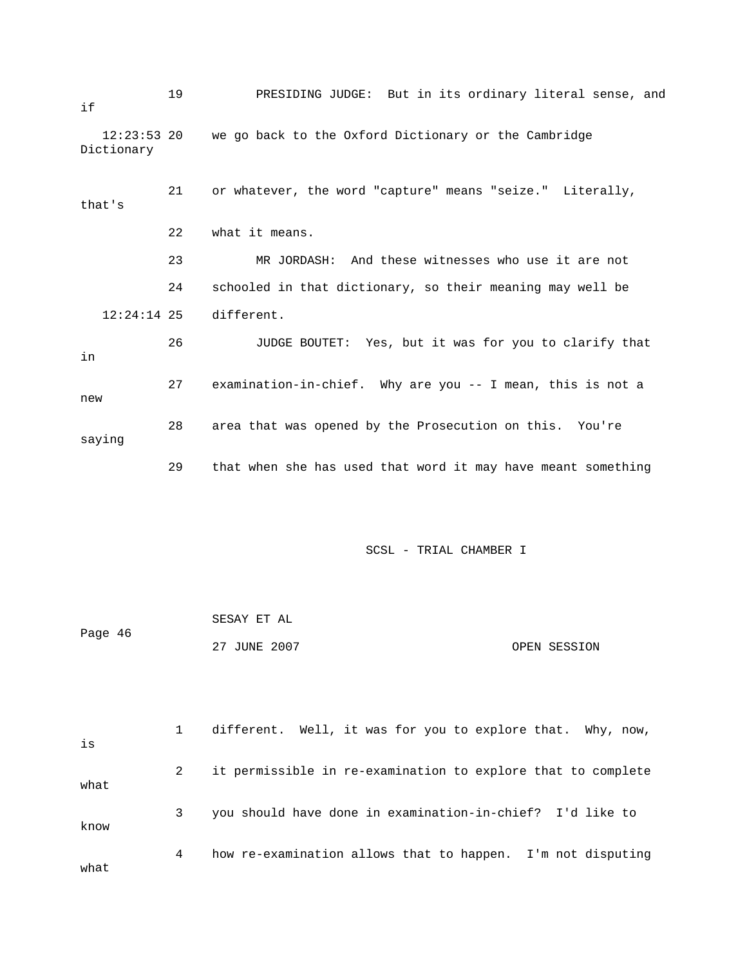19 PRESIDING JUDGE: But in its ordinary literal sense, and , 21 or whatever, the word "capture" means "seize." Literally 23 MR JORDASH: And these witnesses who use it are not 24 schooled in that dictionary, so their meaning may well be 12:24:14 25 different. 26 JUDGE BOUTET: Yes, but it was for you to clarify that 27 examination-in-chief. Why are you -- I mean, this is not a if 12:23:53 20 we go back to the Oxford Dictionary or the Cambridge Dictionary that's 22 what it means. in new

 28 area that was opened by the Prosecution on this. You're saying

29 that when she has used that word it may have meant something

| Page 46 | SESAY ET AL  |              |
|---------|--------------|--------------|
|         | 27 JUNE 2007 | OPEN SESSION |

| is   |   | different. Well, it was for you to explore that. Why, now,   |
|------|---|--------------------------------------------------------------|
| what | 2 | it permissible in re-examination to explore that to complete |
| know | 3 | you should have done in examination-in-chief? I'd like to    |
| what | 4 | how re-examination allows that to happen. I'm not disputing  |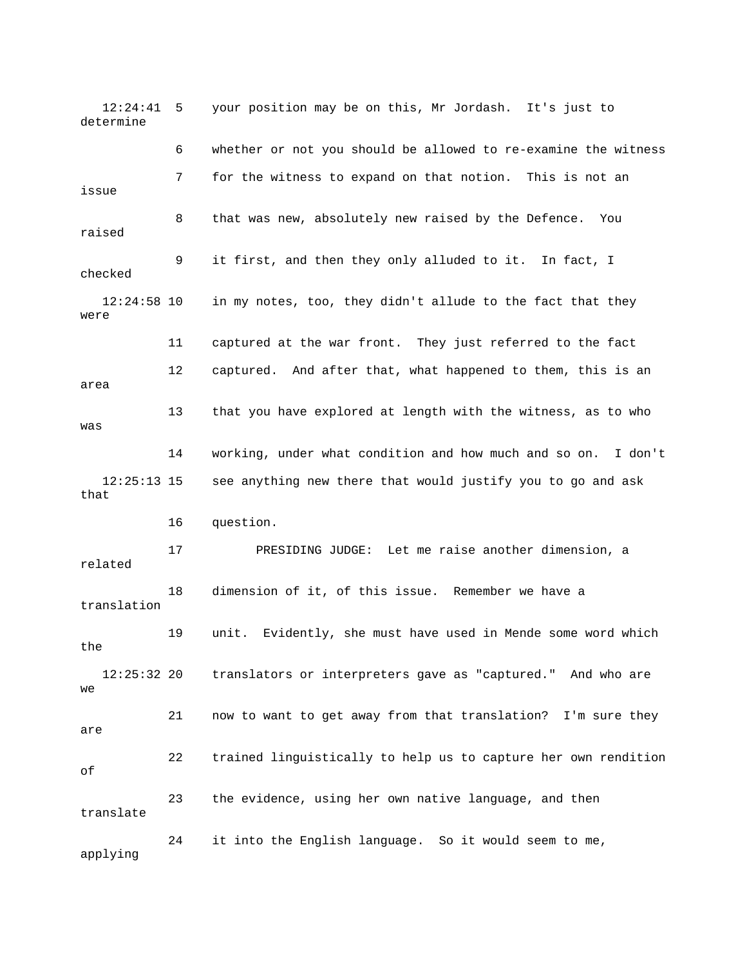12:24:41 5 your position may be on this, Mr Jordash. It's just to determine 7 for the witness to expand on that notion. This is not an 8 that was new, absolutely new raised by the Defence. You 9 it first, and then they only alluded to it. In fact, I 12:24:58 10 in my notes, too, they didn't allude to the fact that they 11 captured at the war front. They just referred to the fact 12 captured. And after that, what happened to them, this is an 13 that you have explored at length with the witness, as to who 14 working, under what condition and how much and so on. I don't 12:25:13 15 see anything new there that would justify you to go and ask that 18 dimension of it, of this issue. Remember we have a translation 19 unit. Evidently, she must have used in Mende some word which 12:25:32 20 translators or interpreters gave as "captured." And who are 21 now to want to get away from that translation? I'm sure they 22 trained linguistically to help us to capture her own rendition 6 whether or not you should be allowed to re-examine the witness issue raised checked were area was 16 question. 17 PRESIDING JUDGE: Let me raise another dimension, a related the we are of 23 the evidence, using her own native language, and then translate 24 it into the English language. So it would seem to me, applying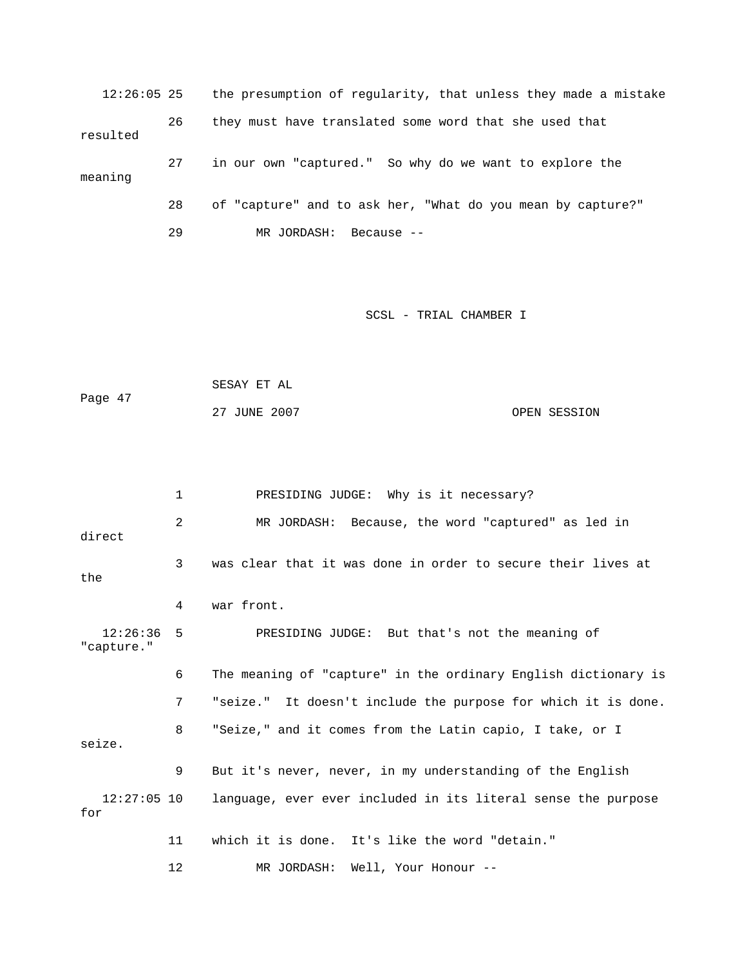12:26:05 25 the presumption of regularity, that unless they made a mistake 26 they must have translated some word that she used that 27 in our own "captured." So why do we want to explore the 28 of "capture" and to ask her, "What do you mean by capture?" 29 MR JORDASH: Because - resulted meaning

SCSL - TRIAL CHAMBER I

```
 SESAY ET AL 
Page 47 
             27 JUNE 2007 OPEN SESSION
```
 1 PRESIDING JUDGE: Why is it necessary? 2 MR JORDASH: Because, the word "captured" as led in direct 3 was clear that it was done in order to secure their lives at the 12:26:36 5 PRESIDING JUDGE: But that's not the meaning of apture." "c 6 The meaning of "capture" in the ordinary English dictionary is 7 seize." It doesn't include the purpose for which it is done. 12:27:05 10 language, ever ever included in its literal sense the purpose 12 MR JORDASH: Well, Your Honour -- 4 war front. 8 "Seize," and it comes from the Latin capio, I take, or I seize. 9 But it's never, never, in my understanding of the English for 11 which it is done. It's like the word "detain."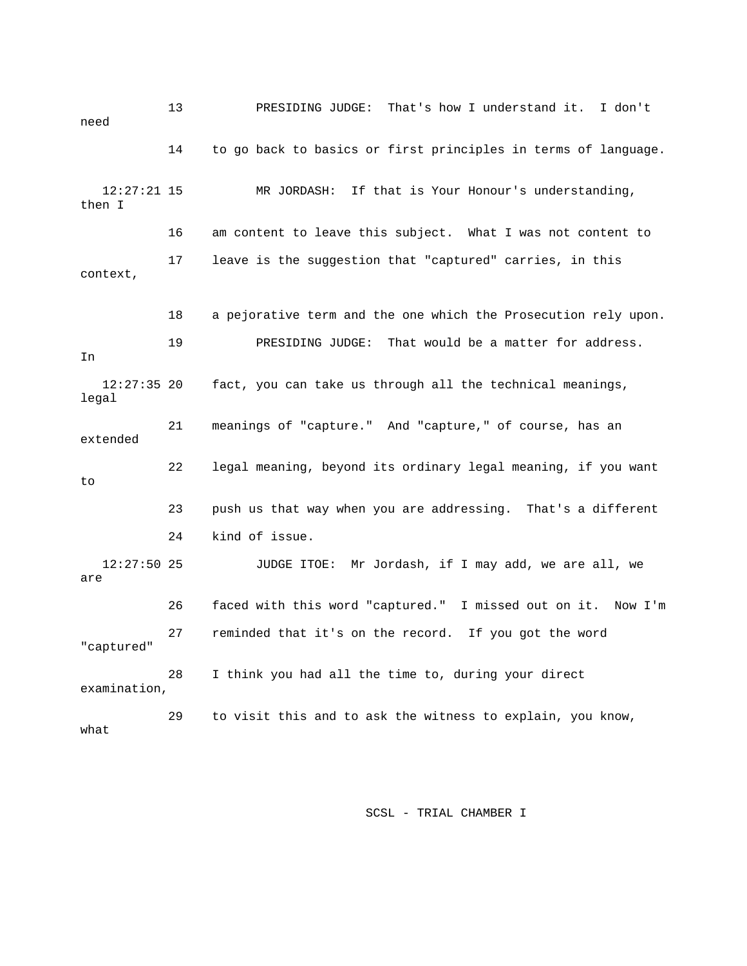13 PRESIDING JUDGE: That's how I understand it. I don't need 14 to go back to basics or first principles in terms of language. then I 16 am content to leave this subject. What I was not content to 17 leave is the suggestion that "captured" carries, in this 19 PRESIDING JUDGE: That would be a matter for address. 12:27:35 20 fact, you can take us through all the technical meanings, 21 meanings of "capture." And "capture," of course, has an 22 legal meaning, beyond its ordinary legal meaning, if you want 23 push us that way when you are addressing. That's a different 24 kind of issue. are 26 faced with this word "captured." I missed out on it. Now I'm 12:27:21 15 MR JORDASH: If that is Your Honour's understanding, context, 18 a pejorative term and the one which the Prosecution rely upon. In legal extended to 12:27:50 25 JUDGE ITOE: Mr Jordash, if I may add, we are all, we 27 reminded that it's on the record. If you got the word "captured" 28 I think you had all the time to, during your direct examination, 29 to visit this and to ask the witness to explain, you know, what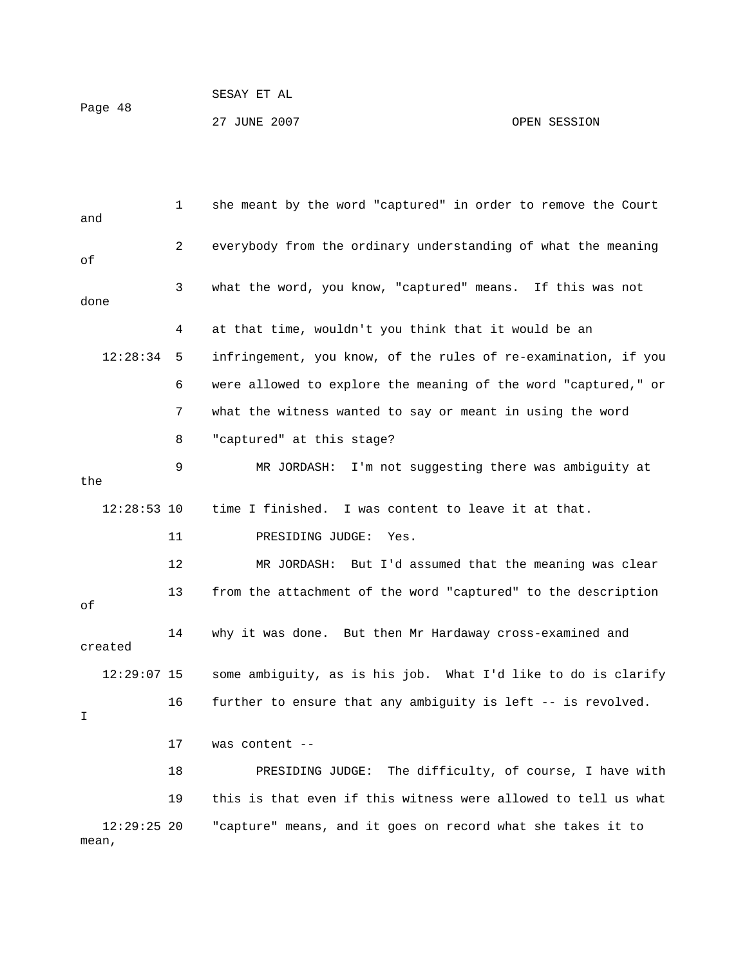1 she meant by the word "captured" in order to remove the Court and 2 everybody from the ordinary understanding of what the meaning 3 what the word, you know, "captured" means. If this was not 12:28:34 5 infringement, you know, of the rules of re-examination, if you 6 were allowed to explore the meaning of the word "captured," or 9 MR JORDASH: I'm not suggesting there was ambiguity at time I finished. I was content to leave it at that. 14 why it was done. But then Mr Hardaway cross-examined and 16 further to ensure that any ambiguity is left -- is revolved. of done 4 at that time, wouldn't you think that it would be an 7 what the witness wanted to say or meant in using the word 8 "captured" at this stage? the  $12:28:53$  10 11 PRESIDING JUDGE: Yes. 12 MR JORDASH: But I'd assumed that the meaning was clear 13 from the attachment of the word "captured" to the description of created 12:29:07 15 some ambiguity, as is his job. What I'd like to do is clarify I 17 was content -- 18 PRESIDING JUDGE: The difficulty, of course, I have with 19 this is that even if this witness were allowed to tell us what

27 JUNE 2007 OPEN SESSION

12:29:25 20 "capture" means, and it goes on record what she takes it to mean,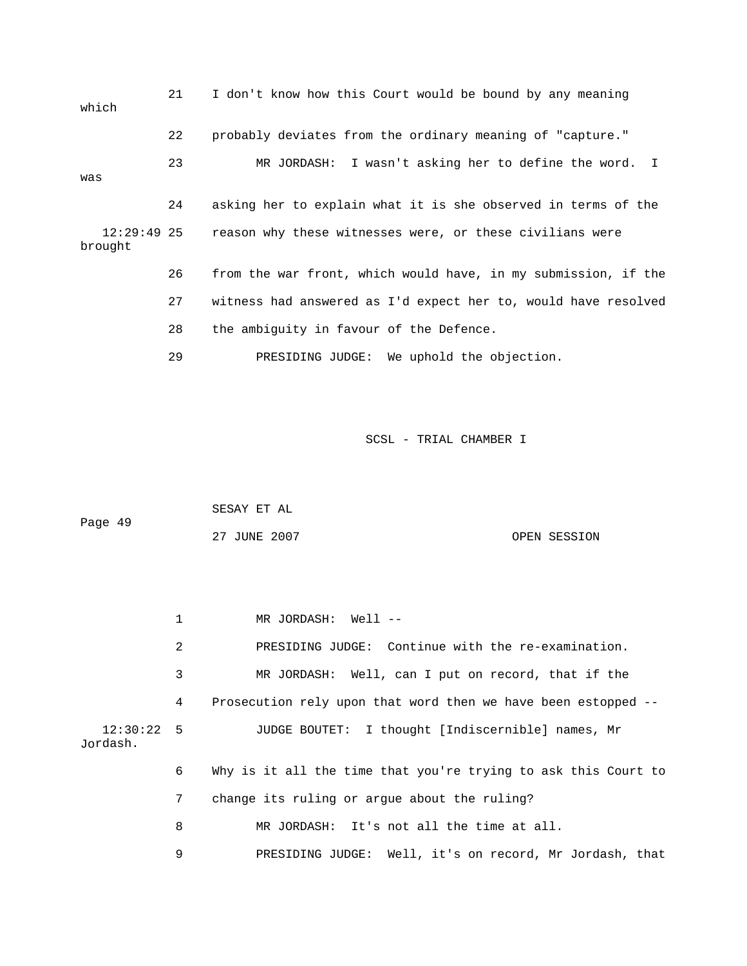| which                    | 21 | I don't know how this Court would be bound by any meaning      |
|--------------------------|----|----------------------------------------------------------------|
|                          | 22 | probably deviates from the ordinary meaning of "capture."      |
| was                      | 23 | MR JORDASH: I wasn't asking her to define the word. I          |
|                          | 24 | asking her to explain what it is she observed in terms of the  |
| $12:29:49$ 25<br>brought |    | reason why these witnesses were, or these civilians were       |
|                          | 26 | from the war front, which would have, in my submission, if the |
|                          | 27 | witness had answered as I'd expect her to, would have resolved |
|                          | 28 | the ambiquity in favour of the Defence.                        |
|                          | 29 | PRESIDING JUDGE: We uphold the objection.                      |

|         | SESAY ET AL  |              |
|---------|--------------|--------------|
| Page 49 |              |              |
|         | 27 JUNE 2007 | OPEN SESSION |

|                          |   | MR JORDASH: Well --                                            |
|--------------------------|---|----------------------------------------------------------------|
|                          | 2 | PRESIDING JUDGE: Continue with the re-examination.             |
|                          | 3 | MR JORDASH: Well, can I put on record, that if the             |
|                          | 4 | Prosecution rely upon that word then we have been estopped --  |
| $12:30:22$ 5<br>Jordash. |   | JUDGE BOUTET: I thought [Indiscernible] names, Mr              |
|                          | 6 | Why is it all the time that you're trying to ask this Court to |
|                          | 7 | change its ruling or argue about the ruling?                   |
|                          | 8 | MR JORDASH: It's not all the time at all.                      |
|                          | 9 | PRESIDING JUDGE: Well, it's on record, Mr Jordash, that        |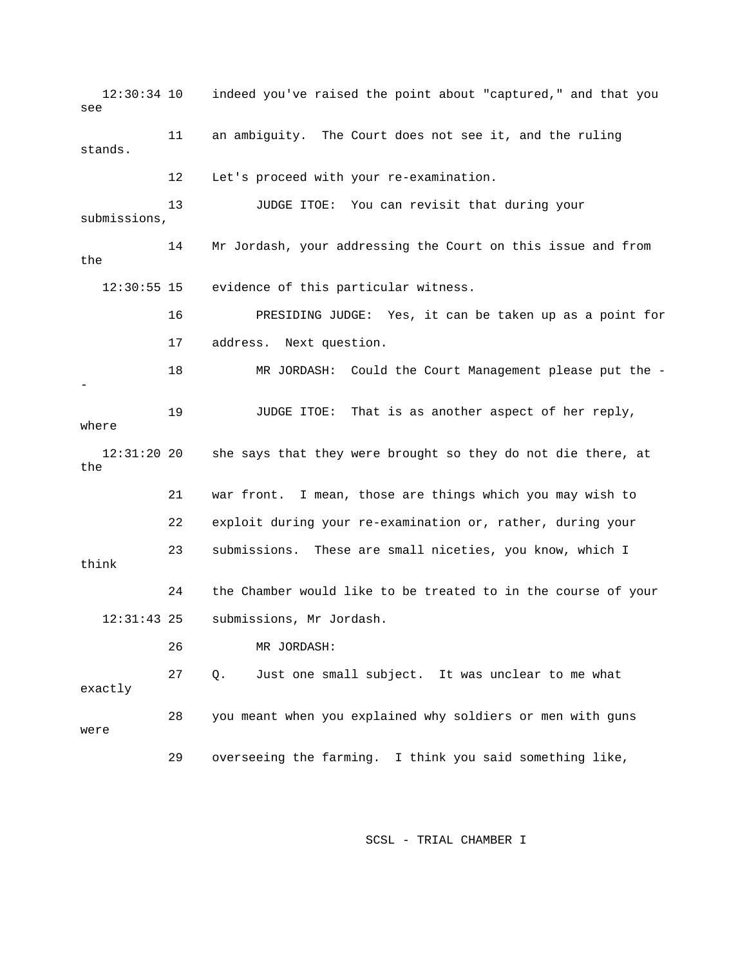12:30:34 10 indeed you've raised the point about "captured," and that you 13 JUDGE ITOE: You can revisit that during your submissions, 14 Mr Jordash, your addressing the Court on this issue and from t for 16 PRESIDING JUDGE: Yes, it can be taken up as a poin 17 address. Next question. 18 MR JORDASH: Could the Court Management please put the - JUDGE ITOE: That is as another aspect of her reply, where she says that they were brought so they do not die there, at the 21 war front. I mean, those are things which you may wish to 23 submissions. These are small niceties, you know, which I 24 the Chamber would like to be treated to in the course of your submissions, Mr Jordash. 27 Q. Just one small subject. It was unclear to me what 29 overseeing the farming. I think you said something like, see 11 an ambiguity. The Court does not see it, and the ruling stands. 12 Let's proceed with your re-examination. the 12:30:55 15 evidence of this particular witness. - 19  $12:31:2020$  22 exploit during your re-examination or, rather, during your think  $12:31:43$  25 26 MR JORDASH: exactly 28 you meant when you explained why soldiers or men with guns were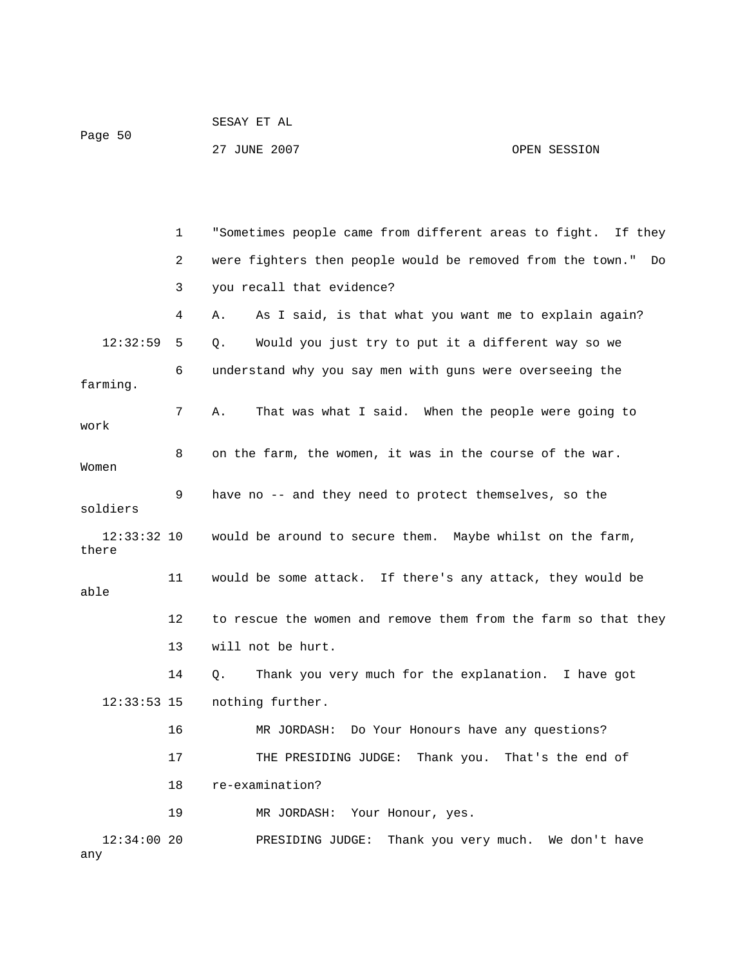| Page 50 | SESAY ET AL  |              |
|---------|--------------|--------------|
|         | 27 JUNE 2007 | OPEN SESSION |

|                        | $\mathbf 1$ | "Sometimes people came from different areas to fight. If they    |
|------------------------|-------------|------------------------------------------------------------------|
|                        | 2           | were fighters then people would be removed from the town."<br>Do |
|                        | 3           | you recall that evidence?                                        |
|                        | 4           | As I said, is that what you want me to explain again?<br>Α.      |
| 12:32:59               | 5           | Would you just try to put it a different way so we<br>Q.         |
| farming.               | 6           | understand why you say men with guns were overseeing the         |
| work                   | 7           | That was what I said. When the people were going to<br>Α.        |
| Women                  | 8           | on the farm, the women, it was in the course of the war.         |
| soldiers               | 9           | have no -- and they need to protect themselves, so the           |
| $12:33:32$ 10<br>there |             | would be around to secure them. Maybe whilst on the farm,        |
| able                   | 11          | would be some attack. If there's any attack, they would be       |
|                        | 12          | to rescue the women and remove them from the farm so that they   |
|                        | 13          | will not be hurt.                                                |
|                        | 14          | Thank you very much for the explanation. I have got<br>Q.        |
| $12:33:53$ 15          |             | nothing further.                                                 |
|                        | 16          | Do Your Honours have any questions?<br>MR JORDASH:               |
|                        | 17          | THE PRESIDING JUDGE:<br>Thank you.<br>That's the end of          |
|                        | 18          | re-examination?                                                  |
|                        | 19          | MR JORDASH:<br>Your Honour, yes.                                 |
| $12:34:00$ 20<br>any   |             | Thank you very much. We don't have<br>PRESIDING JUDGE:           |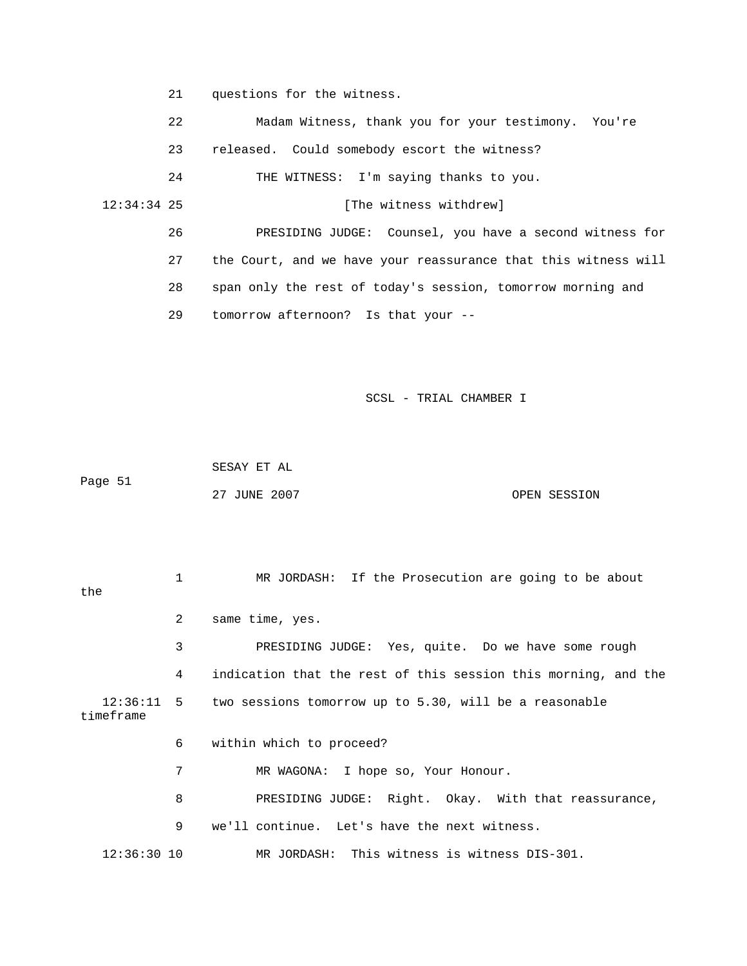21 questions for the witness.

 22 Madam Witness, thank you for your testimony. You're [The witness withdrew] ave a second witness for 26 PRESIDING JUDGE: Counsel, you h 27 the Court, and we have your reassurance that this witness will 28 span only the rest of today's session, tomorrow morning and 23 released. Could somebody escort the witness? 24 THE WITNESS: I'm saying thanks to you. 12:34:34 25 29 tomorrow afternoon? Is that your --

SCSL - TRIAL CHAMBER I

 SESAY ET AL Page 51 27 JUNE 2007 CPEN SESSION

 1 MR JORDASH: If the Prosecution are going to be about the 2 same time, yes. 3 PRESIDING JUDGE: Yes, quite. Do we have some rough e 4 indication that the rest of this session this morning, and th timeframe 6 within which to proceed? 7 MR WAGONA: I hope so, Your Honour. 8 PRESIDING JUDGE: Right. Okay. With that reassurance, 9 we'll continue. Let's have the next witness. 12:36:11 5 two sessions tomorrow up to 5.30, will be a reasonable 12:36:30 10 MR JORDASH: This witness is witness DIS-301.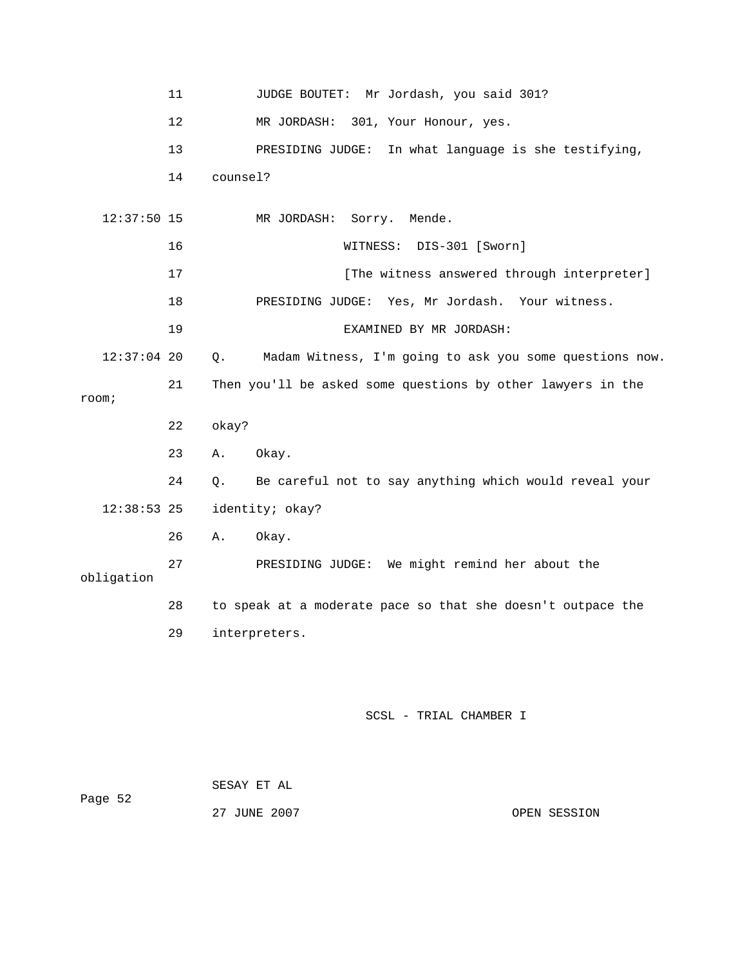|               | 11 | JUDGE BOUTET: Mr Jordash, you said 301?                       |
|---------------|----|---------------------------------------------------------------|
|               | 12 | MR JORDASH: 301, Your Honour, yes.                            |
|               | 13 | PRESIDING JUDGE: In what language is she testifying,          |
|               | 14 | counsel?                                                      |
| $12:37:50$ 15 |    | MR JORDASH:<br>Sorry. Mende.                                  |
|               |    |                                                               |
|               | 16 | WITNESS: DIS-301 [Sworn]                                      |
|               | 17 | [The witness answered through interpreter]                    |
|               | 18 | PRESIDING JUDGE: Yes, Mr Jordash. Your witness.               |
|               | 19 | EXAMINED BY MR JORDASH:                                       |
| $12:37:04$ 20 |    | Madam Witness, I'm going to ask you some questions now.<br>Q. |
|               | 21 | Then you'll be asked some questions by other lawyers in the   |
| room;         |    |                                                               |
|               | 22 | okay?                                                         |
|               | 23 | Okay.<br>Α.                                                   |
|               | 24 | Be careful not to say anything which would reveal your<br>Q.  |
| $12:38:53$ 25 |    | identity; okay?                                               |
|               | 26 | Okay.<br>Α.                                                   |
| obligation    | 27 | PRESIDING JUDGE: We might remind her about the                |
|               | 28 | to speak at a moderate pace so that she doesn't outpace the   |
|               | 29 | interpreters.                                                 |
|               |    | SCSL - TRIAL CHAMBER I                                        |

| Page 52 | SESAY ET AL  |              |  |
|---------|--------------|--------------|--|
|         | 27 JUNE 2007 | OPEN SESSION |  |
|         |              |              |  |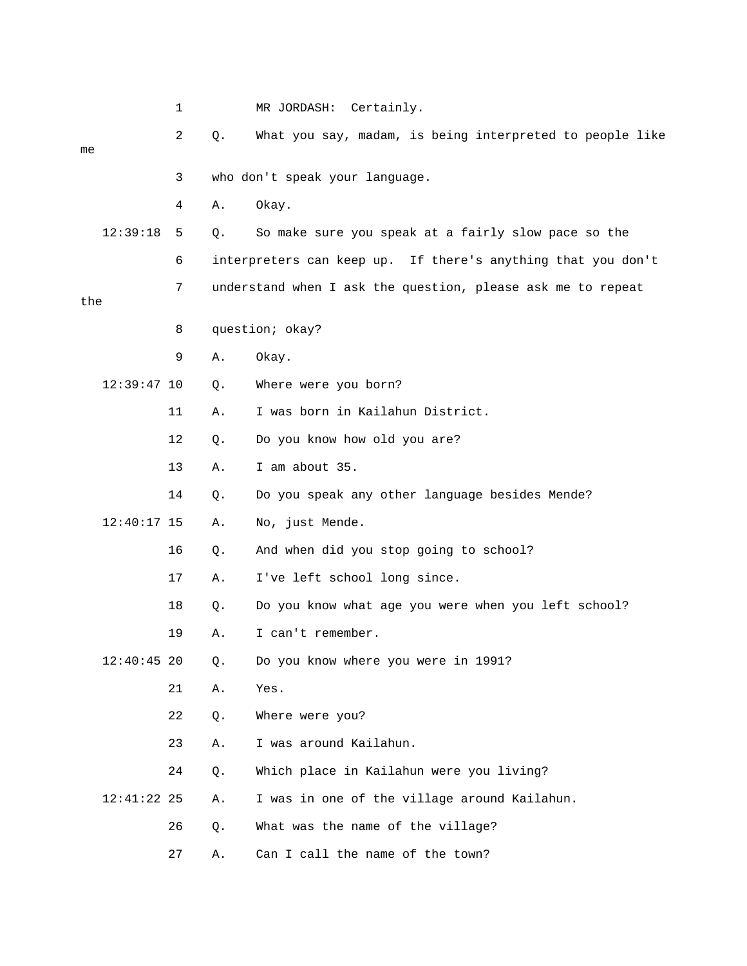|     |               | 1  |    | MR JORDASH:<br>Certainly.                                    |
|-----|---------------|----|----|--------------------------------------------------------------|
| me  |               | 2  | Q. | What you say, madam, is being interpreted to people like     |
|     |               | 3  |    | who don't speak your language.                               |
|     |               | 4  | Α. | Okay.                                                        |
|     | 12:39:18      | 5  | Q. | So make sure you speak at a fairly slow pace so the          |
|     |               | 6  |    | interpreters can keep up. If there's anything that you don't |
| the |               | 7  |    | understand when I ask the question, please ask me to repeat  |
|     |               | 8  |    | question; okay?                                              |
|     |               | 9  | Α. | Okay.                                                        |
|     | $12:39:47$ 10 |    | Q. | Where were you born?                                         |
|     |               | 11 | Α. | I was born in Kailahun District.                             |
|     |               | 12 | Q. | Do you know how old you are?                                 |
|     |               | 13 | Α. | I am about 35.                                               |
|     |               | 14 | Q. | Do you speak any other language besides Mende?               |
|     | $12:40:17$ 15 |    | Α. | No, just Mende.                                              |
|     |               | 16 | Q. | And when did you stop going to school?                       |
|     |               | 17 | Α. | I've left school long since.                                 |
|     |               | 18 | Q. | Do you know what age you were when you left school?          |
|     |               | 19 | Α. | I can't remember.                                            |
|     | $12:40:45$ 20 |    | Q. | Do you know where you were in 1991?                          |
|     |               | 21 | Α. | Yes.                                                         |
|     |               | 22 | Q. | Where were you?                                              |
|     |               | 23 | Α. | I was around Kailahun.                                       |
|     | $12:41:22$ 25 | 24 | Q. | Which place in Kailahun were you living?                     |
|     |               |    | Α. | I was in one of the village around Kailahun.                 |
|     |               | 26 | Q. | What was the name of the village?                            |
|     |               | 27 | Α. | Can I call the name of the town?                             |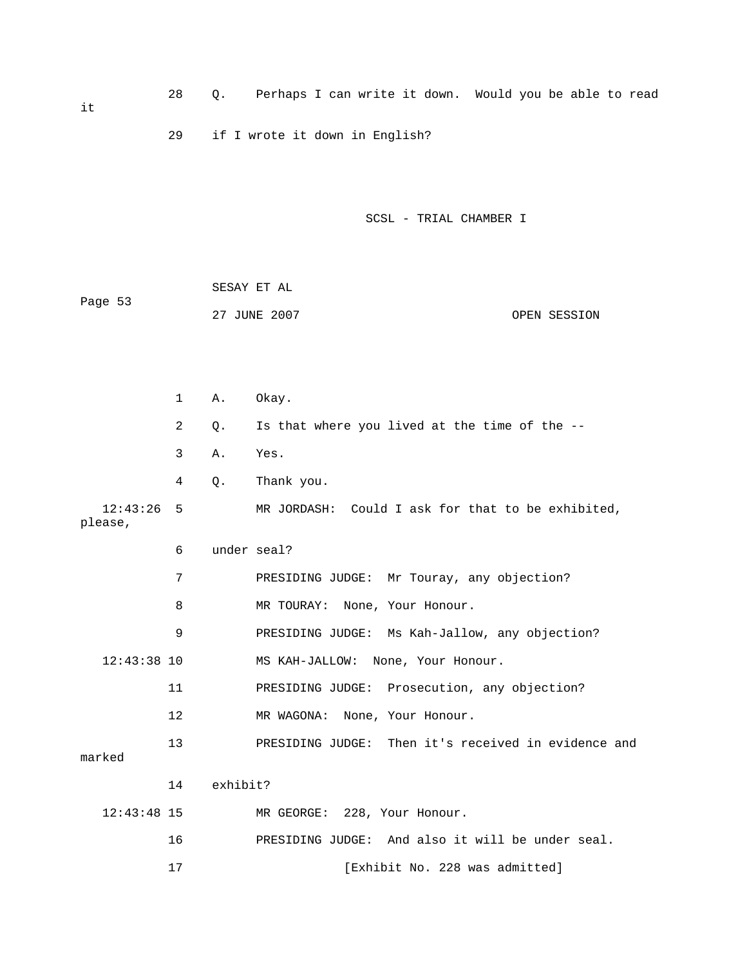28 Q. Perhaps I can write it down. Would you be able to read 29 if I wrote it down in English? SESAY ET AL 27 JUNE 2007 OPEN SESSION 1 A. Okay. 2 Q. Is that where you lived at the time of the -- 3 A. Yes. 4 Q. Thank you. MR JORDASH: Could I ask for that to be exhibited, 6 under seal? it SCSL - TRIAL CHAMBER I Page 53  $12:43:26$  5 please,

 7 PRESIDING JUDGE: Mr Touray, any objection? 8 MR TOURAY: None, Your Honour. MS KAH-JALLOW: None, Your Honour. 11 PRESIDING JUDGE: Prosecution, any objection? 12 MR WAGONA: None, Your Honour. 13 PRESIDING JUDGE: Then it's received in evidence and marked 14 exhibit? 16 PRESIDING JUDGE: And also it will be under seal. 9 PRESIDING JUDGE: Ms Kah-Jallow, any objection?  $12:43:38$  10 12:43:48 15 MR GEORGE: 228, Your Honour.

17 [Exhibit No. 228 was admitted]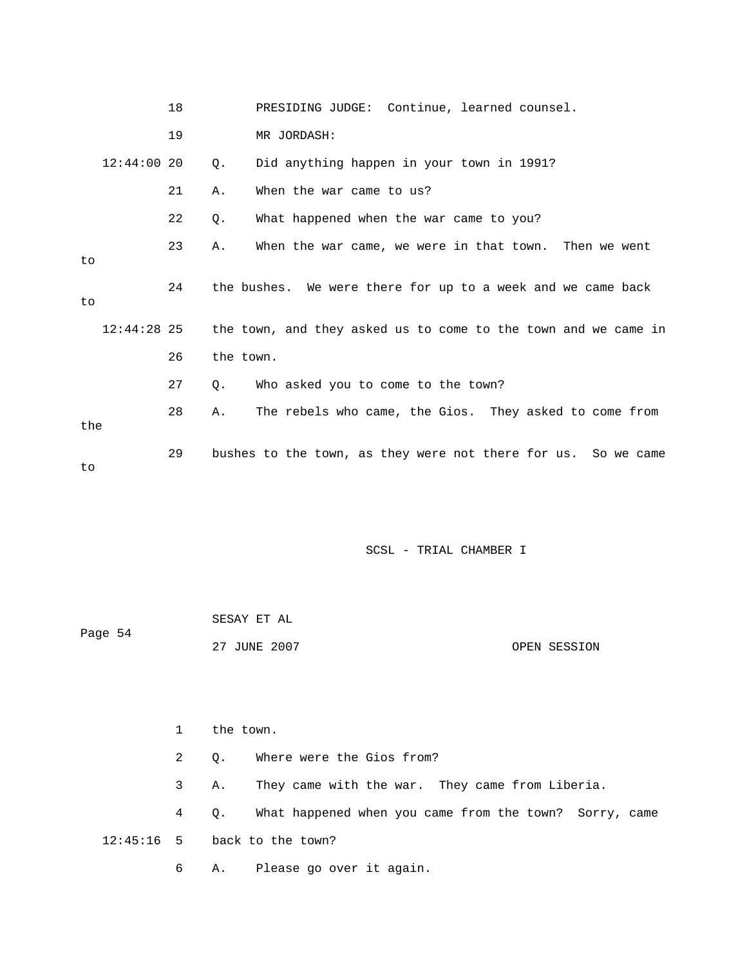|               | 18 | PRESIDING JUDGE: Continue, learned counsel.                    |
|---------------|----|----------------------------------------------------------------|
|               | 19 | MR JORDASH:                                                    |
| $12:44:00$ 20 |    | Did anything happen in your town in 1991?<br>О.                |
|               | 21 | When the war came to us?<br>Α.                                 |
|               | 22 | What happened when the war came to you?<br>Ο.                  |
| to            | 23 | When the war came, we were in that town. Then we went<br>Α.    |
| to            | 24 | the bushes. We were there for up to a week and we came back    |
| $12:44:28$ 25 |    | the town, and they asked us to come to the town and we came in |
|               | 26 | the town.                                                      |
|               | 27 | Who asked you to come to the town?<br>О.                       |
| the           | 28 | The rebels who came, the Gios. They asked to come from<br>Α.   |
| to            | 29 | bushes to the town, as they were not there for us. So we came  |

| Page 54 | SESAY ET AL  |              |
|---------|--------------|--------------|
|         | 27 JUNE 2007 | OPEN SESSION |

|                                |              | the town.                                                             |  |  |  |
|--------------------------------|--------------|-----------------------------------------------------------------------|--|--|--|
|                                | $\mathbf{2}$ | Where were the Gios from?<br>$\circ$ .                                |  |  |  |
|                                | 3 -          | They came with the war. They came from Liberia.<br>Α.                 |  |  |  |
|                                | $4\degree$   | What happened when you came from the town? Sorry, came<br>$Q_{\star}$ |  |  |  |
| $12:45:16$ 5 back to the town? |              |                                                                       |  |  |  |
|                                | 6            | A. Please go over it again.                                           |  |  |  |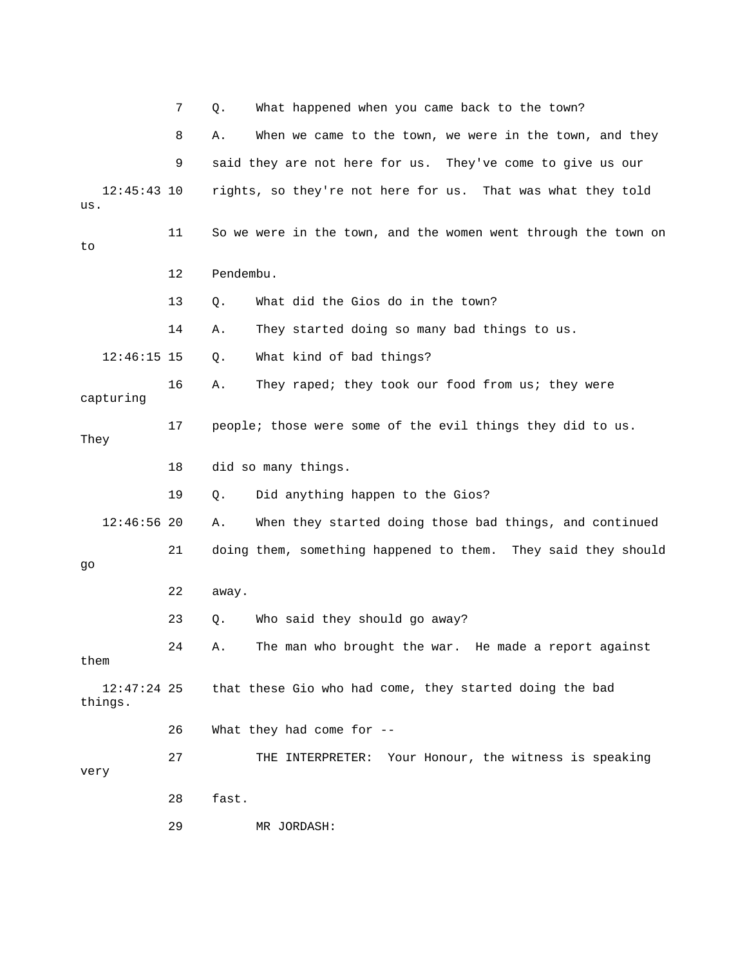|                          | 7  | What happened when you came back to the town?<br>Q.            |
|--------------------------|----|----------------------------------------------------------------|
|                          | 8  | When we came to the town, we were in the town, and they<br>Α.  |
|                          | 9  | said they are not here for us. They've come to give us our     |
| $12:45:43$ 10<br>us.     |    | rights, so they're not here for us. That was what they told    |
| to                       | 11 | So we were in the town, and the women went through the town on |
|                          | 12 | Pendembu.                                                      |
|                          | 13 | What did the Gios do in the town?<br>Q.                        |
|                          | 14 | They started doing so many bad things to us.<br>Α.             |
| $12:46:15$ 15            |    | What kind of bad things?<br>Q.                                 |
| capturing                | 16 | They raped; they took our food from us; they were<br>Α.        |
| They                     | 17 | people; those were some of the evil things they did to us.     |
|                          | 18 | did so many things.                                            |
|                          | 19 | Did anything happen to the Gios?<br>Q.                         |
| $12:46:56$ 20            |    | When they started doing those bad things, and continued<br>Α.  |
| go                       | 21 | doing them, something happened to them. They said they should  |
|                          | 22 | away.                                                          |
|                          | 23 | Who said they should go away?<br>Q.                            |
| them                     | 24 | The man who brought the war. He made a report against<br>Α.    |
| $12:47:24$ 25<br>things. |    | that these Gio who had come, they started doing the bad        |
|                          | 26 | What they had come for --                                      |
| very                     | 27 | THE INTERPRETER: Your Honour, the witness is speaking          |
|                          | 28 | fast.                                                          |
|                          | 29 | MR JORDASH:                                                    |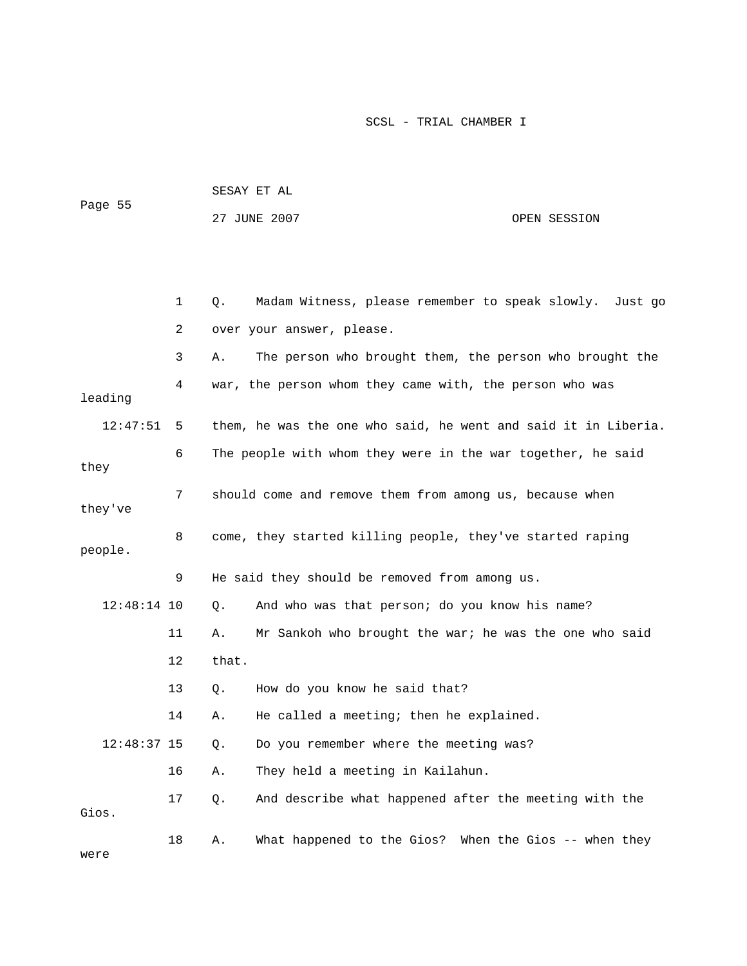| Page 55       |    |       | SESAY ET AL                                                    |  |              |
|---------------|----|-------|----------------------------------------------------------------|--|--------------|
|               |    |       | 27 JUNE 2007                                                   |  | OPEN SESSION |
|               |    |       |                                                                |  |              |
|               |    |       |                                                                |  |              |
|               | 1  | Q.    | Madam Witness, please remember to speak slowly.                |  | Just go      |
|               | 2  |       | over your answer, please.                                      |  |              |
|               | 3  | Α.    | The person who brought them, the person who brought the        |  |              |
| leading       | 4  |       | war, the person whom they came with, the person who was        |  |              |
| 12:47:51      | 5  |       | them, he was the one who said, he went and said it in Liberia. |  |              |
| they          | 6  |       | The people with whom they were in the war together, he said    |  |              |
| they've       | 7  |       | should come and remove them from among us, because when        |  |              |
| people.       | 8  |       | come, they started killing people, they've started raping      |  |              |
|               | 9  |       | He said they should be removed from among us.                  |  |              |
| $12:48:14$ 10 |    | Q.    | And who was that person; do you know his name?                 |  |              |
|               | 11 | Α.    | Mr Sankoh who brought the war; he was the one who said         |  |              |
|               | 12 | that. |                                                                |  |              |
|               | 13 | Q.    | How do you know he said that?                                  |  |              |
|               | 14 | Α.    | He called a meeting; then he explained.                        |  |              |
| $12:48:37$ 15 |    | $Q$ . | Do you remember where the meeting was?                         |  |              |
|               | 16 | Α.    | They held a meeting in Kailahun.                               |  |              |
| Gios.         | 17 | Q.    | And describe what happened after the meeting with the          |  |              |
| were          | 18 | Α.    | What happened to the Gios? When the Gios -- when they          |  |              |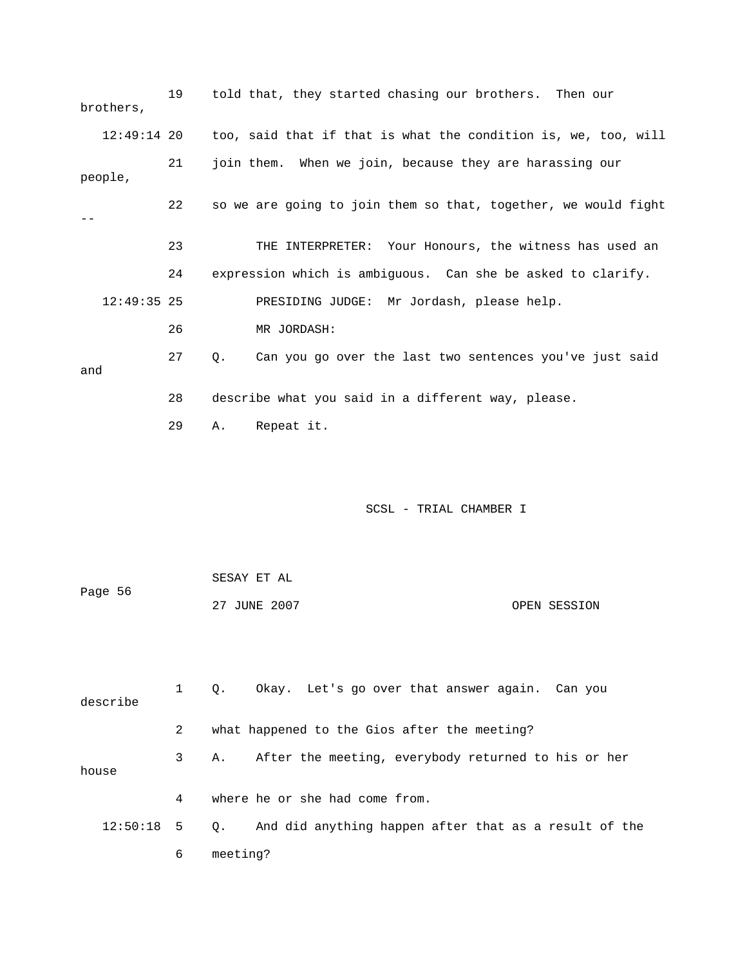| brothers,     | 19          | told that, they started chasing our brothers. Then our         |
|---------------|-------------|----------------------------------------------------------------|
| $12:49:14$ 20 |             | too, said that if that is what the condition is, we, too, will |
| people,       | 21          | join them. When we join, because they are harassing our        |
|               | 22          | so we are going to join them so that, together, we would fight |
|               | 23          | THE INTERPRETER: Your Honours, the witness has used an         |
|               | 24          | expression which is ambiguous. Can she be asked to clarify.    |
| $12:49:35$ 25 |             | PRESIDING JUDGE: Mr Jordash, please help.                      |
|               | 26          | MR JORDASH:                                                    |
| and           | 27          | Can you go over the last two sentences you've just said<br>Q.  |
|               | 28          | describe what you said in a different way, please.             |
|               | 29          | Repeat it.<br>Α.                                               |
|               |             | SCSL - TRIAL CHAMBER I                                         |
|               |             | SESAY ET AL                                                    |
| Page 56       |             | 27 JUNE 2007<br>OPEN SESSION                                   |
| describe      | $\mathbf 1$ | Okay. Let's go over that answer again. Can you<br>Q.           |
|               | 2           | what happened to the Gios after the meeting?                   |
| house         | 3           | After the meeting, everybody returned to his or her<br>Α.      |
|               | 4           | where he or she had come from.                                 |
| 12:50:18      | 5           | And did anything happen after that as a result of the<br>Q.    |
|               | 6           | meeting?                                                       |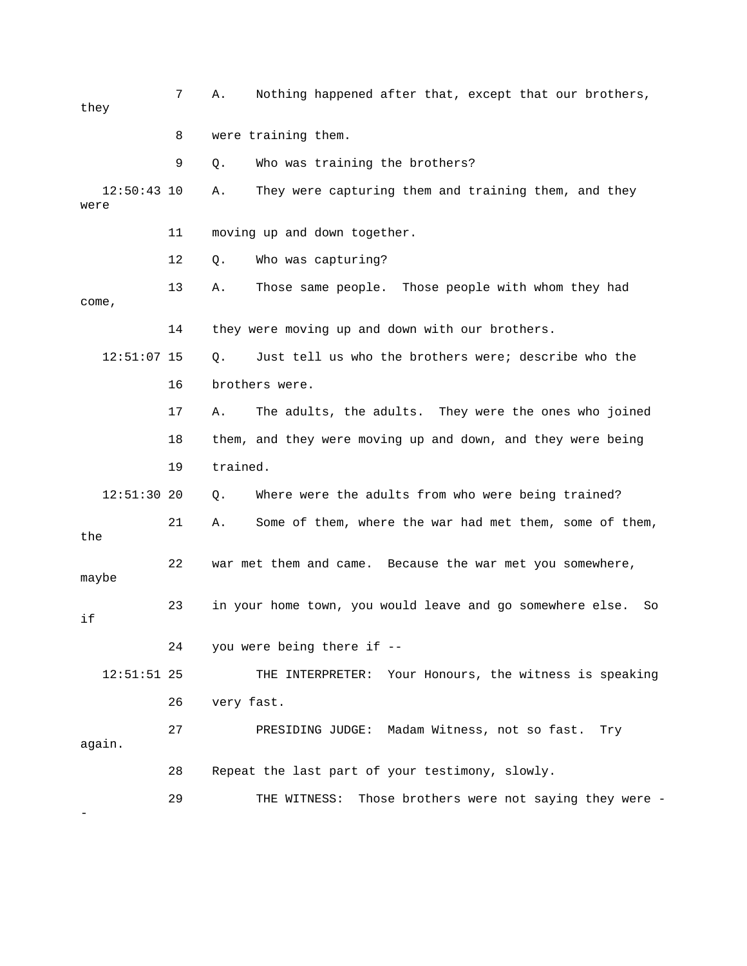| they                  | 7  | Nothing happened after that, except that our brothers,<br>Α.    |
|-----------------------|----|-----------------------------------------------------------------|
|                       | 8  | were training them.                                             |
|                       | 9  | Who was training the brothers?<br>Q.                            |
| $12:50:43$ 10<br>were |    | They were capturing them and training them, and they<br>Α.      |
|                       | 11 | moving up and down together.                                    |
|                       | 12 | Who was capturing?<br>Q.                                        |
| come,                 | 13 | Those same people. Those people with whom they had<br>Α.        |
|                       | 14 | they were moving up and down with our brothers.                 |
| $12:51:07$ 15         |    | Just tell us who the brothers were; describe who the<br>$Q$ .   |
|                       | 16 | brothers were.                                                  |
|                       | 17 | The adults, the adults. They were the ones who joined<br>Α.     |
|                       | 18 | them, and they were moving up and down, and they were being     |
|                       | 19 | trained.                                                        |
| $12:51:30$ 20         |    | Where were the adults from who were being trained?<br>Q.        |
| the                   | 21 | Some of them, where the war had met them, some of them,<br>Α.   |
| maybe                 | 22 | war met them and came. Because the war met you somewhere,       |
| if                    | 23 | in your home town, you would leave and go somewhere else.<br>So |
|                       | 24 | you were being there if --                                      |
| 12:51:51 25           |    | Your Honours, the witness is speaking<br>THE INTERPRETER:       |
|                       | 26 | very fast.                                                      |
| again.                | 27 | PRESIDING JUDGE: Madam Witness, not so fast.<br>Try             |
|                       | 28 | Repeat the last part of your testimony, slowly.                 |
|                       | 29 | Those brothers were not saying they were -<br>THE WITNESS:      |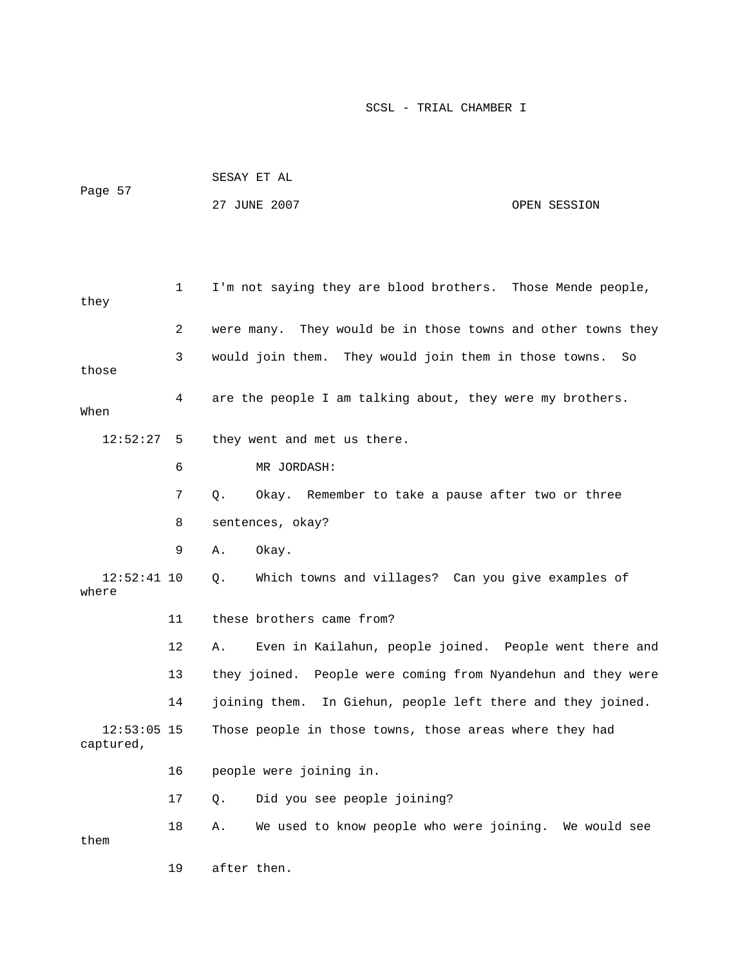|                            |    | SESAY ET AL                                                  |              |  |  |
|----------------------------|----|--------------------------------------------------------------|--------------|--|--|
| Page 57                    |    | 27 JUNE 2007                                                 | OPEN SESSION |  |  |
|                            |    |                                                              |              |  |  |
|                            |    |                                                              |              |  |  |
| they                       | 1  | I'm not saying they are blood brothers. Those Mende people,  |              |  |  |
|                            | 2  | were many. They would be in those towns and other towns they |              |  |  |
| those                      | 3  | would join them. They would join them in those towns.        | So           |  |  |
| When                       | 4  | are the people I am talking about, they were my brothers.    |              |  |  |
| 12:52:27                   | 5  | they went and met us there.                                  |              |  |  |
|                            | 6  | MR JORDASH:                                                  |              |  |  |
|                            | 7  | Q.<br>Okay. Remember to take a pause after two or three      |              |  |  |
|                            | 8  | sentences, okay?                                             |              |  |  |
|                            | 9  | Okay.<br>Α.                                                  |              |  |  |
| $12:52:41$ 10<br>where     |    | Which towns and villages? Can you give examples of<br>Q.     |              |  |  |
|                            | 11 | these brothers came from?                                    |              |  |  |
|                            | 12 | Even in Kailahun, people joined. People went there and<br>Α. |              |  |  |
|                            | 13 | they joined. People were coming from Nyandehun and they were |              |  |  |
|                            | 14 | joining them. In Giehun, people left there and they joined.  |              |  |  |
| $12:53:05$ 15<br>captured, |    | Those people in those towns, those areas where they had      |              |  |  |
|                            | 16 | people were joining in.                                      |              |  |  |
|                            | 17 | Did you see people joining?<br>Q.                            |              |  |  |
| them                       | 18 | We used to know people who were joining. We would see<br>Α.  |              |  |  |

19 after then.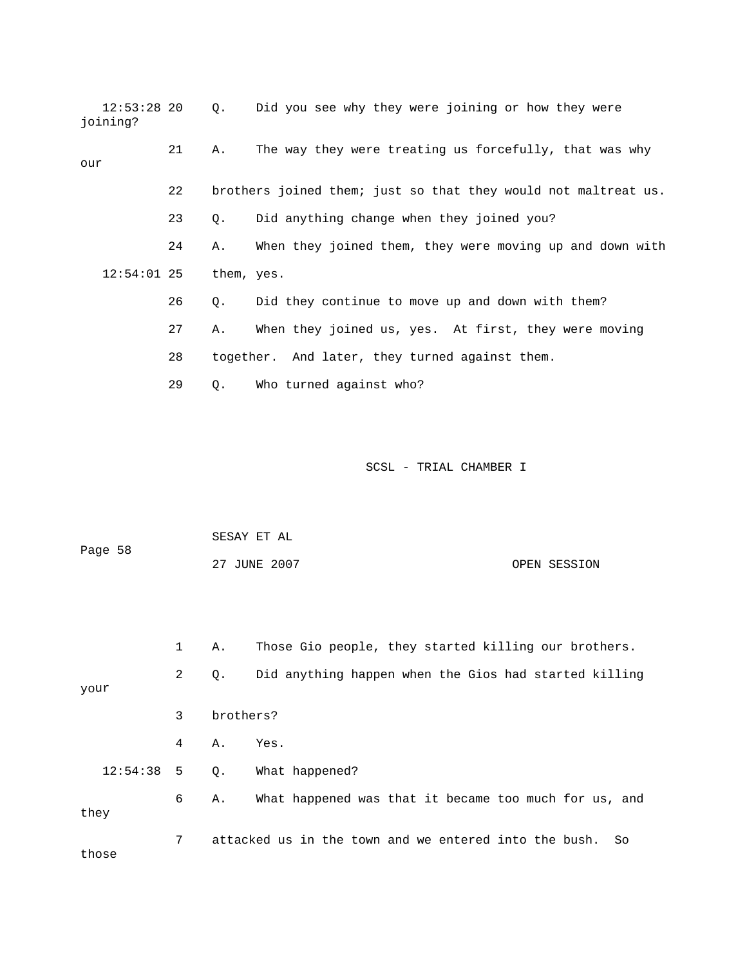12:53:28 20 Q. Did you see why they were joining or how they were joining? 22 brothers joined them; just so that they would not maltreat us. 23 Q. Did anything change when they joined you? 24 A. When they joined them, they were moving up and down with 26 Q. Did they continue to move up and down with them? 27 A. When they joined us, yes. At first, they were moving 29 Q. Who turned against who? 21 A. The way they were treating us forcefully, that was why our 12:54:01 25 them, yes. 28 together. And later, they turned against them.

| Page 58 | SESAY ET AL  |              |
|---------|--------------|--------------|
|         | 27 JUNE 2007 | OPEN SESSION |

|              | $\mathbf{1}$ | Α.        | Those Gio people, they started killing our brothers.        |
|--------------|--------------|-----------|-------------------------------------------------------------|
| your         | 2            | Q.        | Did anything happen when the Gios had started killing       |
|              | 3            | brothers? |                                                             |
|              | 4            | Α.        | Yes.                                                        |
| $12:54:38$ 5 |              | Q.        | What happened?                                              |
| they         | 6            | Α.        | What happened was that it became too much for us, and       |
| those        | 7            |           | attacked us in the town and we entered into the bush.<br>So |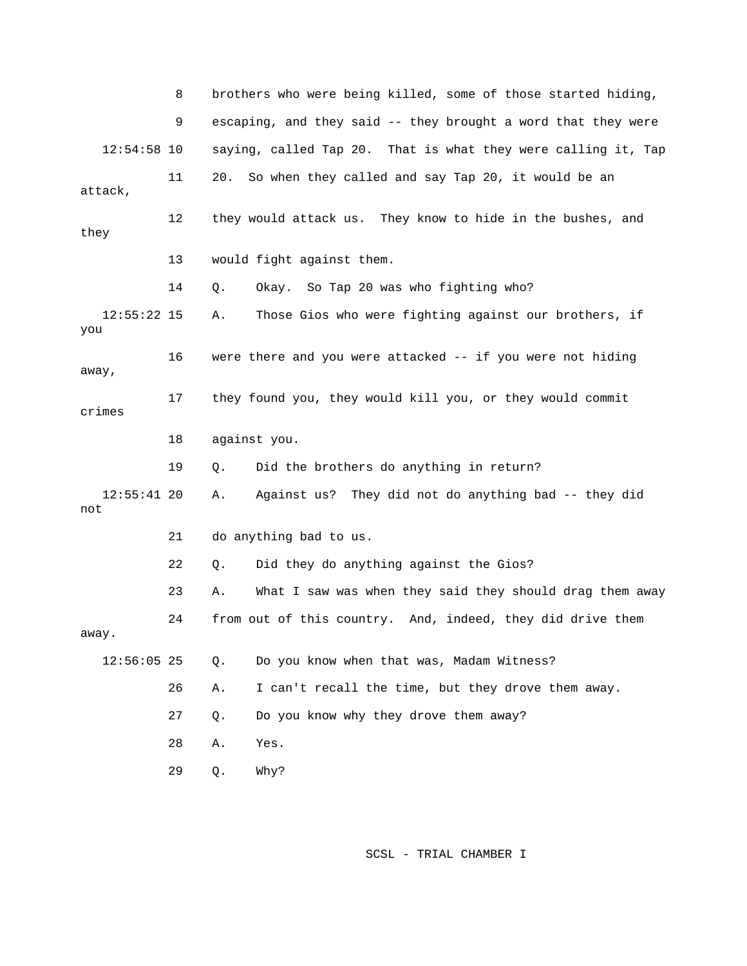8 brothers who were being killed, some of those started hiding, e 9 escaping, and they said -- they brought a word that they wer p 12:54:58 10 saying, called Tap 20. That is what they were calling it, Ta 11 20. So when they called and say Tap 20, it would be an 12 they would attack us. They know to hide in the bushes, and 13 would fight against them. 14 Q. Okay. So Tap 20 was who fighting who? away, 19 Q. Did the brothers do anything in return? 55:41 20 A. Against us? They did not do anything bad -- they did not 21 do anything bad to us. 23 A. What I saw was when they said they should drag them away 26 A. I can't recall the time, but they drove them away. 27 Q. Do you know why they drove them away? 28 A. Yes. attack, they 12:55:22 15 A. Those Gios who were fighting against our brothers, if you 16 were there and you were attacked -- if you were not hiding 17 they found you, they would kill you, or they would commit crimes 18 against you.  $12:55:41$  20 22 Q. Did they do anything against the Gios? 24 from out of this country. And, indeed, they did drive them away. 12:56:05 25 Q. Do you know when that was, Madam Witness? 29 Q. Why?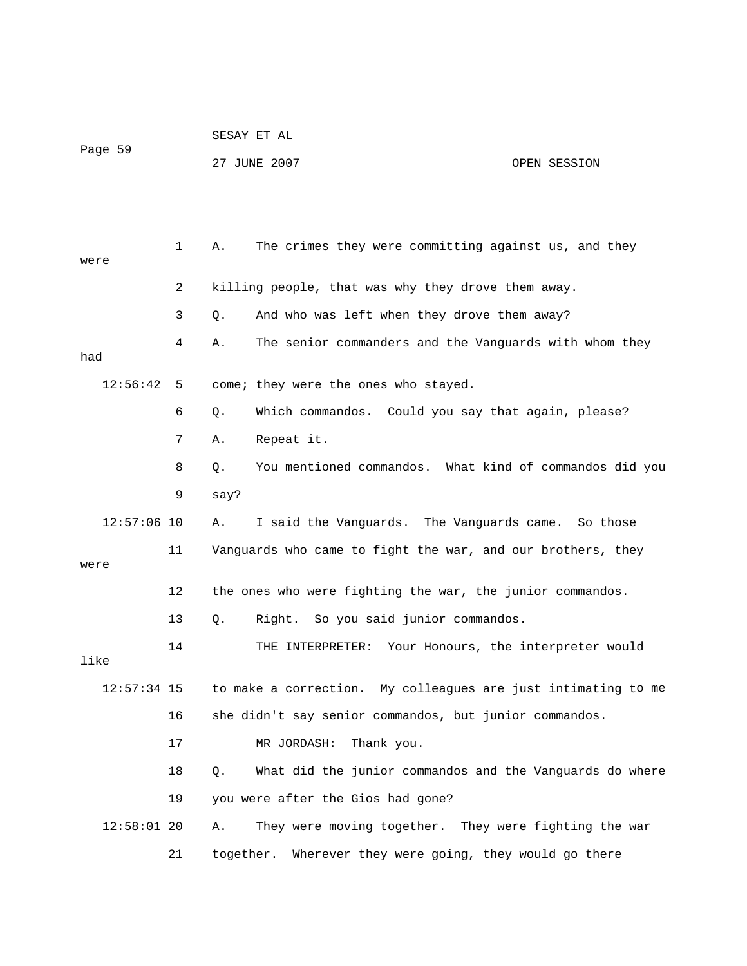| Page 59       |                | SESAY ET AL                                                    |  |  |  |  |
|---------------|----------------|----------------------------------------------------------------|--|--|--|--|
|               |                | 27 JUNE 2007<br>OPEN SESSION                                   |  |  |  |  |
|               |                |                                                                |  |  |  |  |
|               |                |                                                                |  |  |  |  |
| were          | $\mathbf{1}$   | The crimes they were committing against us, and they<br>Α.     |  |  |  |  |
|               | $\overline{2}$ | killing people, that was why they drove them away.             |  |  |  |  |
|               | 3              | And who was left when they drove them away?<br>Q.              |  |  |  |  |
| had           | 4              | The senior commanders and the Vanguards with whom they<br>Α.   |  |  |  |  |
| 12:56:42      | -5             | come; they were the ones who stayed.                           |  |  |  |  |
|               | 6              | Which commandos. Could you say that again, please?<br>Q.       |  |  |  |  |
|               | 7              | Repeat it.<br>Α.                                               |  |  |  |  |
|               | 8              | You mentioned commandos. What kind of commandos did you<br>Q.  |  |  |  |  |
|               | 9              | say?                                                           |  |  |  |  |
| $12:57:06$ 10 |                | I said the Vanguards. The Vanguards came. So those<br>Α.       |  |  |  |  |
|               | 11             | Vanguards who came to fight the war, and our brothers, they    |  |  |  |  |
| were          |                |                                                                |  |  |  |  |
|               | 12             | the ones who were fighting the war, the junior commandos.      |  |  |  |  |
|               | 13             | So you said junior commandos.<br>Right.<br>Q.                  |  |  |  |  |
| like          | 14             | THE INTERPRETER: Your Honours, the interpreter would           |  |  |  |  |
| $12:57:34$ 15 |                | to make a correction. My colleagues are just intimating to me  |  |  |  |  |
|               | 16             | she didn't say senior commandos, but junior commandos.         |  |  |  |  |
|               | 17             | MR JORDASH:<br>Thank you.                                      |  |  |  |  |
|               | 18             | What did the junior commandos and the Vanguards do where<br>Q. |  |  |  |  |
|               | 19             | you were after the Gios had gone?                              |  |  |  |  |
| $12:58:01$ 20 |                | They were moving together. They were fighting the war<br>Α.    |  |  |  |  |
|               | 21             | Wherever they were going, they would go there<br>together.     |  |  |  |  |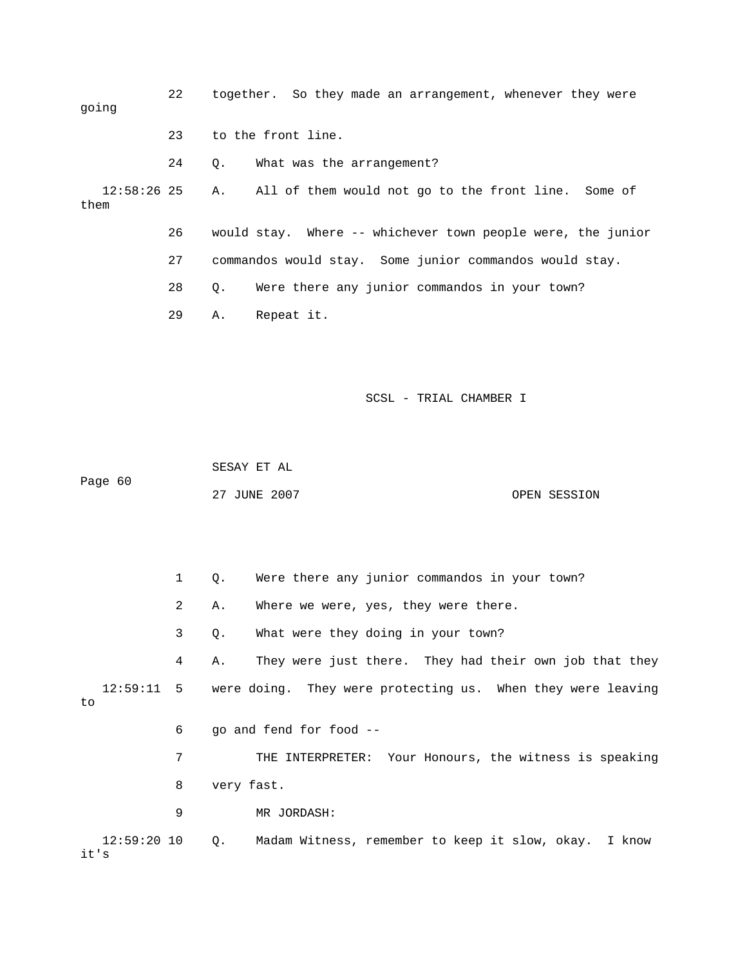| going               | 22 |           | together. So they made an arrangement, whenever they were   |
|---------------------|----|-----------|-------------------------------------------------------------|
|                     | 23 |           | to the front line.                                          |
|                     | 24 | $\circ$ . | What was the arrangement?                                   |
| 12:58:26 25<br>them |    |           | A. All of them would not go to the front line. Some of      |
|                     | 26 |           | would stay. Where -- whichever town people were, the junior |
|                     | 27 |           | commandos would stay. Some junior commandos would stay.     |
|                     | 28 | $\circ$ . | Were there any junior commandos in your town?               |
|                     | 29 | Α.        | Repeat it.                                                  |

```
 SCSL - TRIAL CHAMBER I
```
 SESAY ET AL 60 Page

27 JUNE 2007 OPEN SESSION

1 Q. Were there any junior commandos in your town? 2 A. Where we were, yes, they were there. 3 Q. What were they doing in your town? 4 A. They were just there. They had their own job that they 12:59:11 5 were doing. They were protecting us. When they were leaving 7 THE INTERPRETER: Your Honours, the witness is speaking 8 very fast. 9 MR JORDASH: 12:59:20 10 Q. Madam Witness, remember to keep it slow, okay. I know to 6 go and fend for food - it's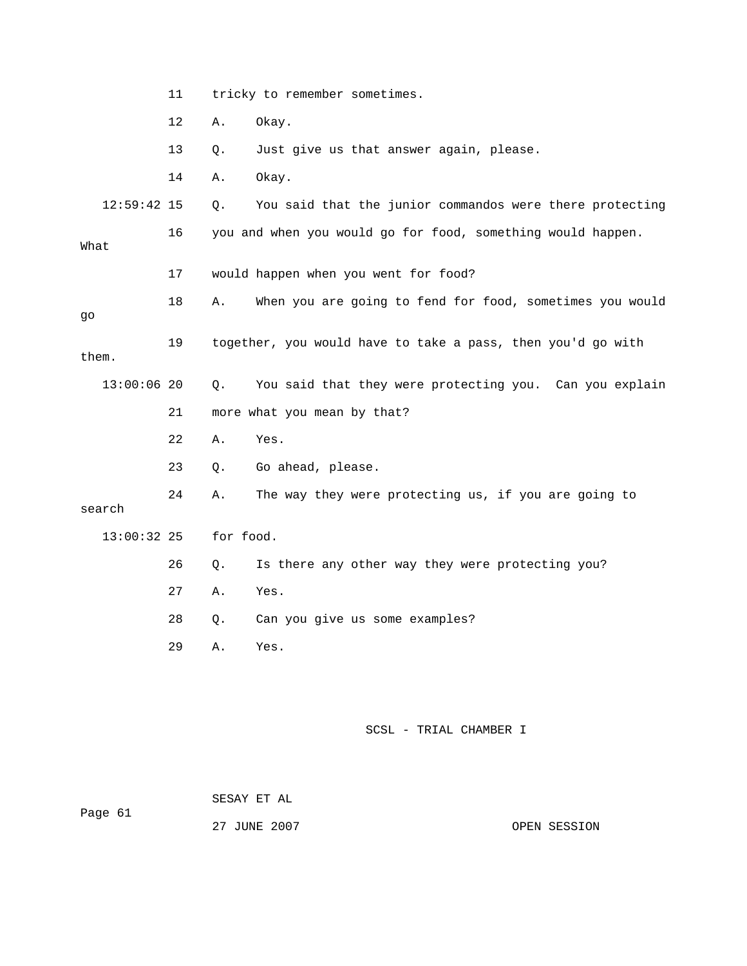|               | 11 | tricky to remember sometimes. |                                                             |  |
|---------------|----|-------------------------------|-------------------------------------------------------------|--|
|               | 12 | Α.                            | Okay.                                                       |  |
|               | 13 | Q.                            | Just give us that answer again, please.                     |  |
|               | 14 | Α.                            | Okay.                                                       |  |
| $12:59:42$ 15 |    | Q.                            | You said that the junior commandos were there protecting    |  |
| What          | 16 |                               | you and when you would go for food, something would happen. |  |
|               | 17 |                               | would happen when you went for food?                        |  |
| go            | 18 | Α.                            | When you are going to fend for food, sometimes you would    |  |
| them.         | 19 |                               | together, you would have to take a pass, then you'd go with |  |
| $13:00:06$ 20 |    | Q.                            | You said that they were protecting you. Can you explain     |  |
|               | 21 |                               | more what you mean by that?                                 |  |
|               | 22 | Α.                            | Yes.                                                        |  |
|               | 23 | Q.                            | Go ahead, please.                                           |  |
| search        | 24 | Α.                            | The way they were protecting us, if you are going to        |  |
| $13:00:32$ 25 |    | for food.                     |                                                             |  |
|               | 26 | Q.                            | Is there any other way they were protecting you?            |  |
|               | 27 | Α.                            | Yes.                                                        |  |
|               | 28 | Q.                            | Can you give us some examples?                              |  |
|               | 29 | Α.                            | Yes.                                                        |  |
|               |    |                               |                                                             |  |
|               |    |                               |                                                             |  |

 SESAY ET AL Page 61

27 JUNE 2007 CPEN SESSION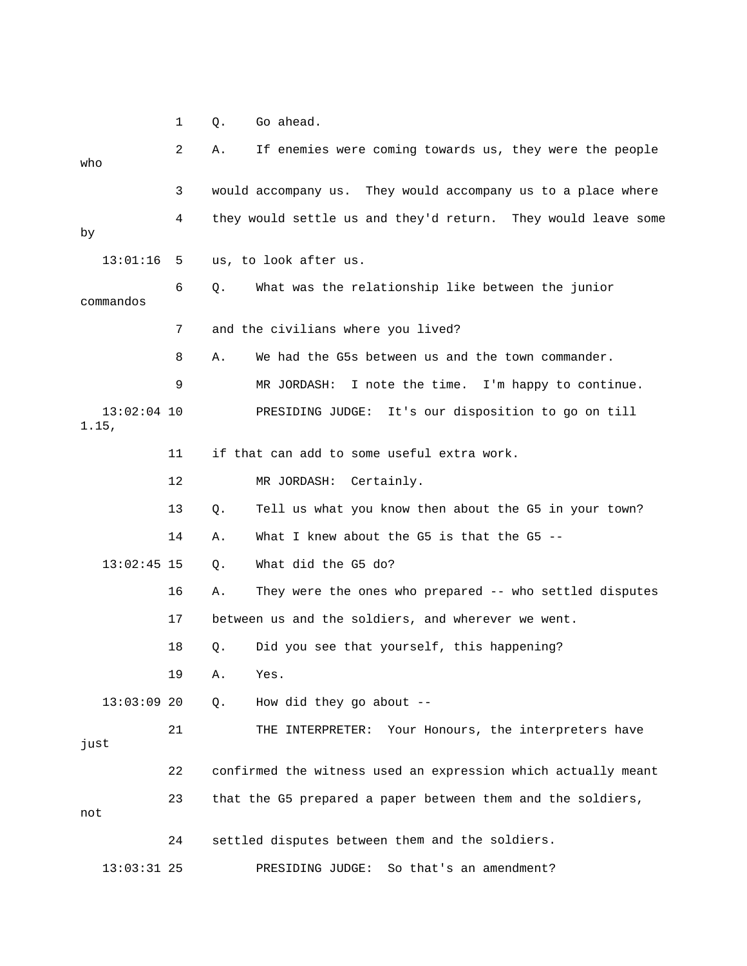1 Q. Go ahead.

| who       |               | 2  | Α.    | If enemies were coming towards us, they were the people       |
|-----------|---------------|----|-------|---------------------------------------------------------------|
|           |               | 3  |       | would accompany us. They would accompany us to a place where  |
| by        |               | 4  |       | they would settle us and they'd return. They would leave some |
|           | 13:01:16      | 5  |       | us, to look after us.                                         |
| commandos |               | 6  | $Q$ . | What was the relationship like between the junior             |
|           |               | 7  |       | and the civilians where you lived?                            |
|           |               | 8  | Α.    | We had the G5s between us and the town commander.             |
|           |               | 9  |       | MR JORDASH:<br>I note the time. I'm happy to continue.        |
| 1.15,     | $13:02:04$ 10 |    |       | PRESIDING JUDGE: It's our disposition to go on till           |
|           |               | 11 |       | if that can add to some useful extra work.                    |
|           |               | 12 |       | Certainly.<br>MR JORDASH:                                     |
|           |               | 13 | Q.    | Tell us what you know then about the G5 in your town?         |
|           |               | 14 | Α.    | What I knew about the G5 is that the G5 --                    |
|           | $13:02:45$ 15 |    | Q.    | What did the G5 do?                                           |
|           |               | 16 | Α.    | They were the ones who prepared -- who settled disputes       |
|           |               | 17 |       | between us and the soldiers, and wherever we went.            |
|           |               | 18 | Q.    | Did you see that yourself, this happening?                    |
|           |               | 19 | Α.    | Yes.                                                          |
|           | $13:03:09$ 20 |    | Q.    | How did they go about $-$ -                                   |
| just      |               | 21 |       | THE INTERPRETER: Your Honours, the interpreters have          |
|           |               | 22 |       | confirmed the witness used an expression which actually meant |
| not       |               | 23 |       | that the G5 prepared a paper between them and the soldiers,   |
|           |               | 24 |       | settled disputes between them and the soldiers.               |
|           | $13:03:31$ 25 |    |       | So that's an amendment?<br>PRESIDING JUDGE:                   |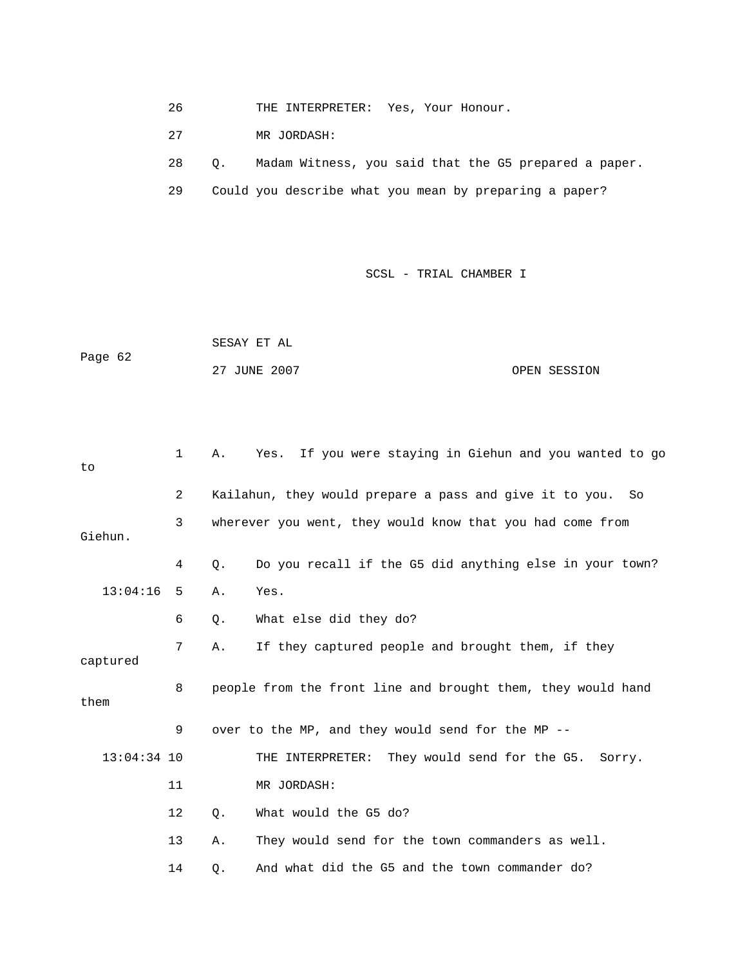26 THE INTERPRETER: Yes, Your Honour.

27 MR JORDASH:

 28 Q. Madam Witness, you said that the G5 prepared a paper. 29 Could you describe what you mean by preparing a paper?

|         | SESAY ET AL  |              |
|---------|--------------|--------------|
| Page 62 |              |              |
|         | 27 JUNE 2007 | OPEN SESSION |

| to            | 1                                                         | If you were staying in Giehun and you wanted to go<br>Α.<br>Yes. |
|---------------|-----------------------------------------------------------|------------------------------------------------------------------|
|               | 2                                                         | Kailahun, they would prepare a pass and give it to you. So       |
| Giehun.       | wherever you went, they would know that you had come from |                                                                  |
|               | 4                                                         | Q.<br>Do you recall if the G5 did anything else in your town?    |
| 13:04:16      | -5                                                        | Yes.<br>Α.                                                       |
|               | 6                                                         | What else did they do?<br>Q.                                     |
| captured      | 7                                                         | If they captured people and brought them, if they<br>Α.          |
| them          | 8                                                         | people from the front line and brought them, they would hand     |
|               | 9                                                         | over to the MP, and they would send for the MP --                |
| $13:04:34$ 10 |                                                           | THE INTERPRETER: They would send for the G5.<br>Sorry.           |
|               | 11                                                        | MR JORDASH:                                                      |
|               | 12                                                        | Q.<br>What would the G5 do?                                      |
|               | 13                                                        | They would send for the town commanders as well.<br>Α.           |
|               | 14                                                        | And what did the G5 and the town commander do?<br>Q.             |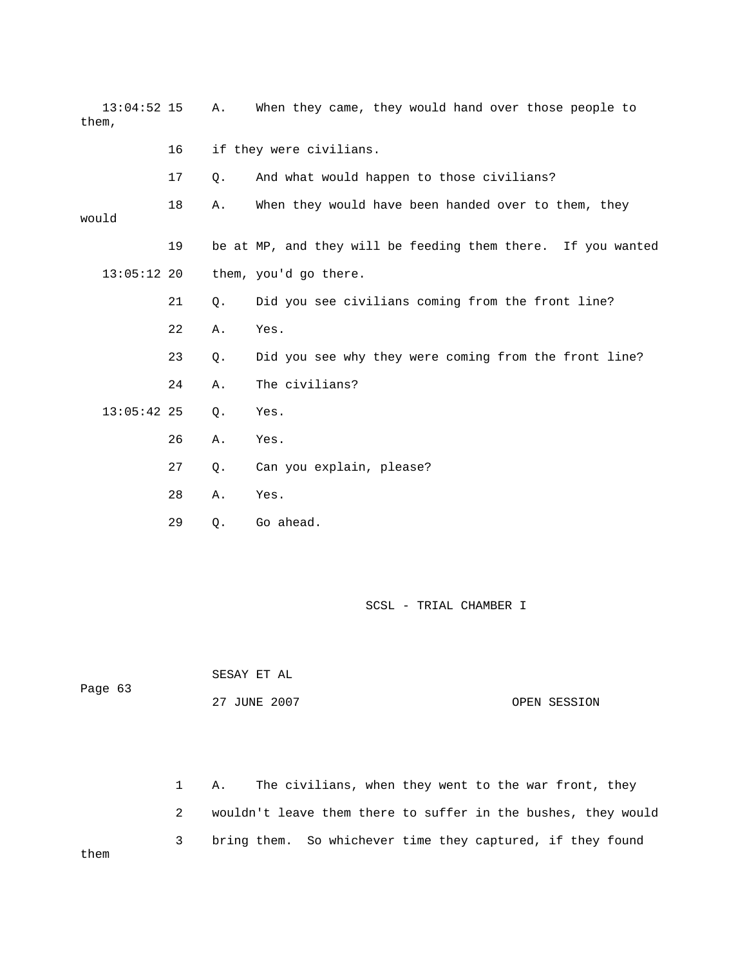| $13:04:52$ 15<br>them, |    | Α. | When they came, they would hand over those people to         |
|------------------------|----|----|--------------------------------------------------------------|
|                        | 16 |    | if they were civilians.                                      |
|                        | 17 | Q. | And what would happen to those civilians?                    |
| would                  | 18 | Α. | When they would have been handed over to them, they          |
|                        | 19 |    | be at MP, and they will be feeding them there. If you wanted |
| $13:05:12$ 20          |    |    | them, you'd go there.                                        |
|                        | 21 | Q. | Did you see civilians coming from the front line?            |
|                        | 22 | Α. | Yes.                                                         |
|                        | 23 | Q. | Did you see why they were coming from the front line?        |
|                        | 24 | Α. | The civilians?                                               |
| $13:05:42$ 25          |    | Q. | Yes.                                                         |
|                        | 26 | Α. | Yes.                                                         |
|                        | 27 | Q. | Can you explain, please?                                     |
|                        | 28 | Α. | Yes.                                                         |
|                        | 29 | Q. | Go ahead.                                                    |

| Page 63 | SESAY ET AL  |              |
|---------|--------------|--------------|
|         | 27 JUNE 2007 | OPEN SESSION |

 1 A. The civilians, when they went to the war front, they 2 wouldn't leave them there to suffer in the bushes, they would 3 bring them. So whichever time they captured, if they found them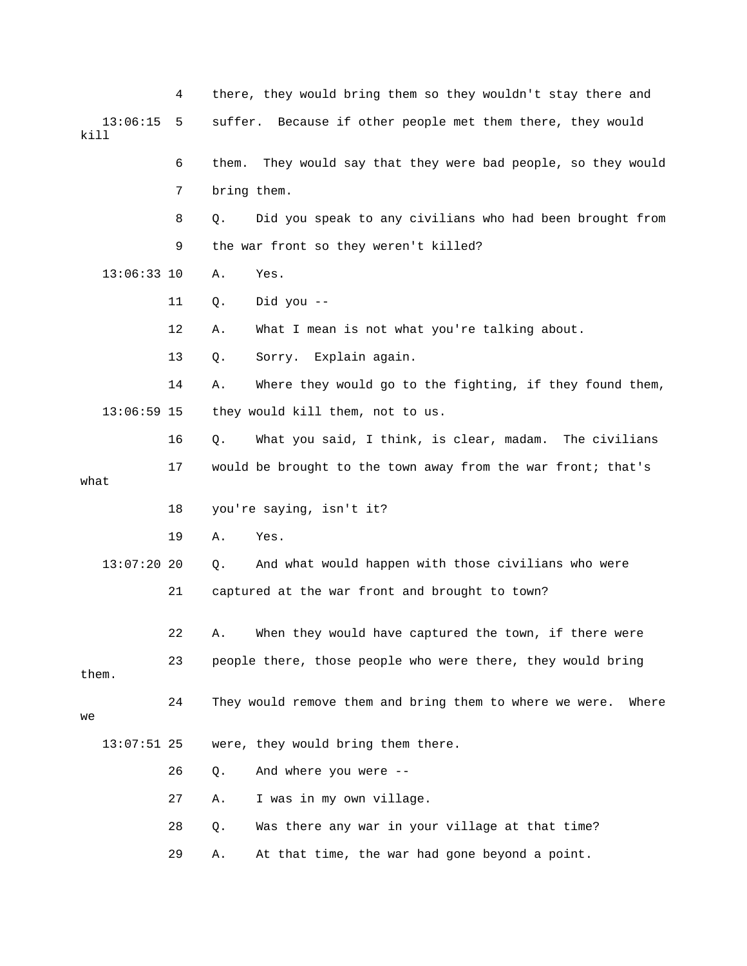4 there, they would bring them so they wouldn't stay there and 13:06:15 5 suffer. Because if other people met them there, they would kill d 6 them. They would say that they were bad people, so they woul 8 Q. Did you speak to any civilians who had been brought from 9 the war front so they weren't killed? 14 A. Where they would go to the fighting, if they found them, they would kill them, not to us. 17 would be brought to the town away from the war front; that's 18 you're saying, isn't it? 19 A. Yes. And what would happen with those civilians who were 21 captured at the war front and brought to town? 22 A. When they would have captured the town, if there were them. 24 They would remove them and bring them to where we were. Where 26 Q. And where you were -- 27 A. I was in my own village. 7 bring them. 13:06:33 10 A. Yes. 11 Q. Did you -- 12 A. What I mean is not what you're talking about. 13 Q. Sorry. Explain again.  $13:06:59$  15 16 Q. What you said, I think, is clear, madam. The civilians what  $13:07:20$  20 Q. 23 people there, those people who were there, they would bring we 13:07:51 25 were, they would bring them there. 28 Q. Was there any war in your village at that time? 29 A. At that time, the war had gone beyond a point.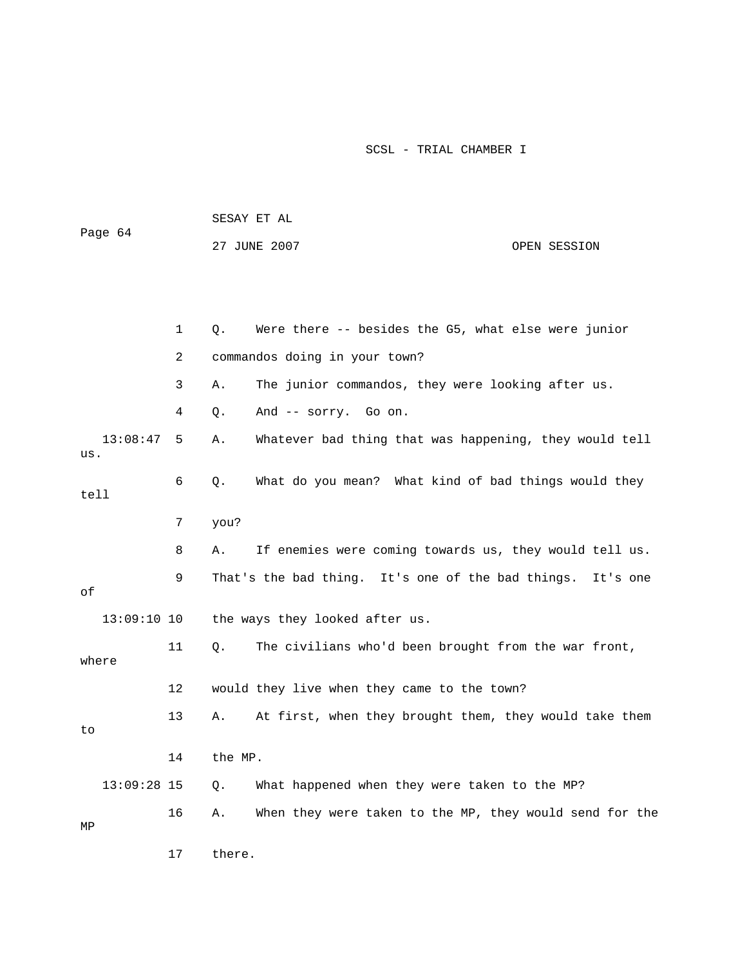| Page 64 |               |              |         | SESAY ET AL                                             |          |
|---------|---------------|--------------|---------|---------------------------------------------------------|----------|
|         |               | 27 JUNE 2007 |         | OPEN SESSION                                            |          |
|         |               |              |         |                                                         |          |
|         |               |              |         |                                                         |          |
|         |               | $\mathbf 1$  | Q.      | Were there -- besides the G5, what else were junior     |          |
|         |               | 2            |         | commandos doing in your town?                           |          |
|         |               | 3            | Α.      | The junior commandos, they were looking after us.       |          |
|         |               | 4            | Q.      | And -- sorry. Go on.                                    |          |
| us.     | 13:08:47      | 5            | Α.      | Whatever bad thing that was happening, they would tell  |          |
| tell    |               | 6            | Q.      | What do you mean? What kind of bad things would they    |          |
|         |               | 7            | you?    |                                                         |          |
|         |               | 8            | Α.      | If enemies were coming towards us, they would tell us.  |          |
| оf      |               | 9            |         | That's the bad thing. It's one of the bad things.       | It's one |
|         | $13:09:10$ 10 |              |         | the ways they looked after us.                          |          |
| where   |               | 11           | Q.      | The civilians who'd been brought from the war front,    |          |
|         |               | 12           |         | would they live when they came to the town?             |          |
| to      |               | 13           | Α.      | At first, when they brought them, they would take them  |          |
|         |               | 14           | the MP. |                                                         |          |
|         | $13:09:28$ 15 |              | Q.      | What happened when they were taken to the MP?           |          |
| ΜP      |               | 16           | Α.      | When they were taken to the MP, they would send for the |          |

17 there.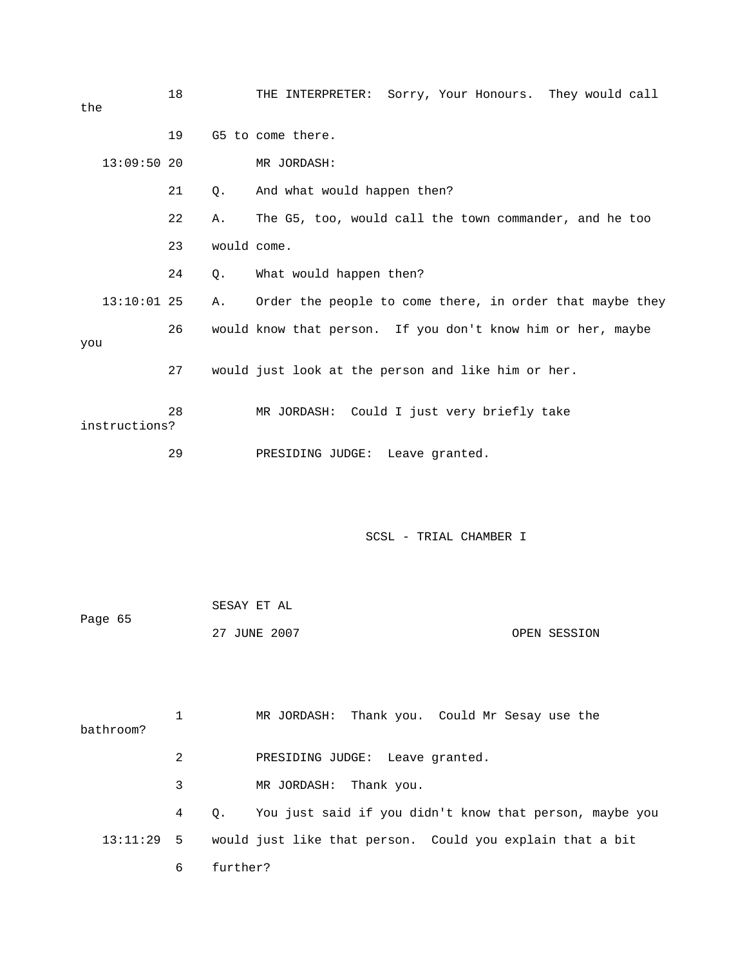| the           |               | 18 |             | THE INTERPRETER: Sorry, Your Honours. They would call       |
|---------------|---------------|----|-------------|-------------------------------------------------------------|
|               |               | 19 |             | G5 to come there.                                           |
|               | $13:09:50$ 20 |    |             | MR JORDASH:                                                 |
|               |               | 21 | 0.          | And what would happen then?                                 |
|               |               | 22 | Α.          | The G5, too, would call the town commander, and he too      |
|               |               | 23 | would come. |                                                             |
|               |               | 24 | 0.          | What would happen then?                                     |
|               | $13:10:01$ 25 |    | Α.          | Order the people to come there, in order that maybe they    |
| you           |               | 26 |             | would know that person. If you don't know him or her, maybe |
|               |               | 27 |             | would just look at the person and like him or her.          |
| instructions? |               | 28 |             | MR JORDASH: Could I just very briefly take                  |
|               |               | 29 |             | PRESIDING JUDGE: Leave granted.                             |

| Page 65 | SESAY ET AL  |              |
|---------|--------------|--------------|
|         | 27 JUNE 2007 | OPEN SESSION |

 1 MR JORDASH: Thank you. Could Mr Sesay use the 2 PRESIDING JUDGE: Leave granted. 3 MR JORDASH: Thank you. 4 Q. You just said if you didn't know that person, maybe you 13:11:29 5 would just like that person. Could you explain that a bit 6 further? bathroom?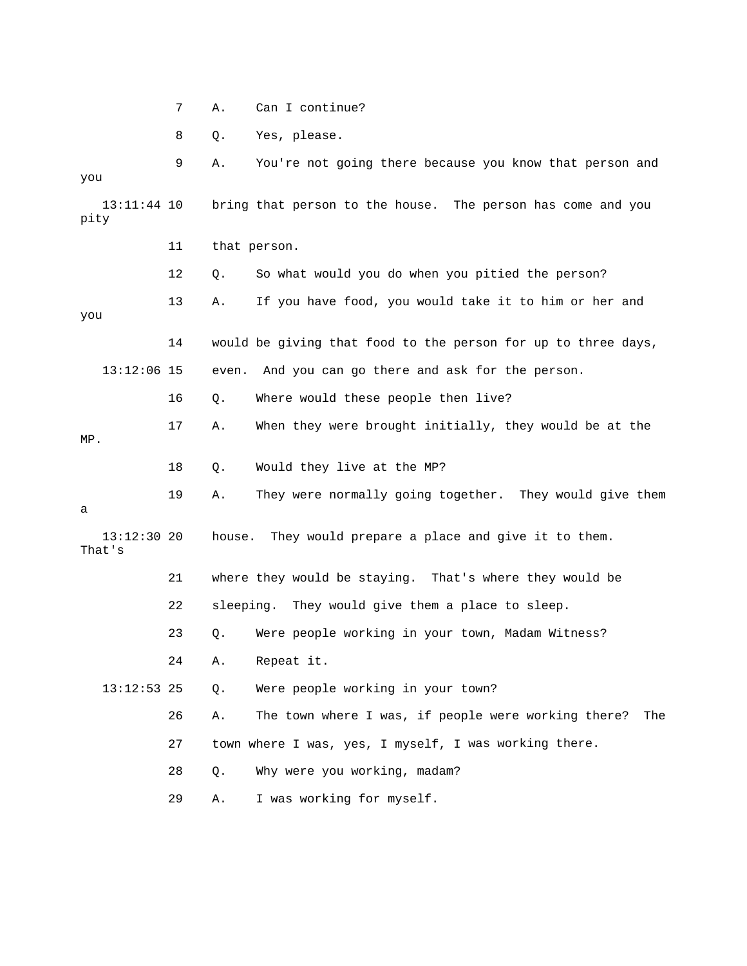| Can I continue? |
|-----------------|
|                 |

8 Q. Yes, please.

 9 A. You're not going there because you know that person and you 13:11:44 10 bring that person to the house. The person has come and you 12 Q. So what would you do when you pitied the person? 14 would be giving that food to the person for up to three days, 13:12:06 15 even. And you can go there and ask for the person. 16 Q. Where would these people then live? 17 A. When they were brought initially, they would be at the 18 Q. Would they live at the MP? 19 A. They were normally going together. They would give them 13:12:30 20 house. They would prepare a place and give it to them. 22 sleeping. They would give them a place to sleep. 23 Q. Were people working in your town, Madam Witness? 24 A. Repeat it. 26 A. The town where I was, if people were working there? The 27 town where I was, yes, I myself, I was working there. 29 A. I was working for myself. pity 11 that person. 13 A. If you have food, you would take it to him or her and you MP. a That's 21 where they would be staying. That's where they would be 13:12:53 25 Q. Were people working in your town? 28 Q. Why were you working, madam?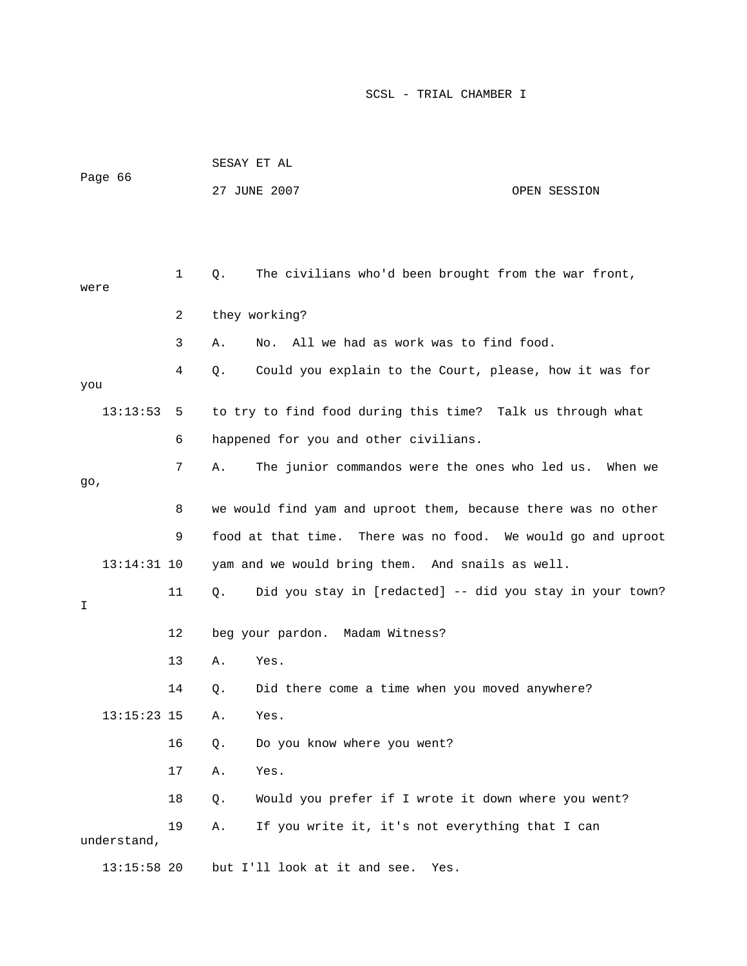| Page 66 |               |    | SESAY ET AL |                                                               |              |  |
|---------|---------------|----|-------------|---------------------------------------------------------------|--------------|--|
|         |               |    |             | 27 JUNE 2007                                                  | OPEN SESSION |  |
|         |               |    |             |                                                               |              |  |
|         |               |    |             |                                                               |              |  |
| were    |               | 1  | Q.          | The civilians who'd been brought from the war front,          |              |  |
|         |               | 2  |             | they working?                                                 |              |  |
|         |               | 3  | Α.          | All we had as work was to find food.<br>No.                   |              |  |
| you     |               | 4  | Q.          | Could you explain to the Court, please, how it was for        |              |  |
|         | 13:13:53      | 5  |             | to try to find food during this time? Talk us through what    |              |  |
|         |               | 6  |             | happened for you and other civilians.                         |              |  |
|         |               | 7  | Α.          | The junior commandos were the ones who led us. When we        |              |  |
| 90,     |               |    |             |                                                               |              |  |
|         |               | 8  |             | we would find yam and uproot them, because there was no other |              |  |
|         |               | 9  |             | food at that time. There was no food. We would go and uproot  |              |  |
|         | $13:14:31$ 10 |    |             | yam and we would bring them. And snails as well.              |              |  |
| I       |               | 11 | Q.          | Did you stay in [redacted] -- did you stay in your town?      |              |  |
|         |               | 12 |             | beg your pardon. Madam Witness?                               |              |  |
|         |               | 13 | Α.          | Yes.                                                          |              |  |
|         |               | 14 | Q.          | Did there come a time when you moved anywhere?                |              |  |
|         | $13:15:23$ 15 |    | Α.          | Yes.                                                          |              |  |
|         |               | 16 | Q.          | Do you know where you went?                                   |              |  |
|         |               | 17 | Α.          | Yes.                                                          |              |  |
|         |               | 18 | Q.          | Would you prefer if I wrote it down where you went?           |              |  |
|         | understand,   | 19 | Α.          | If you write it, it's not everything that I can               |              |  |
|         | $13:15:58$ 20 |    |             | but I'll look at it and see.<br>Yes.                          |              |  |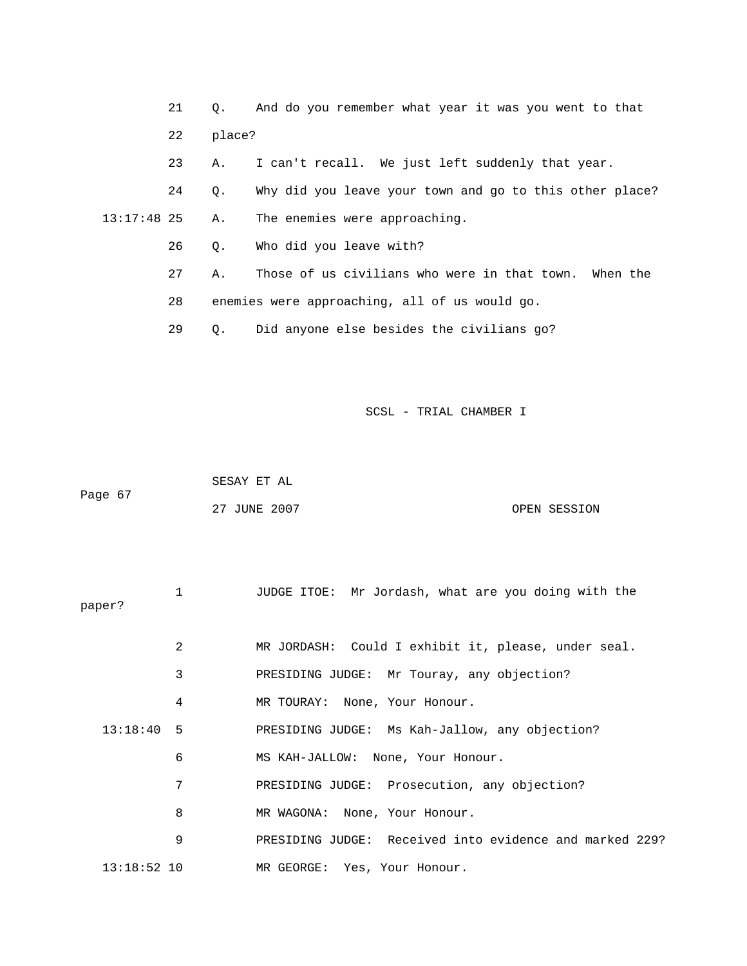21 Q. And do you remember what year it was you went to that 23 A. I can't recall. We just left suddenly that year. 24 Q. Why did you leave your town and go to this other place? The enemies were approaching. 27 A. Those of us civilians who were in that town. When the 22 place?  $13:17:48$  25 A. 26 Q. Who did you leave with? 28 enemies were approaching, all of us would go.

29 Q. Did anyone else besides the civilians go?

| Page 67 | SESAY ET AL  |              |
|---------|--------------|--------------|
|         | 27 JUNE 2007 | OPEN SESSION |

| paper?        | 1 | JUDGE ITOE: Mr Jordash, what are you doing with the     |
|---------------|---|---------------------------------------------------------|
|               | 2 | MR JORDASH: Could I exhibit it, please, under seal.     |
|               | 3 | PRESIDING JUDGE: Mr Touray, any objection?              |
|               | 4 | MR TOURAY: None, Your Honour.                           |
| $13:18:40$ 5  |   | PRESIDING JUDGE: Ms Kah-Jallow, any objection?          |
|               | 6 | MS KAH-JALLOW: None, Your Honour.                       |
|               | 7 | PRESIDING JUDGE: Prosecution, any objection?            |
|               | 8 | MR WAGONA: None, Your Honour.                           |
|               | 9 | PRESIDING JUDGE: Received into evidence and marked 229? |
| $13:18:52$ 10 |   | MR GEORGE: Yes, Your Honour.                            |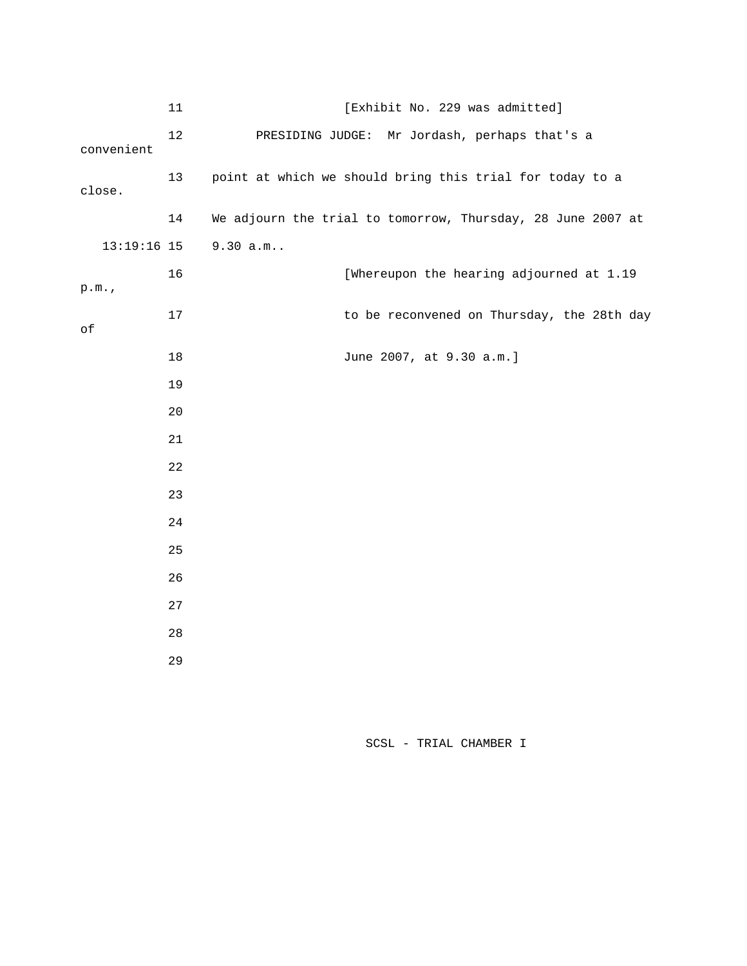|               | $11\,$ | [Exhibit No. 229 was admitted]                              |  |  |  |
|---------------|--------|-------------------------------------------------------------|--|--|--|
| convenient    | 12     | PRESIDING JUDGE: Mr Jordash, perhaps that's a               |  |  |  |
| close.        | 13     | point at which we should bring this trial for today to a    |  |  |  |
|               | 14     | We adjourn the trial to tomorrow, Thursday, 28 June 2007 at |  |  |  |
| $13:19:16$ 15 |        | $9.30 a.m.$ .                                               |  |  |  |
| p.m.          | 16     | [Whereupon the hearing adjourned at 1.19                    |  |  |  |
| $\circ f$     | 17     | to be reconvened on Thursday, the 28th day                  |  |  |  |
|               | 18     | June 2007, at 9.30 a.m.]                                    |  |  |  |
|               | 19     |                                                             |  |  |  |
|               | 20     |                                                             |  |  |  |
|               | 21     |                                                             |  |  |  |
|               | 22     |                                                             |  |  |  |
|               | 23     |                                                             |  |  |  |
|               | 24     |                                                             |  |  |  |
|               | 25     |                                                             |  |  |  |
|               | 26     |                                                             |  |  |  |
|               | 27     |                                                             |  |  |  |
|               | 28     |                                                             |  |  |  |
|               | 29     |                                                             |  |  |  |
|               |        |                                                             |  |  |  |